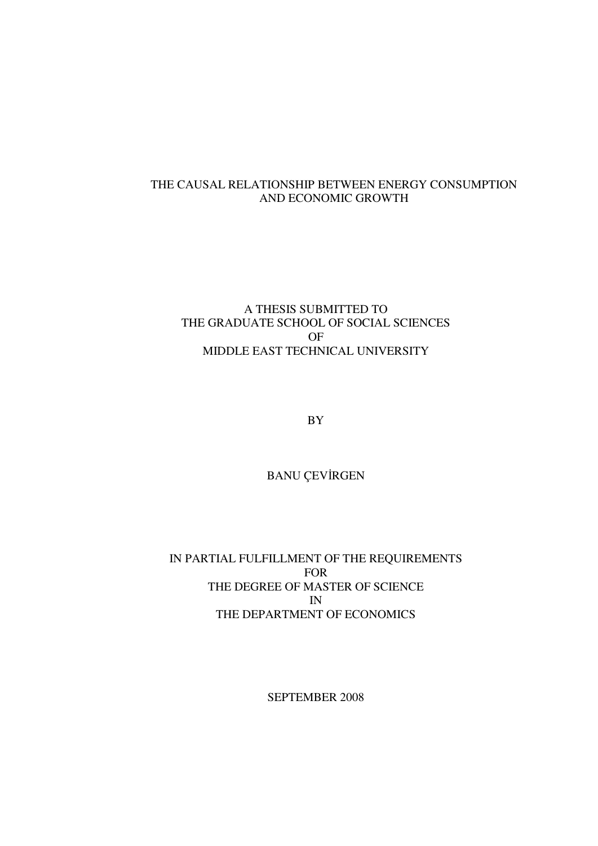## THE CAUSAL RELATIONSHIP BETWEEN ENERGY CONSUMPTION AND ECONOMIC GROWTH

## A THESIS SUBMITTED TO THE GRADUATE SCHOOL OF SOCIAL SCIENCES OF MIDDLE EAST TECHNICAL UNIVERSITY

BY

BANU ÇEVİRGEN

IN PARTIAL FULFILLMENT OF THE REQUIREMENTS FOR THE DEGREE OF MASTER OF SCIENCE IN THE DEPARTMENT OF ECONOMICS

SEPTEMBER 2008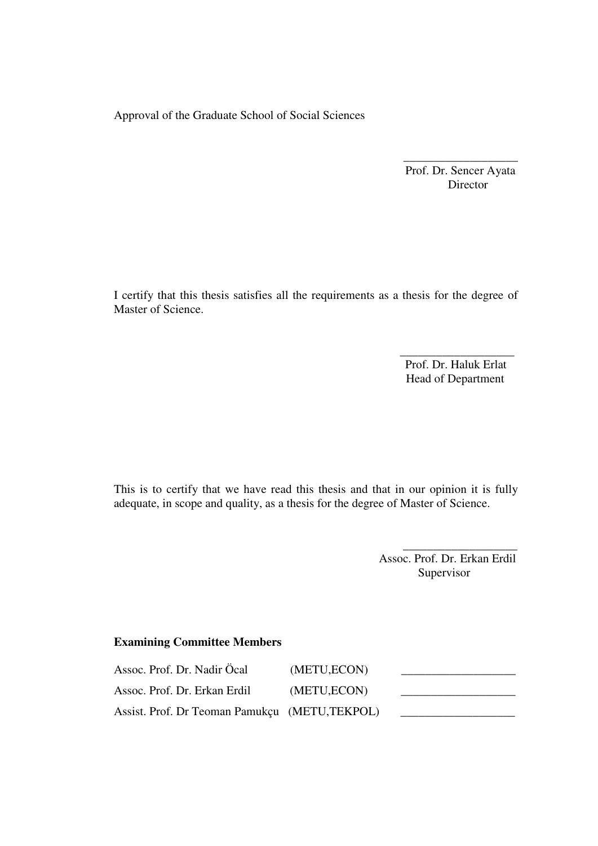Approval of the Graduate School of Social Sciences

 Prof. Dr. Sencer Ayata Director

\_\_\_\_\_\_\_\_\_\_\_\_\_\_\_\_\_\_\_

I certify that this thesis satisfies all the requirements as a thesis for the degree of Master of Science.

> Prof. Dr. Haluk Erlat Head of Department

 $\frac{1}{\sqrt{2}}$  ,  $\frac{1}{\sqrt{2}}$  ,  $\frac{1}{\sqrt{2}}$  ,  $\frac{1}{\sqrt{2}}$  ,  $\frac{1}{\sqrt{2}}$  ,  $\frac{1}{\sqrt{2}}$  ,  $\frac{1}{\sqrt{2}}$  ,  $\frac{1}{\sqrt{2}}$  ,  $\frac{1}{\sqrt{2}}$  ,  $\frac{1}{\sqrt{2}}$  ,  $\frac{1}{\sqrt{2}}$  ,  $\frac{1}{\sqrt{2}}$  ,  $\frac{1}{\sqrt{2}}$  ,  $\frac{1}{\sqrt{2}}$  ,  $\frac{1}{\sqrt{2}}$ 

This is to certify that we have read this thesis and that in our opinion it is fully adequate, in scope and quality, as a thesis for the degree of Master of Science.

 $\overline{\phantom{a}}$  , which is a set of the contract of the contract of the contract of the contract of the contract of the contract of the contract of the contract of the contract of the contract of the contract of the contract

 Assoc. Prof. Dr. Erkan Erdil Supervisor

## **Examining Committee Members**

| Assoc. Prof. Dr. Nadir Öcal                   | (METU, ECON) |  |
|-----------------------------------------------|--------------|--|
| Assoc. Prof. Dr. Erkan Erdil                  | (METU, ECON) |  |
| Assist. Prof. Dr Teoman Pamukçu (METU,TEKPOL) |              |  |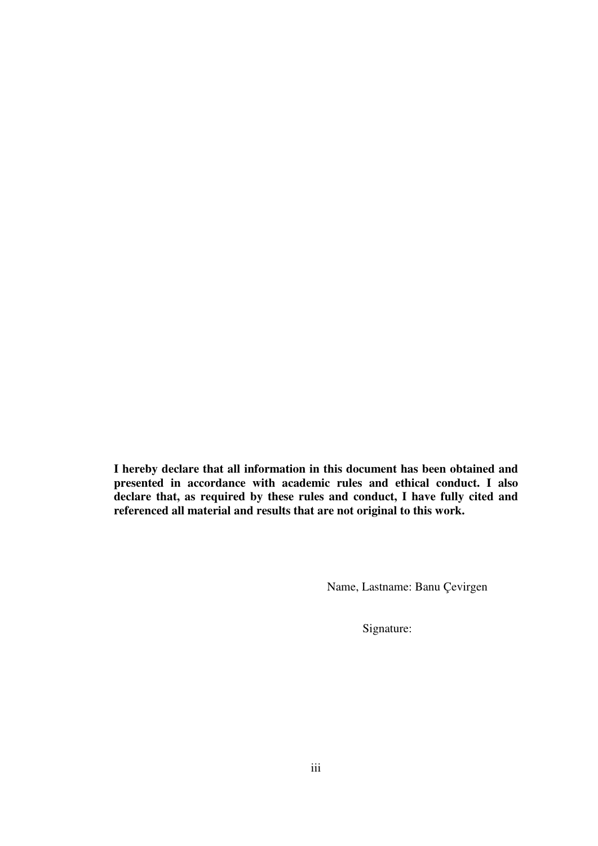**I hereby declare that all information in this document has been obtained and presented in accordance with academic rules and ethical conduct. I also declare that, as required by these rules and conduct, I have fully cited and referenced all material and results that are not original to this work.** 

Name, Lastname: Banu Çevirgen

Signature: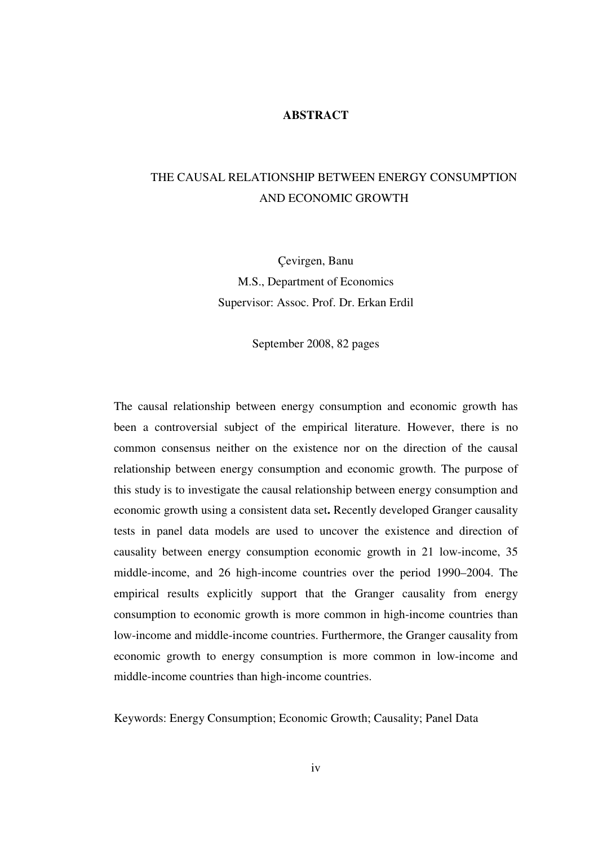## **ABSTRACT**

# THE CAUSAL RELATIONSHIP BETWEEN ENERGY CONSUMPTION AND ECONOMIC GROWTH

Çevirgen, Banu M.S., Department of Economics Supervisor: Assoc. Prof. Dr. Erkan Erdil

September 2008, 82 pages

The causal relationship between energy consumption and economic growth has been a controversial subject of the empirical literature. However, there is no common consensus neither on the existence nor on the direction of the causal relationship between energy consumption and economic growth. The purpose of this study is to investigate the causal relationship between energy consumption and economic growth using a consistent data set**.** Recently developed Granger causality tests in panel data models are used to uncover the existence and direction of causality between energy consumption economic growth in 21 low-income, 35 middle-income, and 26 high-income countries over the period 1990–2004. The empirical results explicitly support that the Granger causality from energy consumption to economic growth is more common in high-income countries than low-income and middle-income countries. Furthermore, the Granger causality from economic growth to energy consumption is more common in low-income and middle-income countries than high-income countries.

Keywords: Energy Consumption; Economic Growth; Causality; Panel Data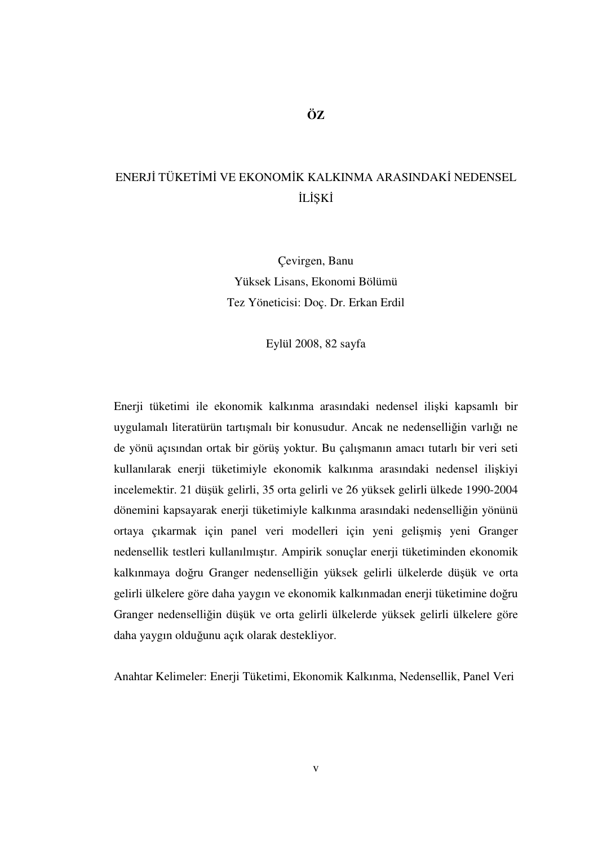# ENERJİ TÜKETİMİ VE EKONOMİK KALKINMA ARASINDAKİ NEDENSEL İLİŞKİ

Çevirgen, Banu Yüksek Lisans, Ekonomi Bölümü Tez Yöneticisi: Doç. Dr. Erkan Erdil

Eylül 2008, 82 sayfa

Enerji tüketimi ile ekonomik kalkınma arasındaki nedensel ilişki kapsamlı bir uygulamalı literatürün tartışmalı bir konusudur. Ancak ne nedenselliğin varlığı ne de yönü açısından ortak bir görüş yoktur. Bu çalışmanın amacı tutarlı bir veri seti kullanılarak enerji tüketimiyle ekonomik kalkınma arasındaki nedensel ilişkiyi incelemektir. 21 düşük gelirli, 35 orta gelirli ve 26 yüksek gelirli ülkede 1990-2004 dönemini kapsayarak enerji tüketimiyle kalkınma arasındaki nedenselliğin yönünü ortaya çıkarmak için panel veri modelleri için yeni gelişmiş yeni Granger nedensellik testleri kullanılmıştır. Ampirik sonuçlar enerji tüketiminden ekonomik kalkınmaya doğru Granger nedenselliğin yüksek gelirli ülkelerde düşük ve orta gelirli ülkelere göre daha yaygın ve ekonomik kalkınmadan enerji tüketimine doğru Granger nedenselliğin düşük ve orta gelirli ülkelerde yüksek gelirli ülkelere göre daha yaygın olduğunu açık olarak destekliyor.

Anahtar Kelimeler: Enerji Tüketimi, Ekonomik Kalkınma, Nedensellik, Panel Veri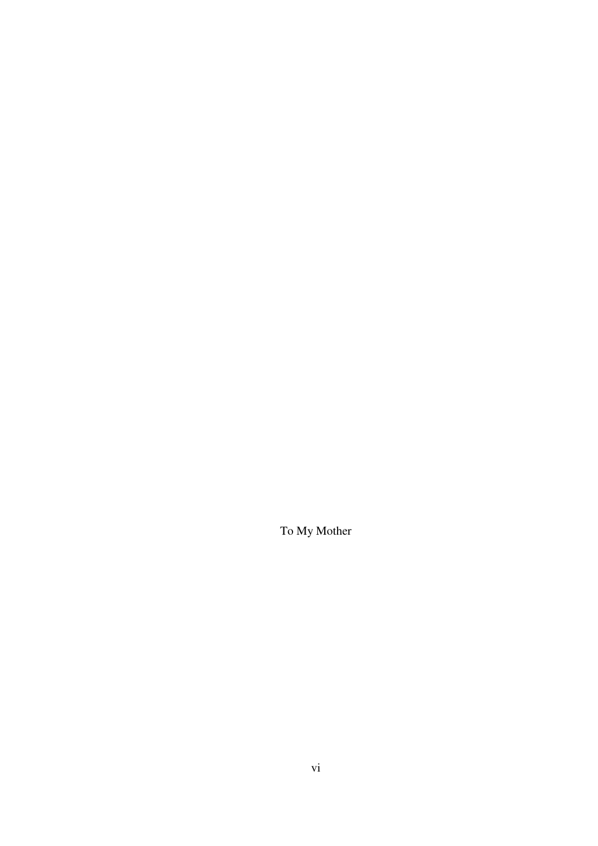To My Mother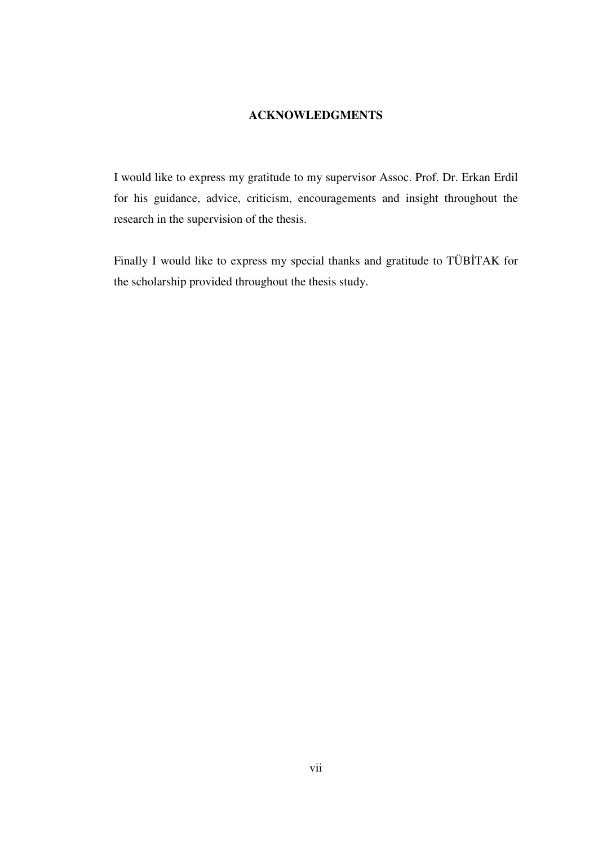## **ACKNOWLEDGMENTS**

I would like to express my gratitude to my supervisor Assoc. Prof. Dr. Erkan Erdil for his guidance, advice, criticism, encouragements and insight throughout the research in the supervision of the thesis.

Finally I would like to express my special thanks and gratitude to TÜBİTAK for the scholarship provided throughout the thesis study.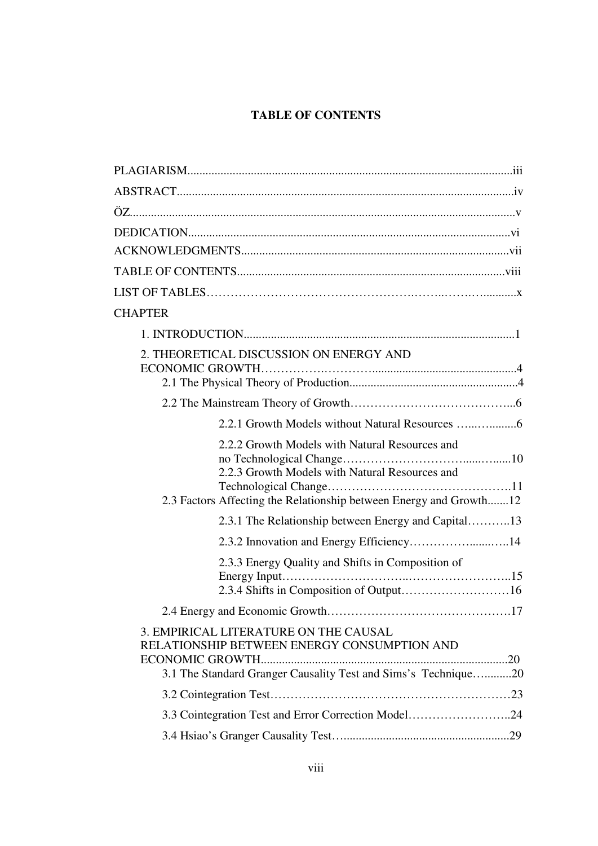# **TABLE OF CONTENTS**

| <b>CHAPTER</b>                                                                                                                                                         |
|------------------------------------------------------------------------------------------------------------------------------------------------------------------------|
|                                                                                                                                                                        |
| 2. THEORETICAL DISCUSSION ON ENERGY AND                                                                                                                                |
|                                                                                                                                                                        |
| 2.2.1 Growth Models without Natural Resources                                                                                                                          |
| 2.2.2 Growth Models with Natural Resources and<br>2.2.3 Growth Models with Natural Resources and<br>2.3 Factors Affecting the Relationship between Energy and Growth12 |
| 2.3.1 The Relationship between Energy and Capital13                                                                                                                    |
|                                                                                                                                                                        |
| 2.3.3 Energy Quality and Shifts in Composition of                                                                                                                      |
|                                                                                                                                                                        |
| 3. EMPIRICAL LITERATURE ON THE CAUSAL<br>RELATIONSHIP BETWEEN ENERGY CONSUMPTION AND<br>3.1 The Standard Granger Causality Test and Sims's Technique20                 |
|                                                                                                                                                                        |
| 3.3 Cointegration Test and Error Correction Model24                                                                                                                    |
|                                                                                                                                                                        |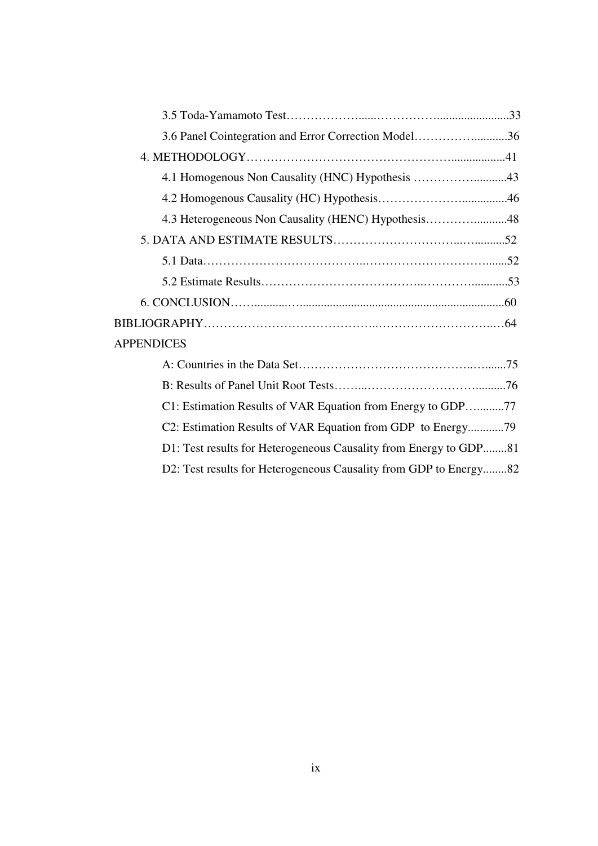| 3.6 Panel Cointegration and Error Correction Model36              |  |
|-------------------------------------------------------------------|--|
|                                                                   |  |
| 4.1 Homogenous Non Causality (HNC) Hypothesis 43                  |  |
|                                                                   |  |
| 4.3 Heterogeneous Non Causality (HENC) Hypothesis48               |  |
|                                                                   |  |
|                                                                   |  |
|                                                                   |  |
|                                                                   |  |
|                                                                   |  |
| <b>APPENDICES</b>                                                 |  |
|                                                                   |  |
|                                                                   |  |
| C1: Estimation Results of VAR Equation from Energy to GDP77       |  |
| C2: Estimation Results of VAR Equation from GDP to Energy79       |  |
| D1: Test results for Heterogeneous Causality from Energy to GDP81 |  |
| D2: Test results for Heterogeneous Causality from GDP to Energy82 |  |
|                                                                   |  |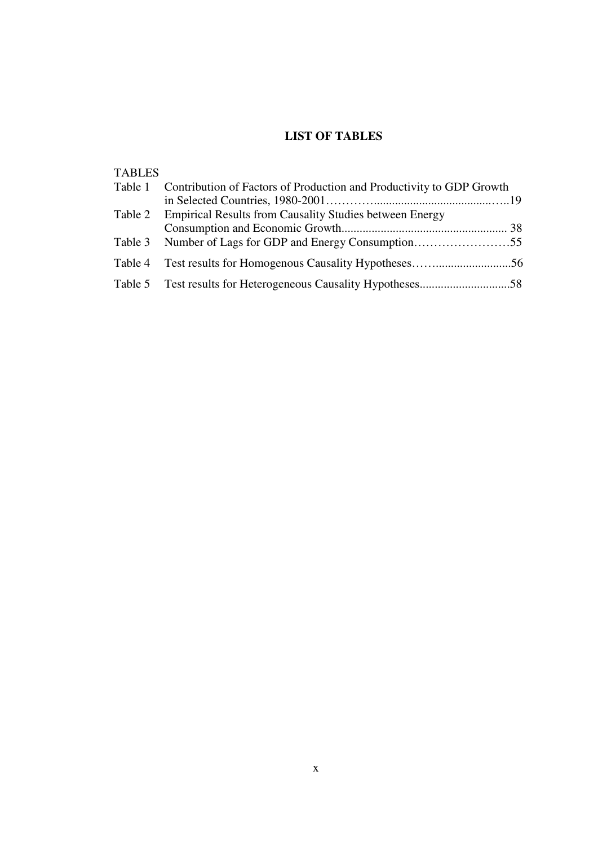## **LIST OF TABLES**

# TABLES

| Table 1 Contribution of Factors of Production and Productivity to GDP Growth |  |  |
|------------------------------------------------------------------------------|--|--|
|                                                                              |  |  |
| Table 2 Empirical Results from Causality Studies between Energy              |  |  |
|                                                                              |  |  |
|                                                                              |  |  |
|                                                                              |  |  |
|                                                                              |  |  |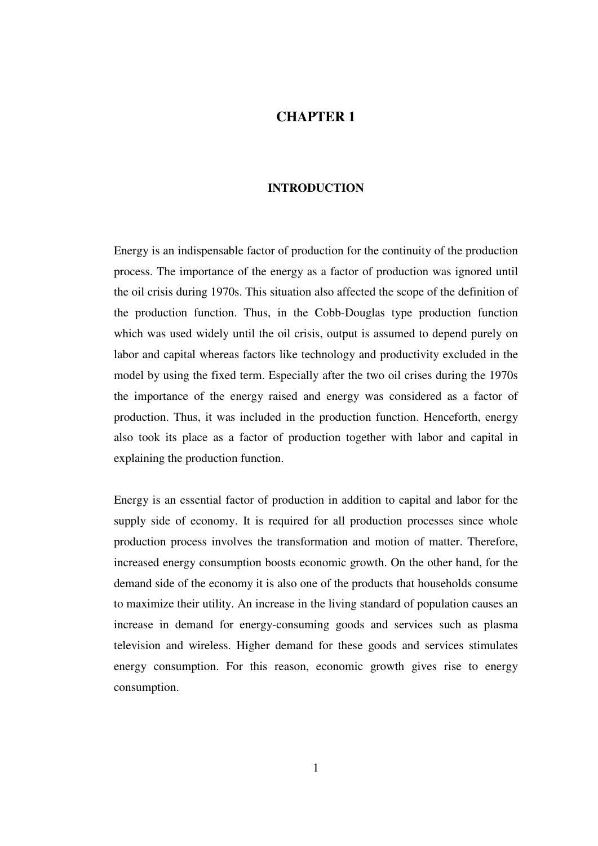## **CHAPTER 1**

#### **INTRODUCTION**

Energy is an indispensable factor of production for the continuity of the production process. The importance of the energy as a factor of production was ignored until the oil crisis during 1970s. This situation also affected the scope of the definition of the production function. Thus, in the Cobb-Douglas type production function which was used widely until the oil crisis, output is assumed to depend purely on labor and capital whereas factors like technology and productivity excluded in the model by using the fixed term. Especially after the two oil crises during the 1970s the importance of the energy raised and energy was considered as a factor of production. Thus, it was included in the production function. Henceforth, energy also took its place as a factor of production together with labor and capital in explaining the production function.

Energy is an essential factor of production in addition to capital and labor for the supply side of economy. It is required for all production processes since whole production process involves the transformation and motion of matter. Therefore, increased energy consumption boosts economic growth. On the other hand, for the demand side of the economy it is also one of the products that households consume to maximize their utility. An increase in the living standard of population causes an increase in demand for energy-consuming goods and services such as plasma television and wireless. Higher demand for these goods and services stimulates energy consumption. For this reason, economic growth gives rise to energy consumption.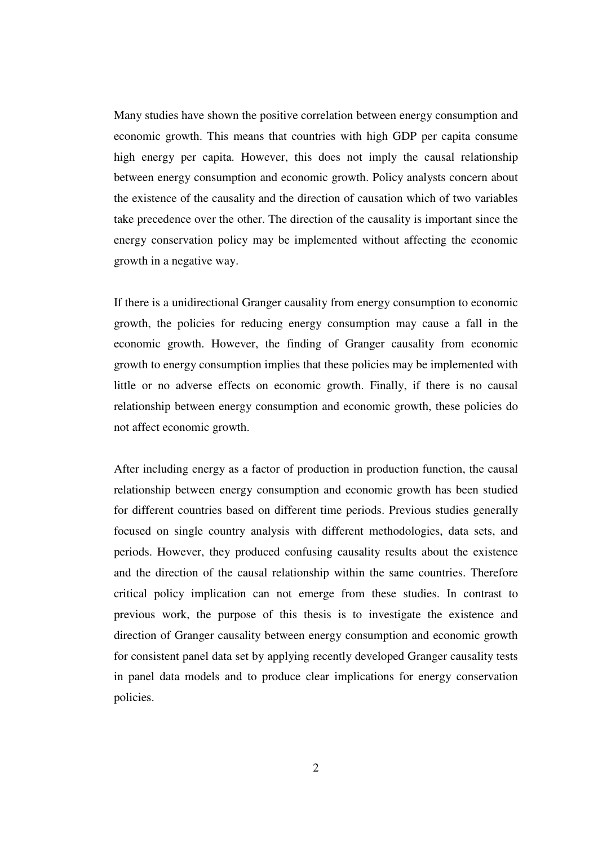Many studies have shown the positive correlation between energy consumption and economic growth. This means that countries with high GDP per capita consume high energy per capita. However, this does not imply the causal relationship between energy consumption and economic growth. Policy analysts concern about the existence of the causality and the direction of causation which of two variables take precedence over the other. The direction of the causality is important since the energy conservation policy may be implemented without affecting the economic growth in a negative way.

If there is a unidirectional Granger causality from energy consumption to economic growth, the policies for reducing energy consumption may cause a fall in the economic growth. However, the finding of Granger causality from economic growth to energy consumption implies that these policies may be implemented with little or no adverse effects on economic growth. Finally, if there is no causal relationship between energy consumption and economic growth, these policies do not affect economic growth.

After including energy as a factor of production in production function, the causal relationship between energy consumption and economic growth has been studied for different countries based on different time periods. Previous studies generally focused on single country analysis with different methodologies, data sets, and periods. However, they produced confusing causality results about the existence and the direction of the causal relationship within the same countries. Therefore critical policy implication can not emerge from these studies. In contrast to previous work, the purpose of this thesis is to investigate the existence and direction of Granger causality between energy consumption and economic growth for consistent panel data set by applying recently developed Granger causality tests in panel data models and to produce clear implications for energy conservation policies.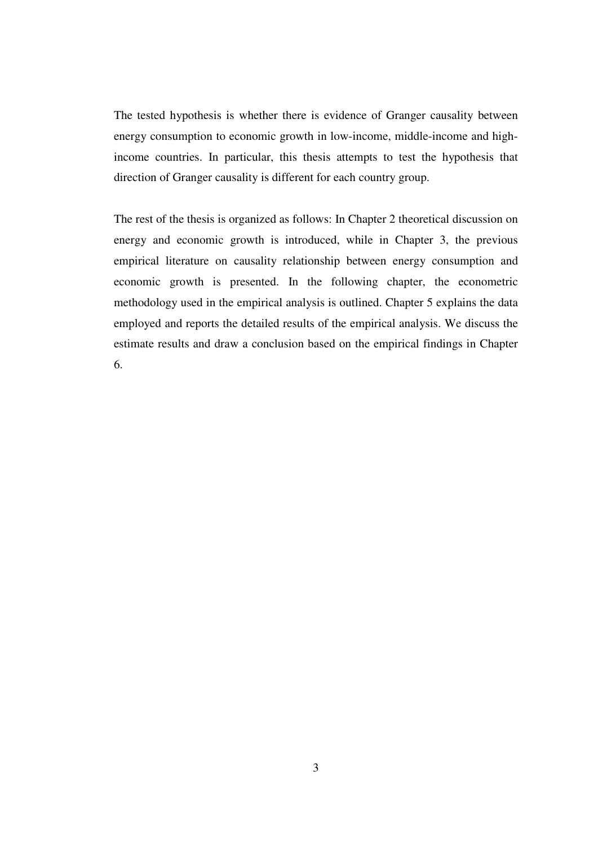The tested hypothesis is whether there is evidence of Granger causality between energy consumption to economic growth in low-income, middle-income and highincome countries. In particular, this thesis attempts to test the hypothesis that direction of Granger causality is different for each country group.

The rest of the thesis is organized as follows: In Chapter 2 theoretical discussion on energy and economic growth is introduced, while in Chapter 3, the previous empirical literature on causality relationship between energy consumption and economic growth is presented. In the following chapter, the econometric methodology used in the empirical analysis is outlined. Chapter 5 explains the data employed and reports the detailed results of the empirical analysis. We discuss the estimate results and draw a conclusion based on the empirical findings in Chapter 6.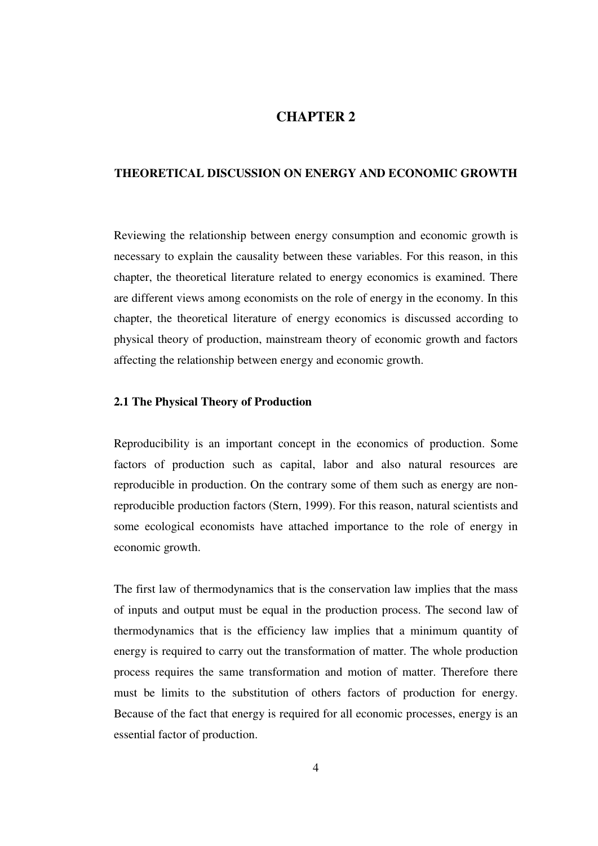## **CHAPTER 2**

#### **THEORETICAL DISCUSSION ON ENERGY AND ECONOMIC GROWTH**

Reviewing the relationship between energy consumption and economic growth is necessary to explain the causality between these variables. For this reason, in this chapter, the theoretical literature related to energy economics is examined. There are different views among economists on the role of energy in the economy. In this chapter, the theoretical literature of energy economics is discussed according to physical theory of production, mainstream theory of economic growth and factors affecting the relationship between energy and economic growth.

## **2.1 The Physical Theory of Production**

Reproducibility is an important concept in the economics of production. Some factors of production such as capital, labor and also natural resources are reproducible in production. On the contrary some of them such as energy are nonreproducible production factors (Stern, 1999). For this reason, natural scientists and some ecological economists have attached importance to the role of energy in economic growth.

The first law of thermodynamics that is the conservation law implies that the mass of inputs and output must be equal in the production process. The second law of thermodynamics that is the efficiency law implies that a minimum quantity of energy is required to carry out the transformation of matter. The whole production process requires the same transformation and motion of matter. Therefore there must be limits to the substitution of others factors of production for energy. Because of the fact that energy is required for all economic processes, energy is an essential factor of production.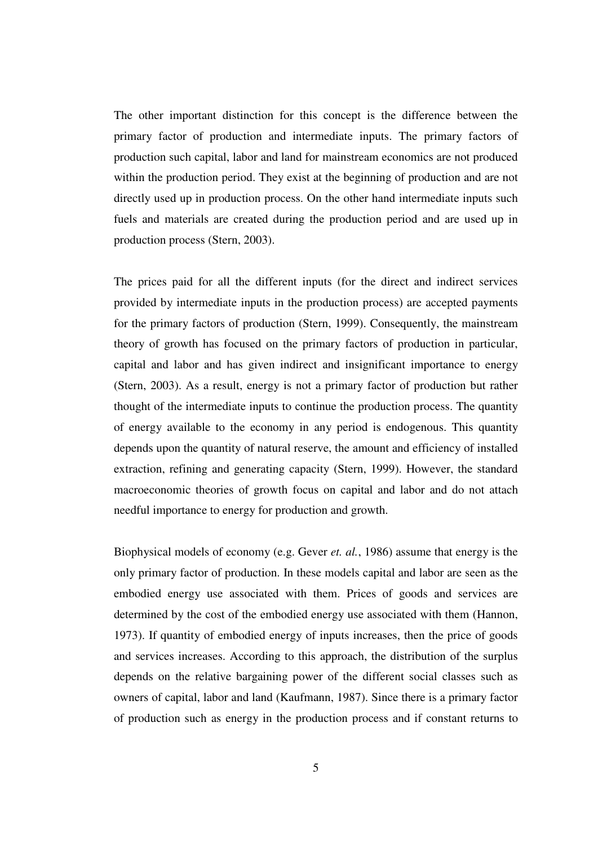The other important distinction for this concept is the difference between the primary factor of production and intermediate inputs. The primary factors of production such capital, labor and land for mainstream economics are not produced within the production period. They exist at the beginning of production and are not directly used up in production process. On the other hand intermediate inputs such fuels and materials are created during the production period and are used up in production process (Stern, 2003).

The prices paid for all the different inputs (for the direct and indirect services provided by intermediate inputs in the production process) are accepted payments for the primary factors of production (Stern, 1999). Consequently, the mainstream theory of growth has focused on the primary factors of production in particular, capital and labor and has given indirect and insignificant importance to energy (Stern, 2003). As a result, energy is not a primary factor of production but rather thought of the intermediate inputs to continue the production process. The quantity of energy available to the economy in any period is endogenous. This quantity depends upon the quantity of natural reserve, the amount and efficiency of installed extraction, refining and generating capacity (Stern, 1999). However, the standard macroeconomic theories of growth focus on capital and labor and do not attach needful importance to energy for production and growth.

Biophysical models of economy (e.g. Gever *et. al.*, 1986) assume that energy is the only primary factor of production. In these models capital and labor are seen as the embodied energy use associated with them. Prices of goods and services are determined by the cost of the embodied energy use associated with them (Hannon, 1973). If quantity of embodied energy of inputs increases, then the price of goods and services increases. According to this approach, the distribution of the surplus depends on the relative bargaining power of the different social classes such as owners of capital, labor and land (Kaufmann, 1987). Since there is a primary factor of production such as energy in the production process and if constant returns to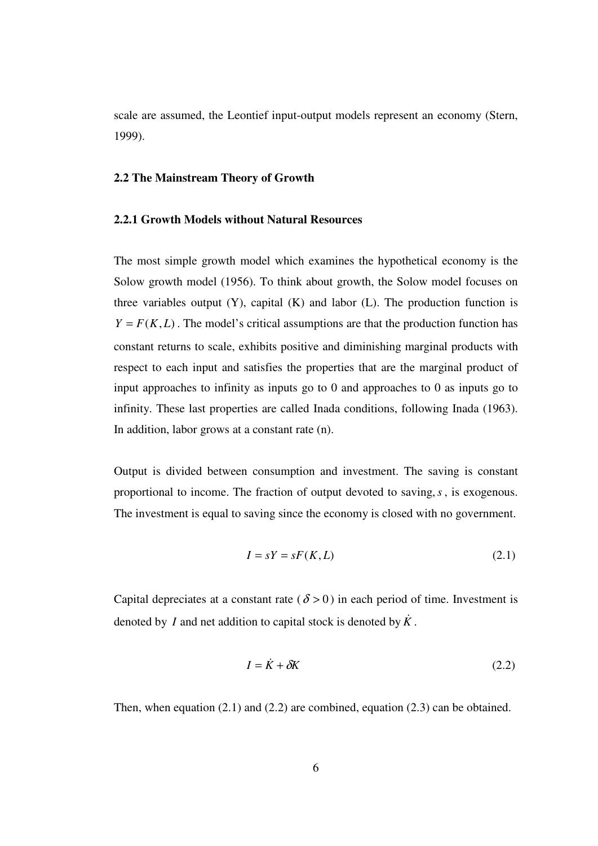scale are assumed, the Leontief input-output models represent an economy (Stern, 1999).

#### **2.2 The Mainstream Theory of Growth**

#### **2.2.1 Growth Models without Natural Resources**

The most simple growth model which examines the hypothetical economy is the Solow growth model (1956). To think about growth, the Solow model focuses on three variables output  $(Y)$ , capital  $(K)$  and labor  $(L)$ . The production function is  $Y = F(K, L)$ . The model's critical assumptions are that the production function has constant returns to scale, exhibits positive and diminishing marginal products with respect to each input and satisfies the properties that are the marginal product of input approaches to infinity as inputs go to 0 and approaches to 0 as inputs go to infinity. These last properties are called Inada conditions, following Inada (1963). In addition, labor grows at a constant rate (n).

Output is divided between consumption and investment. The saving is constant proportional to income. The fraction of output devoted to saving,*s*, is exogenous. The investment is equal to saving since the economy is closed with no government.

$$
I = sY = sF(K, L) \tag{2.1}
$$

Capital depreciates at a constant rate ( $\delta > 0$ ) in each period of time. Investment is denoted by *I* and net addition to capital stock is denoted by  $\hat{K}$ .

$$
I = \dot{K} + \delta K \tag{2.2}
$$

Then, when equation (2.1) and (2.2) are combined, equation (2.3) can be obtained.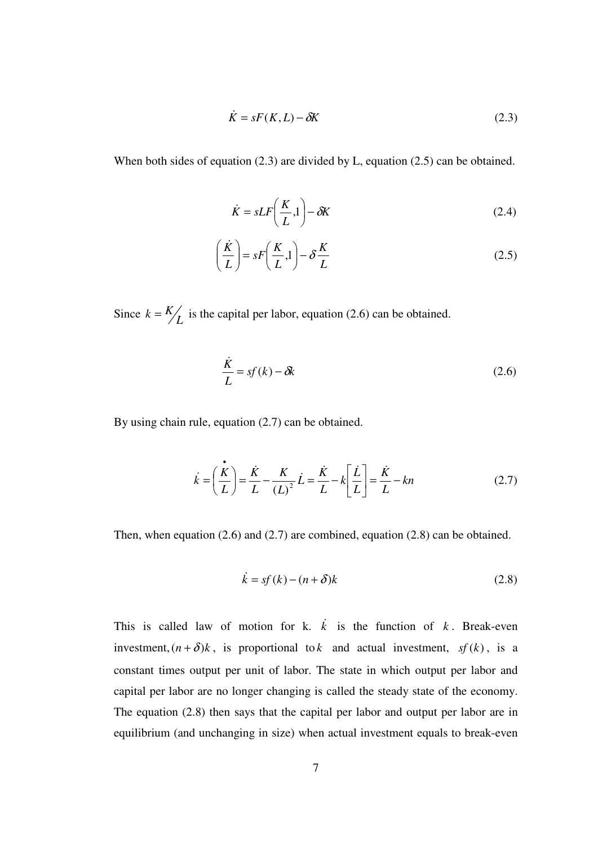$$
\dot{K} = sF(K, L) - \delta K \tag{2.3}
$$

When both sides of equation (2.3) are divided by L, equation (2.5) can be obtained.

$$
\dot{K} = sLF\left(\frac{K}{L}, 1\right) - \delta K\tag{2.4}
$$

$$
\left(\frac{\dot{K}}{L}\right) = sF\left(\frac{K}{L}, 1\right) - \delta\frac{K}{L}
$$
\n(2.5)

Since  $k = \frac{K}{L}$  is the capital per labor, equation (2.6) can be obtained.

$$
\frac{\dot{K}}{L} = sf(k) - \delta k \tag{2.6}
$$

By using chain rule, equation (2.7) can be obtained.

$$
\vec{k} = \left(\frac{\dot{\vec{k}}}{L}\right) = \frac{\dot{K}}{L} - \frac{K}{\left(L\right)^2} \dot{L} = \frac{\dot{K}}{L} - k \left[\frac{\dot{L}}{L}\right] = \frac{\dot{K}}{L} - kn \tag{2.7}
$$

Then, when equation (2.6) and (2.7) are combined, equation (2.8) can be obtained.

$$
\dot{k} = sf(k) - (n + \delta)k\tag{2.8}
$$

This is called law of motion for k.  $\vec{k}$  is the function of  $k$ . Break-even investment,  $(n + \delta)k$ , is proportional to *k* and actual investment, *sf* (*k*), is a constant times output per unit of labor. The state in which output per labor and capital per labor are no longer changing is called the steady state of the economy. The equation (2.8) then says that the capital per labor and output per labor are in equilibrium (and unchanging in size) when actual investment equals to break-even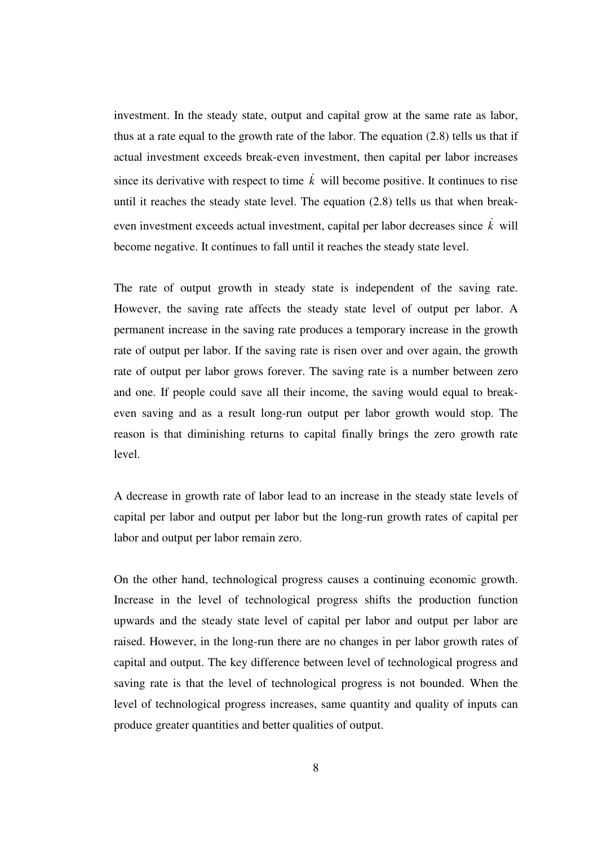investment. In the steady state, output and capital grow at the same rate as labor, thus at a rate equal to the growth rate of the labor. The equation (2.8) tells us that if actual investment exceeds break-even investment, then capital per labor increases since its derivative with respect to time  $\vec{k}$  will become positive. It continues to rise until it reaches the steady state level. The equation (2.8) tells us that when breakeven investment exceeds actual investment, capital per labor decreases since  $\vec{k}$  will become negative. It continues to fall until it reaches the steady state level.

The rate of output growth in steady state is independent of the saving rate. However, the saving rate affects the steady state level of output per labor. A permanent increase in the saving rate produces a temporary increase in the growth rate of output per labor. If the saving rate is risen over and over again, the growth rate of output per labor grows forever. The saving rate is a number between zero and one. If people could save all their income, the saving would equal to breakeven saving and as a result long-run output per labor growth would stop. The reason is that diminishing returns to capital finally brings the zero growth rate level.

A decrease in growth rate of labor lead to an increase in the steady state levels of capital per labor and output per labor but the long-run growth rates of capital per labor and output per labor remain zero.

On the other hand, technological progress causes a continuing economic growth. Increase in the level of technological progress shifts the production function upwards and the steady state level of capital per labor and output per labor are raised. However, in the long-run there are no changes in per labor growth rates of capital and output. The key difference between level of technological progress and saving rate is that the level of technological progress is not bounded. When the level of technological progress increases, same quantity and quality of inputs can produce greater quantities and better qualities of output.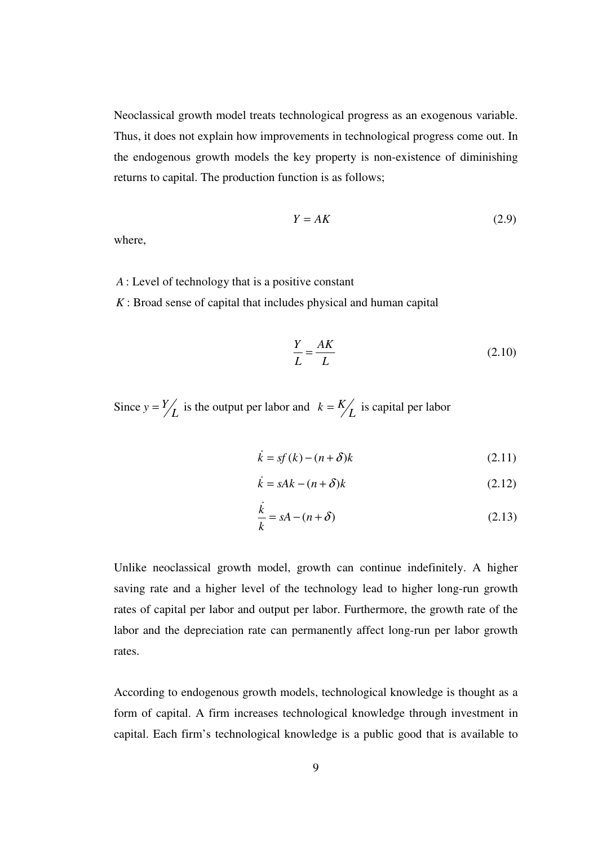Neoclassical growth model treats technological progress as an exogenous variable. Thus, it does not explain how improvements in technological progress come out. In the endogenous growth models the key property is non-existence of diminishing returns to capital. The production function is as follows;

$$
Y = AK \tag{2.9}
$$

where,

*A* : Level of technology that is a positive constant

*K* : Broad sense of capital that includes physical and human capital

$$
\frac{Y}{L} = \frac{AK}{L} \tag{2.10}
$$

Since  $y = \frac{Y}{L}$  is the output per labor and  $k = \frac{K}{L}$  is capital per labor

$$
\dot{k} = sf(k) - (n + \delta)k\tag{2.11}
$$

$$
\dot{k} = sAk - (n + \delta)k\tag{2.12}
$$

$$
\frac{\dot{k}}{k} = sA - (n + \delta) \tag{2.13}
$$

Unlike neoclassical growth model, growth can continue indefinitely. A higher saving rate and a higher level of the technology lead to higher long-run growth rates of capital per labor and output per labor. Furthermore, the growth rate of the labor and the depreciation rate can permanently affect long-run per labor growth rates.

According to endogenous growth models, technological knowledge is thought as a form of capital. A firm increases technological knowledge through investment in capital. Each firm's technological knowledge is a public good that is available to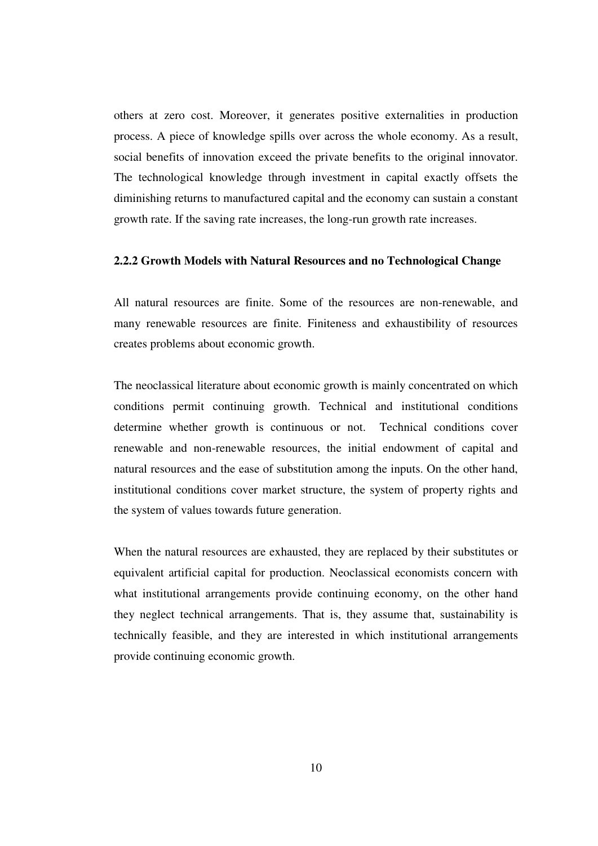others at zero cost. Moreover, it generates positive externalities in production process. A piece of knowledge spills over across the whole economy. As a result, social benefits of innovation exceed the private benefits to the original innovator. The technological knowledge through investment in capital exactly offsets the diminishing returns to manufactured capital and the economy can sustain a constant growth rate. If the saving rate increases, the long-run growth rate increases.

#### **2.2.2 Growth Models with Natural Resources and no Technological Change**

All natural resources are finite. Some of the resources are non-renewable, and many renewable resources are finite. Finiteness and exhaustibility of resources creates problems about economic growth.

The neoclassical literature about economic growth is mainly concentrated on which conditions permit continuing growth. Technical and institutional conditions determine whether growth is continuous or not. Technical conditions cover renewable and non-renewable resources, the initial endowment of capital and natural resources and the ease of substitution among the inputs. On the other hand, institutional conditions cover market structure, the system of property rights and the system of values towards future generation.

When the natural resources are exhausted, they are replaced by their substitutes or equivalent artificial capital for production. Neoclassical economists concern with what institutional arrangements provide continuing economy, on the other hand they neglect technical arrangements. That is, they assume that, sustainability is technically feasible, and they are interested in which institutional arrangements provide continuing economic growth.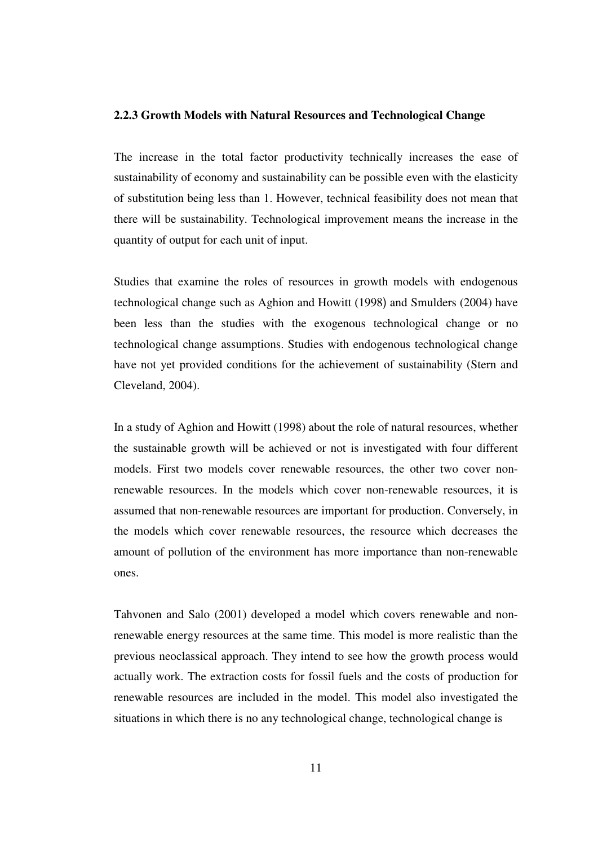#### **2.2.3 Growth Models with Natural Resources and Technological Change**

The increase in the total factor productivity technically increases the ease of sustainability of economy and sustainability can be possible even with the elasticity of substitution being less than 1. However, technical feasibility does not mean that there will be sustainability. Technological improvement means the increase in the quantity of output for each unit of input.

Studies that examine the roles of resources in growth models with endogenous technological change such as Aghion and Howitt (1998) and Smulders (2004) have been less than the studies with the exogenous technological change or no technological change assumptions. Studies with endogenous technological change have not yet provided conditions for the achievement of sustainability (Stern and Cleveland, 2004).

In a study of Aghion and Howitt (1998) about the role of natural resources, whether the sustainable growth will be achieved or not is investigated with four different models. First two models cover renewable resources, the other two cover nonrenewable resources. In the models which cover non-renewable resources, it is assumed that non-renewable resources are important for production. Conversely, in the models which cover renewable resources, the resource which decreases the amount of pollution of the environment has more importance than non-renewable ones.

Tahvonen and Salo (2001) developed a model which covers renewable and nonrenewable energy resources at the same time. This model is more realistic than the previous neoclassical approach. They intend to see how the growth process would actually work. The extraction costs for fossil fuels and the costs of production for renewable resources are included in the model. This model also investigated the situations in which there is no any technological change, technological change is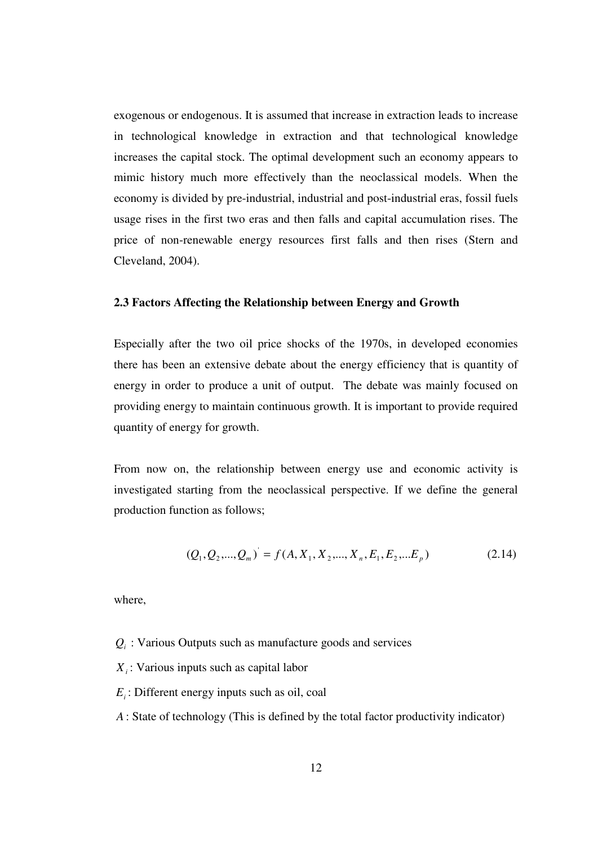exogenous or endogenous. It is assumed that increase in extraction leads to increase in technological knowledge in extraction and that technological knowledge increases the capital stock. The optimal development such an economy appears to mimic history much more effectively than the neoclassical models. When the economy is divided by pre-industrial, industrial and post-industrial eras, fossil fuels usage rises in the first two eras and then falls and capital accumulation rises. The price of non-renewable energy resources first falls and then rises (Stern and Cleveland, 2004).

### **2.3 Factors Affecting the Relationship between Energy and Growth**

Especially after the two oil price shocks of the 1970s, in developed economies there has been an extensive debate about the energy efficiency that is quantity of energy in order to produce a unit of output. The debate was mainly focused on providing energy to maintain continuous growth. It is important to provide required quantity of energy for growth.

From now on, the relationship between energy use and economic activity is investigated starting from the neoclassical perspective. If we define the general production function as follows;

$$
(Q_1, Q_2, ..., Q_m) = f(A, X_1, X_2, ..., X_n, E_1, E_2, ... E_p)
$$
\n(2.14)

where,

- $Q_i$ : Various Outputs such as manufacture goods and services
- *Xi* : Various inputs such as capital labor
- *Ei* : Different energy inputs such as oil, coal
- *A* : State of technology (This is defined by the total factor productivity indicator)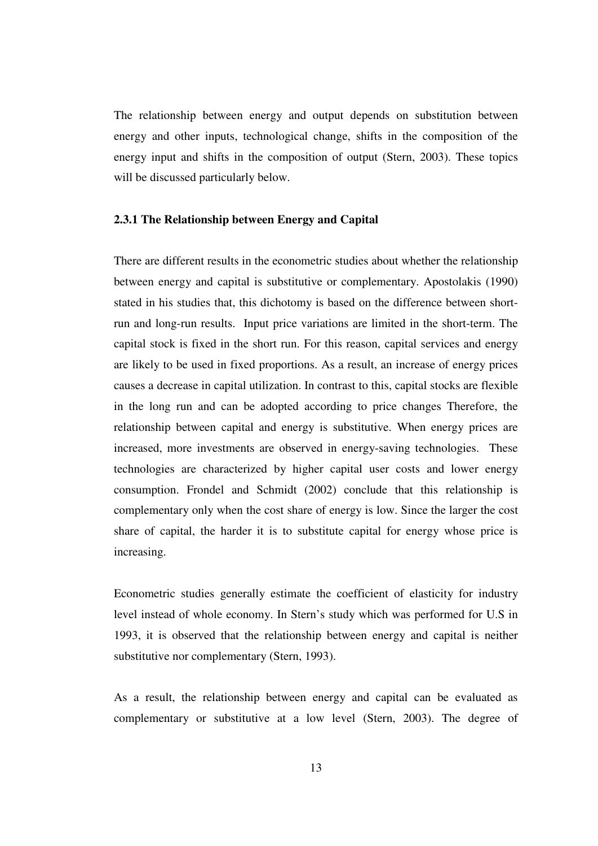The relationship between energy and output depends on substitution between energy and other inputs, technological change, shifts in the composition of the energy input and shifts in the composition of output (Stern, 2003). These topics will be discussed particularly below.

#### **2.3.1 The Relationship between Energy and Capital**

There are different results in the econometric studies about whether the relationship between energy and capital is substitutive or complementary. Apostolakis (1990) stated in his studies that, this dichotomy is based on the difference between shortrun and long-run results. Input price variations are limited in the short-term. The capital stock is fixed in the short run. For this reason, capital services and energy are likely to be used in fixed proportions. As a result, an increase of energy prices causes a decrease in capital utilization. In contrast to this, capital stocks are flexible in the long run and can be adopted according to price changes Therefore, the relationship between capital and energy is substitutive. When energy prices are increased, more investments are observed in energy-saving technologies. These technologies are characterized by higher capital user costs and lower energy consumption. Frondel and Schmidt (2002) conclude that this relationship is complementary only when the cost share of energy is low. Since the larger the cost share of capital, the harder it is to substitute capital for energy whose price is increasing.

Econometric studies generally estimate the coefficient of elasticity for industry level instead of whole economy. In Stern's study which was performed for U.S in 1993, it is observed that the relationship between energy and capital is neither substitutive nor complementary (Stern, 1993).

As a result, the relationship between energy and capital can be evaluated as complementary or substitutive at a low level (Stern, 2003). The degree of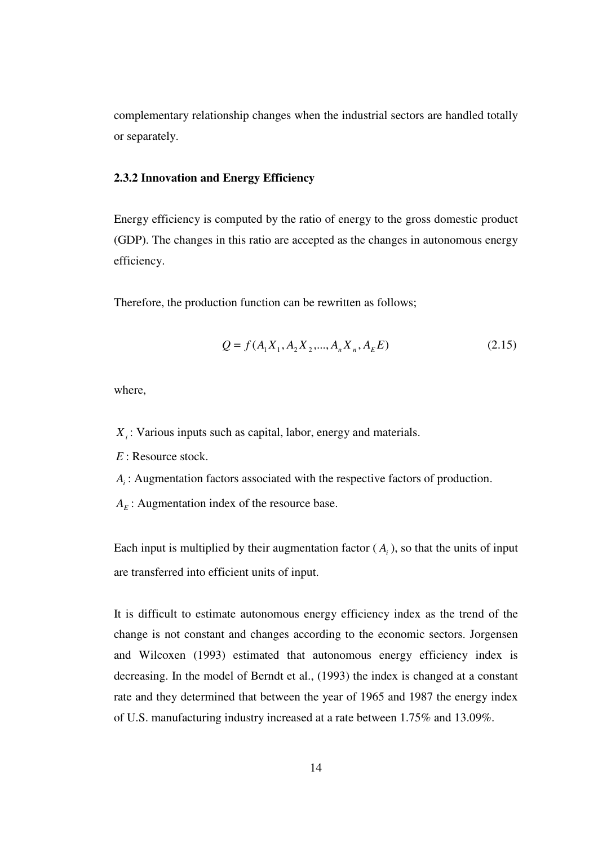complementary relationship changes when the industrial sectors are handled totally or separately.

#### **2.3.2 Innovation and Energy Efficiency**

Energy efficiency is computed by the ratio of energy to the gross domestic product (GDP). The changes in this ratio are accepted as the changes in autonomous energy efficiency.

Therefore, the production function can be rewritten as follows;

$$
Q = f(A_1 X_1, A_2 X_2, \dots, A_n X_n, A_E E)
$$
 (2.15)

where,

*Xi* : Various inputs such as capital, labor, energy and materials.

*E* : Resource stock.

- *Ai* : Augmentation factors associated with the respective factors of production.
- $A_E$ : Augmentation index of the resource base.

Each input is multiplied by their augmentation factor  $(A<sub>i</sub>)$ , so that the units of input are transferred into efficient units of input.

It is difficult to estimate autonomous energy efficiency index as the trend of the change is not constant and changes according to the economic sectors. Jorgensen and Wilcoxen (1993) estimated that autonomous energy efficiency index is decreasing. In the model of Berndt et al., (1993) the index is changed at a constant rate and they determined that between the year of 1965 and 1987 the energy index of U.S. manufacturing industry increased at a rate between 1.75% and 13.09%.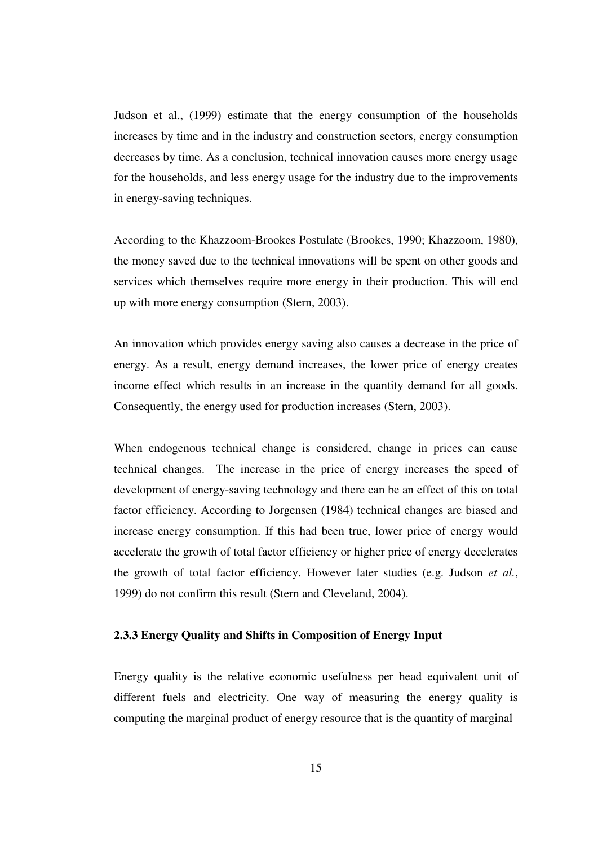Judson et al., (1999) estimate that the energy consumption of the households increases by time and in the industry and construction sectors, energy consumption decreases by time. As a conclusion, technical innovation causes more energy usage for the households, and less energy usage for the industry due to the improvements in energy-saving techniques.

According to the Khazzoom-Brookes Postulate (Brookes, 1990; Khazzoom, 1980), the money saved due to the technical innovations will be spent on other goods and services which themselves require more energy in their production. This will end up with more energy consumption (Stern, 2003).

An innovation which provides energy saving also causes a decrease in the price of energy. As a result, energy demand increases, the lower price of energy creates income effect which results in an increase in the quantity demand for all goods. Consequently, the energy used for production increases (Stern, 2003).

When endogenous technical change is considered, change in prices can cause technical changes. The increase in the price of energy increases the speed of development of energy-saving technology and there can be an effect of this on total factor efficiency. According to Jorgensen (1984) technical changes are biased and increase energy consumption. If this had been true, lower price of energy would accelerate the growth of total factor efficiency or higher price of energy decelerates the growth of total factor efficiency. However later studies (e.g. Judson *et al.*, 1999) do not confirm this result (Stern and Cleveland, 2004).

#### **2.3.3 Energy Quality and Shifts in Composition of Energy Input**

Energy quality is the relative economic usefulness per head equivalent unit of different fuels and electricity. One way of measuring the energy quality is computing the marginal product of energy resource that is the quantity of marginal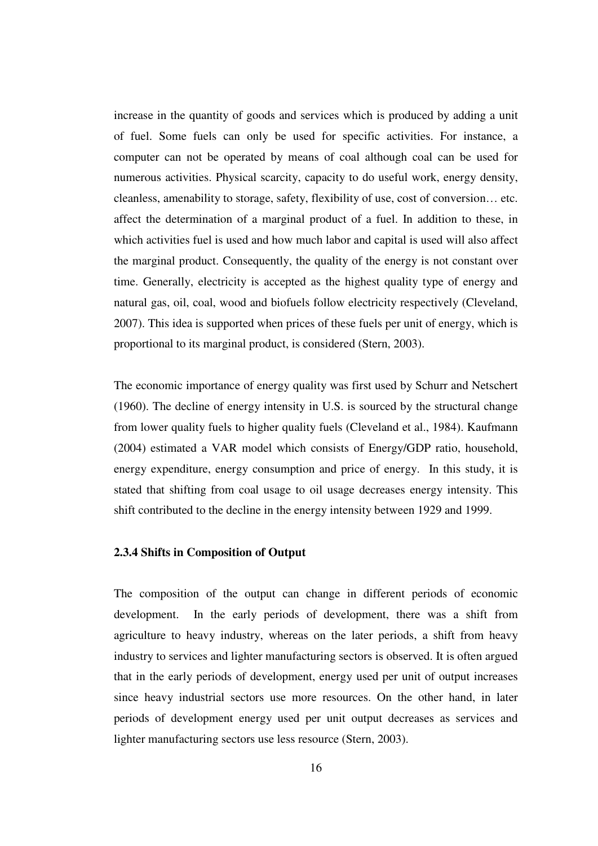increase in the quantity of goods and services which is produced by adding a unit of fuel. Some fuels can only be used for specific activities. For instance, a computer can not be operated by means of coal although coal can be used for numerous activities. Physical scarcity, capacity to do useful work, energy density, cleanless, amenability to storage, safety, flexibility of use, cost of conversion… etc. affect the determination of a marginal product of a fuel. In addition to these, in which activities fuel is used and how much labor and capital is used will also affect the marginal product. Consequently, the quality of the energy is not constant over time. Generally, electricity is accepted as the highest quality type of energy and natural gas, oil, coal, wood and biofuels follow electricity respectively (Cleveland, 2007). This idea is supported when prices of these fuels per unit of energy, which is proportional to its marginal product, is considered (Stern, 2003).

The economic importance of energy quality was first used by Schurr and Netschert (1960). The decline of energy intensity in U.S. is sourced by the structural change from lower quality fuels to higher quality fuels (Cleveland et al., 1984). Kaufmann (2004) estimated a VAR model which consists of Energy/GDP ratio, household, energy expenditure, energy consumption and price of energy. In this study, it is stated that shifting from coal usage to oil usage decreases energy intensity. This shift contributed to the decline in the energy intensity between 1929 and 1999.

#### **2.3.4 Shifts in Composition of Output**

The composition of the output can change in different periods of economic development. In the early periods of development, there was a shift from agriculture to heavy industry, whereas on the later periods, a shift from heavy industry to services and lighter manufacturing sectors is observed. It is often argued that in the early periods of development, energy used per unit of output increases since heavy industrial sectors use more resources. On the other hand, in later periods of development energy used per unit output decreases as services and lighter manufacturing sectors use less resource (Stern, 2003).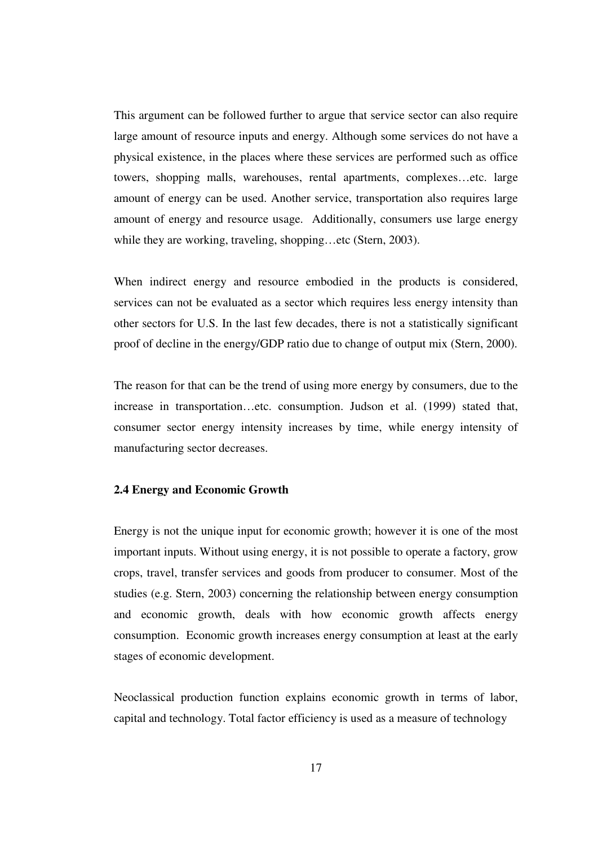This argument can be followed further to argue that service sector can also require large amount of resource inputs and energy. Although some services do not have a physical existence, in the places where these services are performed such as office towers, shopping malls, warehouses, rental apartments, complexes…etc. large amount of energy can be used. Another service, transportation also requires large amount of energy and resource usage. Additionally, consumers use large energy while they are working, traveling, shopping…etc (Stern, 2003).

When indirect energy and resource embodied in the products is considered, services can not be evaluated as a sector which requires less energy intensity than other sectors for U.S. In the last few decades, there is not a statistically significant proof of decline in the energy/GDP ratio due to change of output mix (Stern, 2000).

The reason for that can be the trend of using more energy by consumers, due to the increase in transportation…etc. consumption. Judson et al. (1999) stated that, consumer sector energy intensity increases by time, while energy intensity of manufacturing sector decreases.

#### **2.4 Energy and Economic Growth**

Energy is not the unique input for economic growth; however it is one of the most important inputs. Without using energy, it is not possible to operate a factory, grow crops, travel, transfer services and goods from producer to consumer. Most of the studies (e.g. Stern, 2003) concerning the relationship between energy consumption and economic growth, deals with how economic growth affects energy consumption. Economic growth increases energy consumption at least at the early stages of economic development.

Neoclassical production function explains economic growth in terms of labor, capital and technology. Total factor efficiency is used as a measure of technology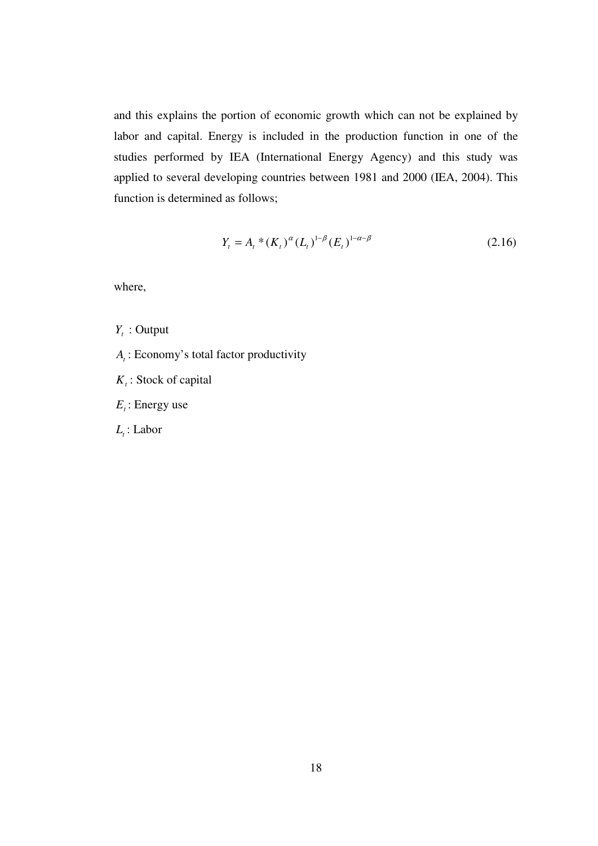and this explains the portion of economic growth which can not be explained by labor and capital. Energy is included in the production function in one of the studies performed by IEA (International Energy Agency) and this study was applied to several developing countries between 1981 and 2000 (IEA, 2004). This function is determined as follows;

$$
Y_t = A_t * (K_t)^\alpha (L_t)^{1-\beta} (E_t)^{1-\alpha-\beta}
$$
\n(2.16)

where,

- *Yt* : Output
- *At* : Economy's total factor productivity
- *Kt* : Stock of capital
- *Et* : Energy use
- *Lt* : Labor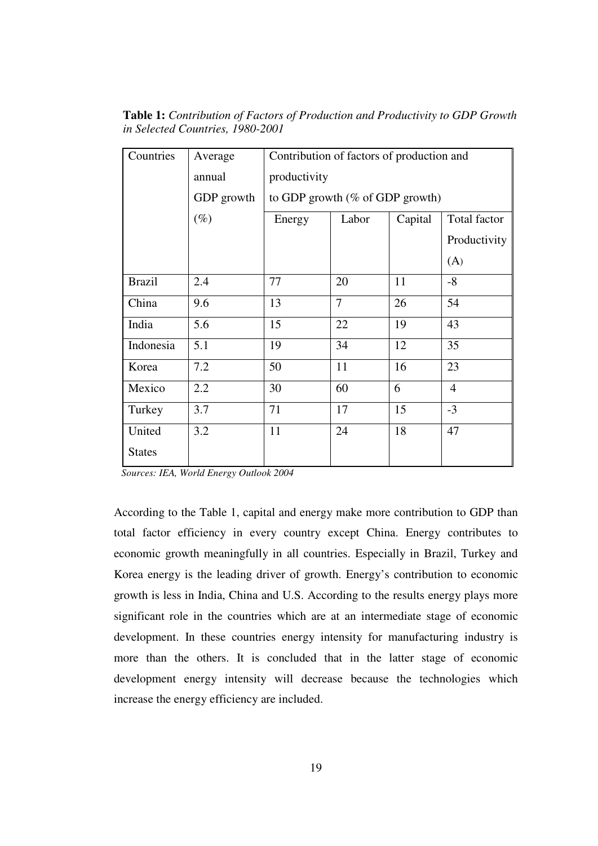| Countries     | Average    | Contribution of factors of production and |                |         |                |  |
|---------------|------------|-------------------------------------------|----------------|---------|----------------|--|
|               | annual     | productivity                              |                |         |                |  |
|               | GDP growth | to GDP growth ( $\%$ of GDP growth)       |                |         |                |  |
|               | $(\%)$     | Energy                                    | Labor          | Capital | Total factor   |  |
|               |            |                                           |                |         | Productivity   |  |
|               |            |                                           |                |         | (A)            |  |
| <b>Brazil</b> | 2.4        | 77                                        | 20             | 11      | $-8$           |  |
| China         | 9.6        | 13                                        | $\overline{7}$ | 26      | 54             |  |
| India         | 5.6        | 15                                        | 22             | 19      | 43             |  |
| Indonesia     | 5.1        | 19                                        | 34             | 12      | 35             |  |
| Korea         | 7.2        | 50                                        | 11             | 16      | 23             |  |
| Mexico        | 2.2        | 30                                        | 60             | 6       | $\overline{4}$ |  |
| Turkey        | 3.7        | 71                                        | 17             | 15      | $-3$           |  |
| United        | 3.2        | 11                                        | 24             | 18      | 47             |  |
| <b>States</b> |            |                                           |                |         |                |  |

**Table 1:** *Contribution of Factors of Production and Productivity to GDP Growth in Selected Countries, 1980-2001*

 *Sources: IEA, World Energy Outlook 2004* 

According to the Table 1, capital and energy make more contribution to GDP than total factor efficiency in every country except China. Energy contributes to economic growth meaningfully in all countries. Especially in Brazil, Turkey and Korea energy is the leading driver of growth. Energy's contribution to economic growth is less in India, China and U.S. According to the results energy plays more significant role in the countries which are at an intermediate stage of economic development. In these countries energy intensity for manufacturing industry is more than the others. It is concluded that in the latter stage of economic development energy intensity will decrease because the technologies which increase the energy efficiency are included.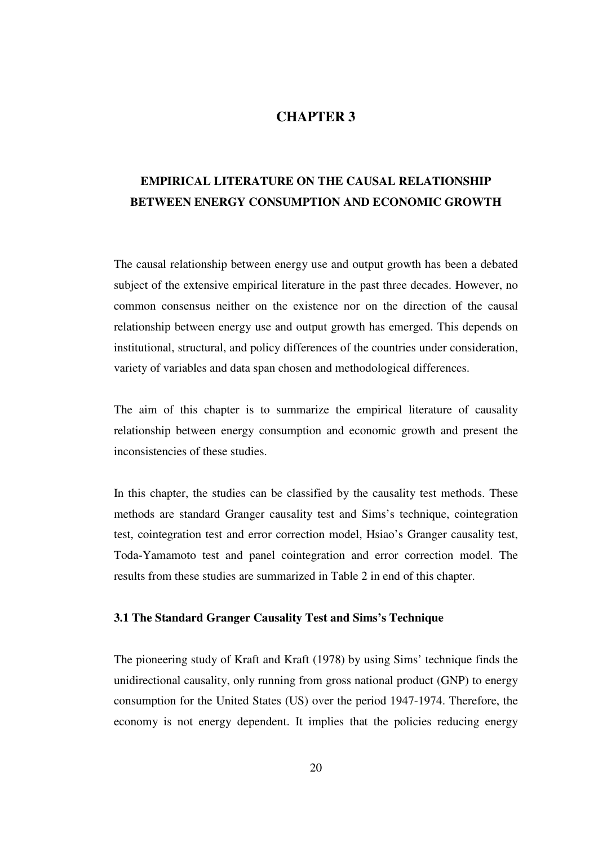## **CHAPTER 3**

# **EMPIRICAL LITERATURE ON THE CAUSAL RELATIONSHIP BETWEEN ENERGY CONSUMPTION AND ECONOMIC GROWTH**

The causal relationship between energy use and output growth has been a debated subject of the extensive empirical literature in the past three decades. However, no common consensus neither on the existence nor on the direction of the causal relationship between energy use and output growth has emerged. This depends on institutional, structural, and policy differences of the countries under consideration, variety of variables and data span chosen and methodological differences.

The aim of this chapter is to summarize the empirical literature of causality relationship between energy consumption and economic growth and present the inconsistencies of these studies.

In this chapter, the studies can be classified by the causality test methods. These methods are standard Granger causality test and Sims's technique, cointegration test, cointegration test and error correction model, Hsiao's Granger causality test, Toda-Yamamoto test and panel cointegration and error correction model. The results from these studies are summarized in Table 2 in end of this chapter.

#### **3.1 The Standard Granger Causality Test and Sims's Technique**

The pioneering study of Kraft and Kraft (1978) by using Sims' technique finds the unidirectional causality, only running from gross national product (GNP) to energy consumption for the United States (US) over the period 1947-1974. Therefore, the economy is not energy dependent. It implies that the policies reducing energy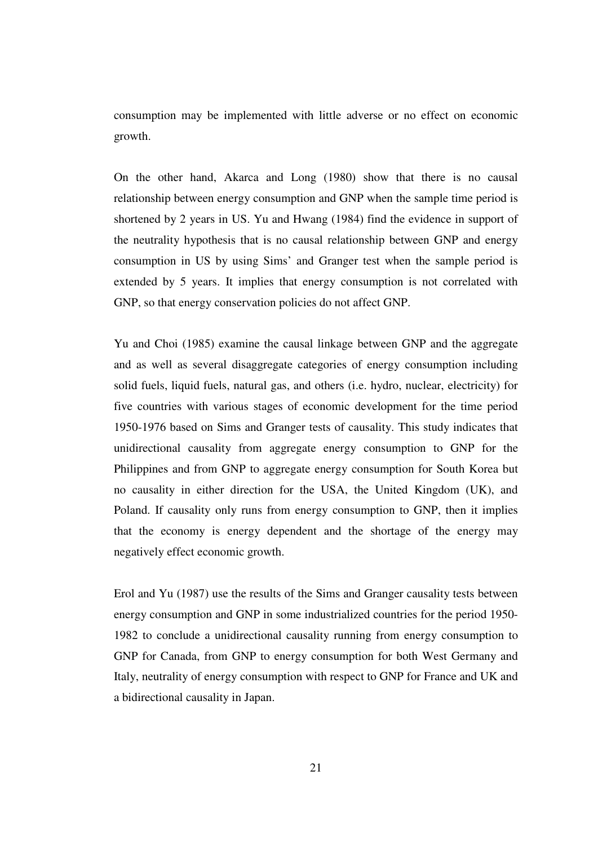consumption may be implemented with little adverse or no effect on economic growth.

On the other hand, Akarca and Long (1980) show that there is no causal relationship between energy consumption and GNP when the sample time period is shortened by 2 years in US. Yu and Hwang (1984) find the evidence in support of the neutrality hypothesis that is no causal relationship between GNP and energy consumption in US by using Sims' and Granger test when the sample period is extended by 5 years. It implies that energy consumption is not correlated with GNP, so that energy conservation policies do not affect GNP.

Yu and Choi (1985) examine the causal linkage between GNP and the aggregate and as well as several disaggregate categories of energy consumption including solid fuels, liquid fuels, natural gas, and others (i.e. hydro, nuclear, electricity) for five countries with various stages of economic development for the time period 1950-1976 based on Sims and Granger tests of causality. This study indicates that unidirectional causality from aggregate energy consumption to GNP for the Philippines and from GNP to aggregate energy consumption for South Korea but no causality in either direction for the USA, the United Kingdom (UK), and Poland. If causality only runs from energy consumption to GNP, then it implies that the economy is energy dependent and the shortage of the energy may negatively effect economic growth.

Erol and Yu (1987) use the results of the Sims and Granger causality tests between energy consumption and GNP in some industrialized countries for the period 1950- 1982 to conclude a unidirectional causality running from energy consumption to GNP for Canada, from GNP to energy consumption for both West Germany and Italy, neutrality of energy consumption with respect to GNP for France and UK and a bidirectional causality in Japan.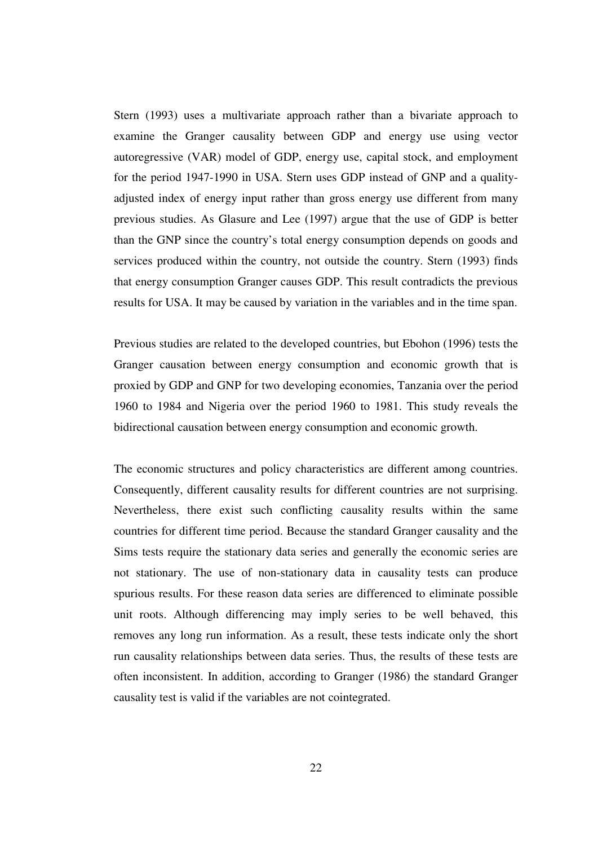Stern (1993) uses a multivariate approach rather than a bivariate approach to examine the Granger causality between GDP and energy use using vector autoregressive (VAR) model of GDP, energy use, capital stock, and employment for the period 1947-1990 in USA. Stern uses GDP instead of GNP and a qualityadjusted index of energy input rather than gross energy use different from many previous studies. As Glasure and Lee (1997) argue that the use of GDP is better than the GNP since the country's total energy consumption depends on goods and services produced within the country, not outside the country. Stern (1993) finds that energy consumption Granger causes GDP. This result contradicts the previous results for USA. It may be caused by variation in the variables and in the time span.

Previous studies are related to the developed countries, but Ebohon (1996) tests the Granger causation between energy consumption and economic growth that is proxied by GDP and GNP for two developing economies, Tanzania over the period 1960 to 1984 and Nigeria over the period 1960 to 1981. This study reveals the bidirectional causation between energy consumption and economic growth.

The economic structures and policy characteristics are different among countries. Consequently, different causality results for different countries are not surprising. Nevertheless, there exist such conflicting causality results within the same countries for different time period. Because the standard Granger causality and the Sims tests require the stationary data series and generally the economic series are not stationary. The use of non-stationary data in causality tests can produce spurious results. For these reason data series are differenced to eliminate possible unit roots. Although differencing may imply series to be well behaved, this removes any long run information. As a result, these tests indicate only the short run causality relationships between data series. Thus, the results of these tests are often inconsistent. In addition, according to Granger (1986) the standard Granger causality test is valid if the variables are not cointegrated.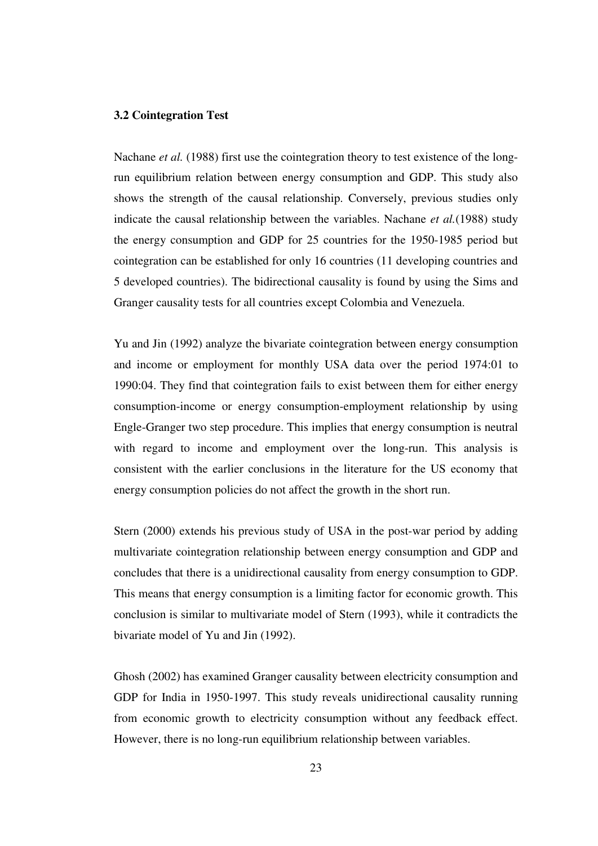#### **3.2 Cointegration Test**

Nachane *et al.* (1988) first use the cointegration theory to test existence of the longrun equilibrium relation between energy consumption and GDP. This study also shows the strength of the causal relationship. Conversely, previous studies only indicate the causal relationship between the variables. Nachane *et al.*(1988) study the energy consumption and GDP for 25 countries for the 1950-1985 period but cointegration can be established for only 16 countries (11 developing countries and 5 developed countries). The bidirectional causality is found by using the Sims and Granger causality tests for all countries except Colombia and Venezuela.

Yu and Jin (1992) analyze the bivariate cointegration between energy consumption and income or employment for monthly USA data over the period 1974:01 to 1990:04. They find that cointegration fails to exist between them for either energy consumption-income or energy consumption-employment relationship by using Engle-Granger two step procedure. This implies that energy consumption is neutral with regard to income and employment over the long-run. This analysis is consistent with the earlier conclusions in the literature for the US economy that energy consumption policies do not affect the growth in the short run.

Stern (2000) extends his previous study of USA in the post-war period by adding multivariate cointegration relationship between energy consumption and GDP and concludes that there is a unidirectional causality from energy consumption to GDP. This means that energy consumption is a limiting factor for economic growth. This conclusion is similar to multivariate model of Stern (1993), while it contradicts the bivariate model of Yu and Jin (1992).

Ghosh (2002) has examined Granger causality between electricity consumption and GDP for India in 1950-1997. This study reveals unidirectional causality running from economic growth to electricity consumption without any feedback effect. However, there is no long-run equilibrium relationship between variables.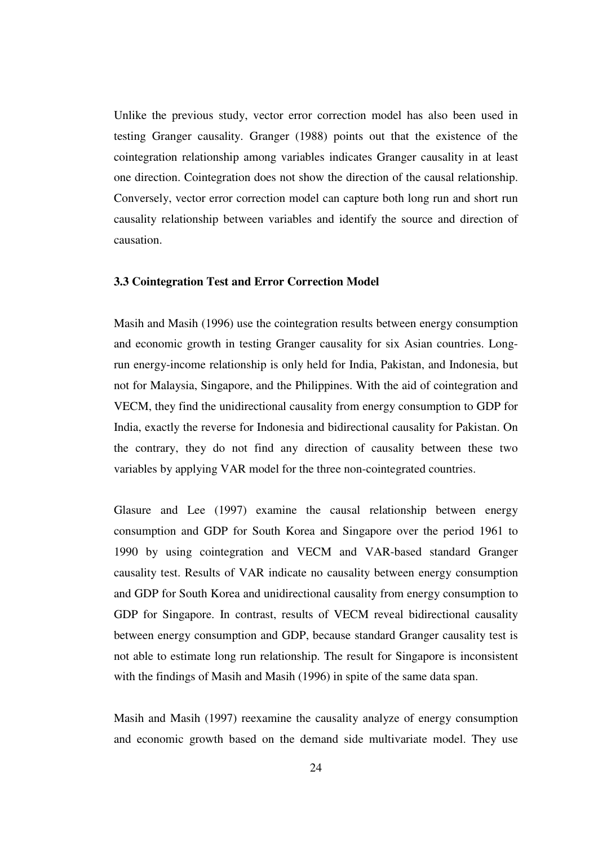Unlike the previous study, vector error correction model has also been used in testing Granger causality. Granger (1988) points out that the existence of the cointegration relationship among variables indicates Granger causality in at least one direction. Cointegration does not show the direction of the causal relationship. Conversely, vector error correction model can capture both long run and short run causality relationship between variables and identify the source and direction of causation.

#### **3.3 Cointegration Test and Error Correction Model**

Masih and Masih (1996) use the cointegration results between energy consumption and economic growth in testing Granger causality for six Asian countries. Longrun energy-income relationship is only held for India, Pakistan, and Indonesia, but not for Malaysia, Singapore, and the Philippines. With the aid of cointegration and VECM, they find the unidirectional causality from energy consumption to GDP for India, exactly the reverse for Indonesia and bidirectional causality for Pakistan. On the contrary, they do not find any direction of causality between these two variables by applying VAR model for the three non-cointegrated countries.

Glasure and Lee (1997) examine the causal relationship between energy consumption and GDP for South Korea and Singapore over the period 1961 to 1990 by using cointegration and VECM and VAR-based standard Granger causality test. Results of VAR indicate no causality between energy consumption and GDP for South Korea and unidirectional causality from energy consumption to GDP for Singapore. In contrast, results of VECM reveal bidirectional causality between energy consumption and GDP, because standard Granger causality test is not able to estimate long run relationship. The result for Singapore is inconsistent with the findings of Masih and Masih (1996) in spite of the same data span.

Masih and Masih (1997) reexamine the causality analyze of energy consumption and economic growth based on the demand side multivariate model. They use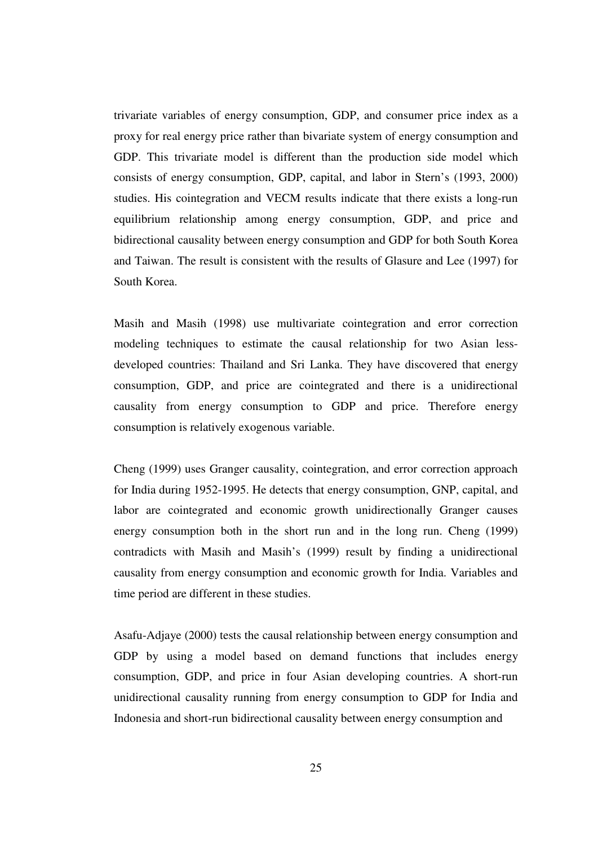trivariate variables of energy consumption, GDP, and consumer price index as a proxy for real energy price rather than bivariate system of energy consumption and GDP. This trivariate model is different than the production side model which consists of energy consumption, GDP, capital, and labor in Stern's (1993, 2000) studies. His cointegration and VECM results indicate that there exists a long-run equilibrium relationship among energy consumption, GDP, and price and bidirectional causality between energy consumption and GDP for both South Korea and Taiwan. The result is consistent with the results of Glasure and Lee (1997) for South Korea.

Masih and Masih (1998) use multivariate cointegration and error correction modeling techniques to estimate the causal relationship for two Asian lessdeveloped countries: Thailand and Sri Lanka. They have discovered that energy consumption, GDP, and price are cointegrated and there is a unidirectional causality from energy consumption to GDP and price. Therefore energy consumption is relatively exogenous variable.

Cheng (1999) uses Granger causality, cointegration, and error correction approach for India during 1952-1995. He detects that energy consumption, GNP, capital, and labor are cointegrated and economic growth unidirectionally Granger causes energy consumption both in the short run and in the long run. Cheng (1999) contradicts with Masih and Masih's (1999) result by finding a unidirectional causality from energy consumption and economic growth for India. Variables and time period are different in these studies.

Asafu-Adjaye (2000) tests the causal relationship between energy consumption and GDP by using a model based on demand functions that includes energy consumption, GDP, and price in four Asian developing countries. A short-run unidirectional causality running from energy consumption to GDP for India and Indonesia and short-run bidirectional causality between energy consumption and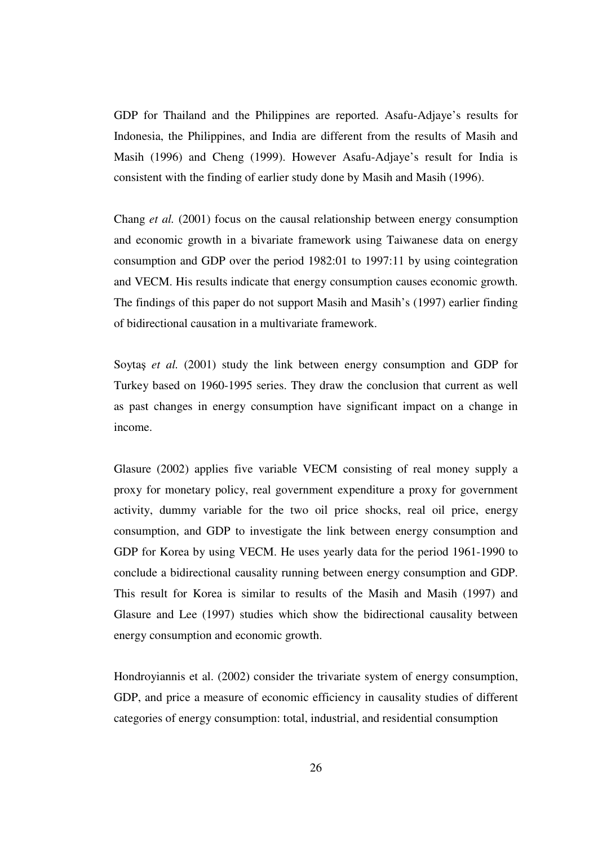GDP for Thailand and the Philippines are reported. Asafu-Adjaye's results for Indonesia, the Philippines, and India are different from the results of Masih and Masih (1996) and Cheng (1999). However Asafu-Adjaye's result for India is consistent with the finding of earlier study done by Masih and Masih (1996).

Chang *et al.* (2001) focus on the causal relationship between energy consumption and economic growth in a bivariate framework using Taiwanese data on energy consumption and GDP over the period 1982:01 to 1997:11 by using cointegration and VECM. His results indicate that energy consumption causes economic growth. The findings of this paper do not support Masih and Masih's (1997) earlier finding of bidirectional causation in a multivariate framework.

Soytaş *et al.* (2001) study the link between energy consumption and GDP for Turkey based on 1960-1995 series. They draw the conclusion that current as well as past changes in energy consumption have significant impact on a change in income.

Glasure (2002) applies five variable VECM consisting of real money supply a proxy for monetary policy, real government expenditure a proxy for government activity, dummy variable for the two oil price shocks, real oil price, energy consumption, and GDP to investigate the link between energy consumption and GDP for Korea by using VECM. He uses yearly data for the period 1961-1990 to conclude a bidirectional causality running between energy consumption and GDP. This result for Korea is similar to results of the Masih and Masih (1997) and Glasure and Lee (1997) studies which show the bidirectional causality between energy consumption and economic growth.

Hondroyiannis et al. (2002) consider the trivariate system of energy consumption, GDP, and price a measure of economic efficiency in causality studies of different categories of energy consumption: total, industrial, and residential consumption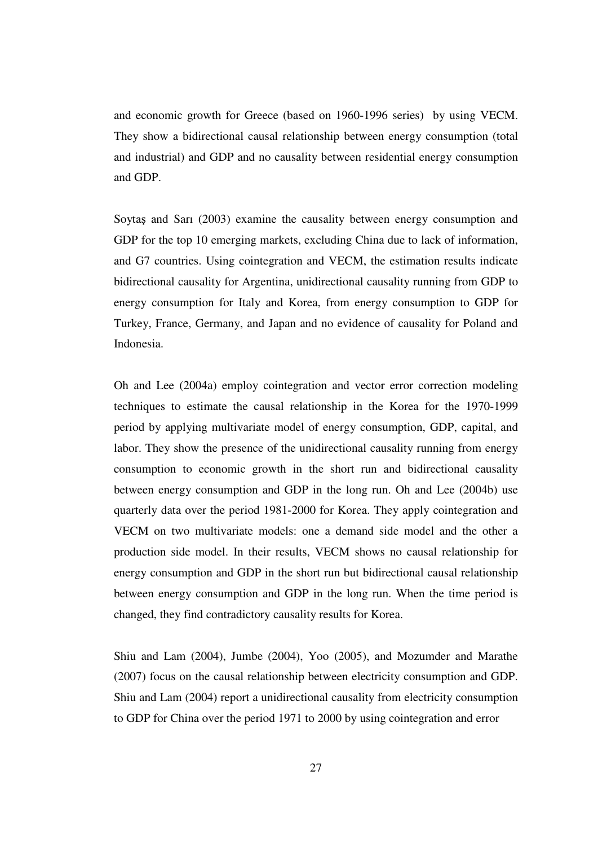and economic growth for Greece (based on 1960-1996 series) by using VECM. They show a bidirectional causal relationship between energy consumption (total and industrial) and GDP and no causality between residential energy consumption and GDP.

Soytaş and Sarı (2003) examine the causality between energy consumption and GDP for the top 10 emerging markets, excluding China due to lack of information, and G7 countries. Using cointegration and VECM, the estimation results indicate bidirectional causality for Argentina, unidirectional causality running from GDP to energy consumption for Italy and Korea, from energy consumption to GDP for Turkey, France, Germany, and Japan and no evidence of causality for Poland and Indonesia.

Oh and Lee (2004a) employ cointegration and vector error correction modeling techniques to estimate the causal relationship in the Korea for the 1970-1999 period by applying multivariate model of energy consumption, GDP, capital, and labor. They show the presence of the unidirectional causality running from energy consumption to economic growth in the short run and bidirectional causality between energy consumption and GDP in the long run. Oh and Lee (2004b) use quarterly data over the period 1981-2000 for Korea. They apply cointegration and VECM on two multivariate models: one a demand side model and the other a production side model. In their results, VECM shows no causal relationship for energy consumption and GDP in the short run but bidirectional causal relationship between energy consumption and GDP in the long run. When the time period is changed, they find contradictory causality results for Korea.

Shiu and Lam (2004), Jumbe (2004), Yoo (2005), and Mozumder and Marathe (2007) focus on the causal relationship between electricity consumption and GDP. Shiu and Lam (2004) report a unidirectional causality from electricity consumption to GDP for China over the period 1971 to 2000 by using cointegration and error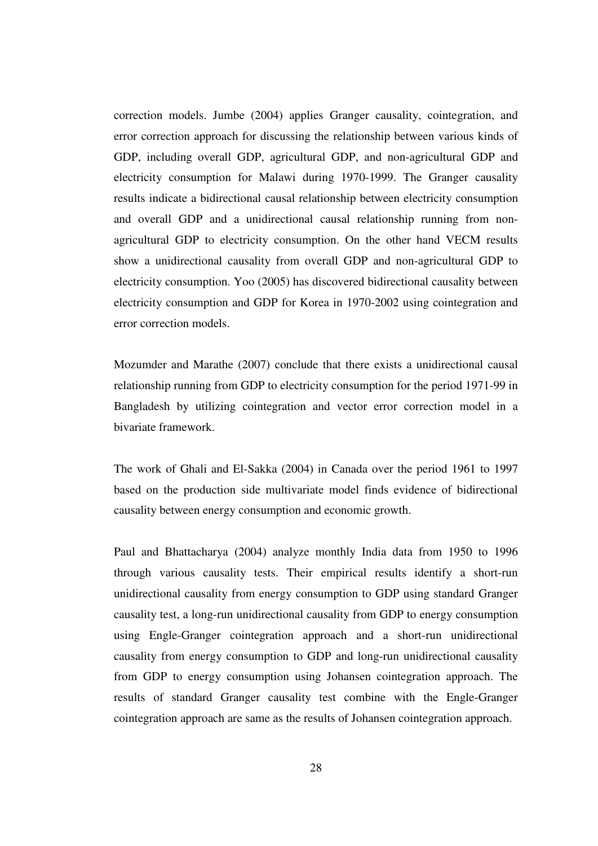correction models. Jumbe (2004) applies Granger causality, cointegration, and error correction approach for discussing the relationship between various kinds of GDP, including overall GDP, agricultural GDP, and non-agricultural GDP and electricity consumption for Malawi during 1970-1999. The Granger causality results indicate a bidirectional causal relationship between electricity consumption and overall GDP and a unidirectional causal relationship running from nonagricultural GDP to electricity consumption. On the other hand VECM results show a unidirectional causality from overall GDP and non-agricultural GDP to electricity consumption. Yoo (2005) has discovered bidirectional causality between electricity consumption and GDP for Korea in 1970-2002 using cointegration and error correction models.

Mozumder and Marathe (2007) conclude that there exists a unidirectional causal relationship running from GDP to electricity consumption for the period 1971-99 in Bangladesh by utilizing cointegration and vector error correction model in a bivariate framework.

The work of Ghali and El-Sakka (2004) in Canada over the period 1961 to 1997 based on the production side multivariate model finds evidence of bidirectional causality between energy consumption and economic growth.

Paul and Bhattacharya (2004) analyze monthly India data from 1950 to 1996 through various causality tests. Their empirical results identify a short-run unidirectional causality from energy consumption to GDP using standard Granger causality test, a long-run unidirectional causality from GDP to energy consumption using Engle-Granger cointegration approach and a short-run unidirectional causality from energy consumption to GDP and long-run unidirectional causality from GDP to energy consumption using Johansen cointegration approach. The results of standard Granger causality test combine with the Engle-Granger cointegration approach are same as the results of Johansen cointegration approach.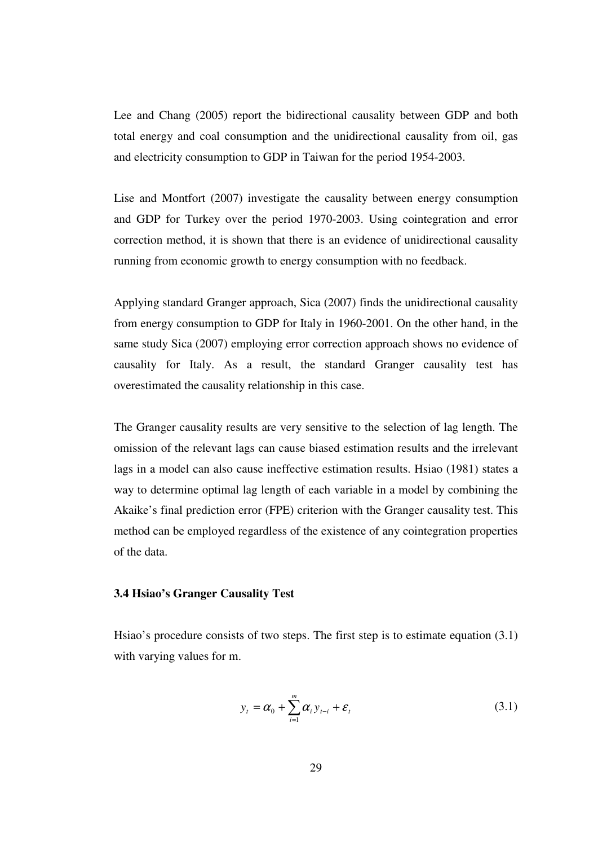Lee and Chang (2005) report the bidirectional causality between GDP and both total energy and coal consumption and the unidirectional causality from oil, gas and electricity consumption to GDP in Taiwan for the period 1954-2003.

Lise and Montfort (2007) investigate the causality between energy consumption and GDP for Turkey over the period 1970-2003. Using cointegration and error correction method, it is shown that there is an evidence of unidirectional causality running from economic growth to energy consumption with no feedback.

Applying standard Granger approach, Sica (2007) finds the unidirectional causality from energy consumption to GDP for Italy in 1960-2001. On the other hand, in the same study Sica (2007) employing error correction approach shows no evidence of causality for Italy. As a result, the standard Granger causality test has overestimated the causality relationship in this case.

The Granger causality results are very sensitive to the selection of lag length. The omission of the relevant lags can cause biased estimation results and the irrelevant lags in a model can also cause ineffective estimation results. Hsiao (1981) states a way to determine optimal lag length of each variable in a model by combining the Akaike's final prediction error (FPE) criterion with the Granger causality test. This method can be employed regardless of the existence of any cointegration properties of the data.

### **3.4 Hsiao's Granger Causality Test**

Hsiao's procedure consists of two steps. The first step is to estimate equation (3.1) with varying values for m.

$$
y_t = \alpha_0 + \sum_{i=1}^{m} \alpha_i y_{t-i} + \varepsilon_t
$$
\n(3.1)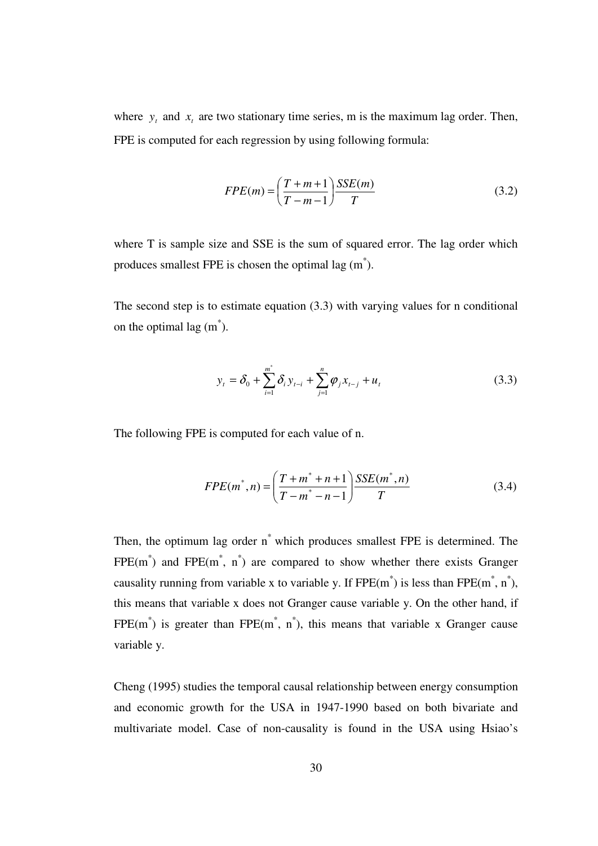where  $y_t$  and  $x_t$  are two stationary time series, m is the maximum lag order. Then, FPE is computed for each regression by using following formula:

$$
FPE(m) = \left(\frac{T+m+1}{T-m-1}\right) \frac{SSE(m)}{T}
$$
\n(3.2)

where T is sample size and SSE is the sum of squared error. The lag order which produces smallest FPE is chosen the optimal lag  $(m^* )$ .

The second step is to estimate equation (3.3) with varying values for n conditional on the optimal lag  $(m^*)$ .

$$
y_t = \delta_0 + \sum_{i=1}^{m^*} \delta_i y_{t-i} + \sum_{j=1}^{n} \varphi_j x_{t-j} + u_t
$$
 (3.3)

The following FPE is computed for each value of n.

$$
FPE(m^*, n) = \left(\frac{T + m^* + n + 1}{T - m^* - n - 1}\right) \frac{SSE(m^*, n)}{T}
$$
(3.4)

Then, the optimum lag order n\* which produces smallest FPE is determined. The  $FPE(m^*)$  and  $FPE(m^*, n^*)$  are compared to show whether there exists Granger causality running from variable x to variable y. If  $FPE(m^*)$  is less than  $FPE(m^*, n^*)$ , this means that variable x does not Granger cause variable y. On the other hand, if  $FPE(m^*)$  is greater than  $FPE(m^*, n^*)$ , this means that variable x Granger cause variable y.

Cheng (1995) studies the temporal causal relationship between energy consumption and economic growth for the USA in 1947-1990 based on both bivariate and multivariate model. Case of non-causality is found in the USA using Hsiao's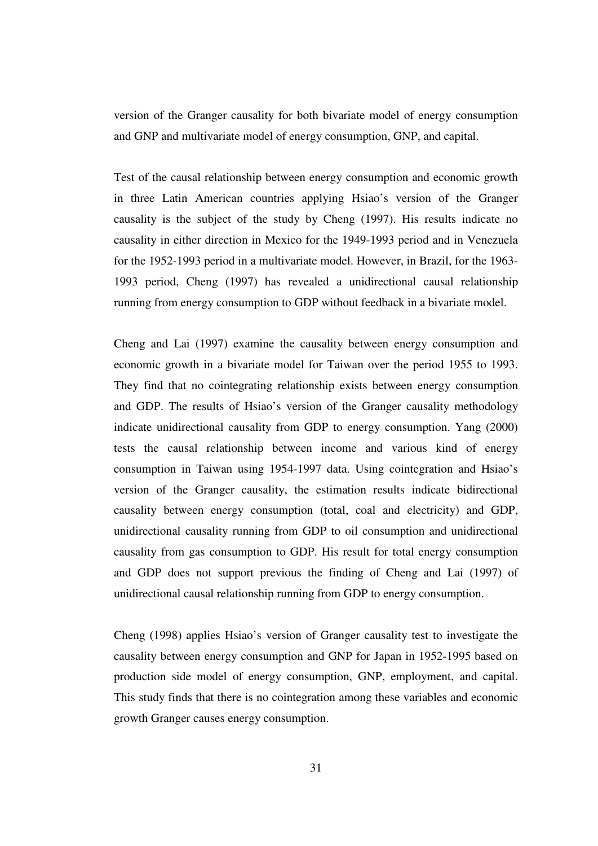version of the Granger causality for both bivariate model of energy consumption and GNP and multivariate model of energy consumption, GNP, and capital.

Test of the causal relationship between energy consumption and economic growth in three Latin American countries applying Hsiao's version of the Granger causality is the subject of the study by Cheng (1997). His results indicate no causality in either direction in Mexico for the 1949-1993 period and in Venezuela for the 1952-1993 period in a multivariate model. However, in Brazil, for the 1963- 1993 period, Cheng (1997) has revealed a unidirectional causal relationship running from energy consumption to GDP without feedback in a bivariate model.

Cheng and Lai (1997) examine the causality between energy consumption and economic growth in a bivariate model for Taiwan over the period 1955 to 1993. They find that no cointegrating relationship exists between energy consumption and GDP. The results of Hsiao's version of the Granger causality methodology indicate unidirectional causality from GDP to energy consumption. Yang (2000) tests the causal relationship between income and various kind of energy consumption in Taiwan using 1954-1997 data. Using cointegration and Hsiao's version of the Granger causality, the estimation results indicate bidirectional causality between energy consumption (total, coal and electricity) and GDP, unidirectional causality running from GDP to oil consumption and unidirectional causality from gas consumption to GDP. His result for total energy consumption and GDP does not support previous the finding of Cheng and Lai (1997) of unidirectional causal relationship running from GDP to energy consumption.

Cheng (1998) applies Hsiao's version of Granger causality test to investigate the causality between energy consumption and GNP for Japan in 1952-1995 based on production side model of energy consumption, GNP, employment, and capital. This study finds that there is no cointegration among these variables and economic growth Granger causes energy consumption.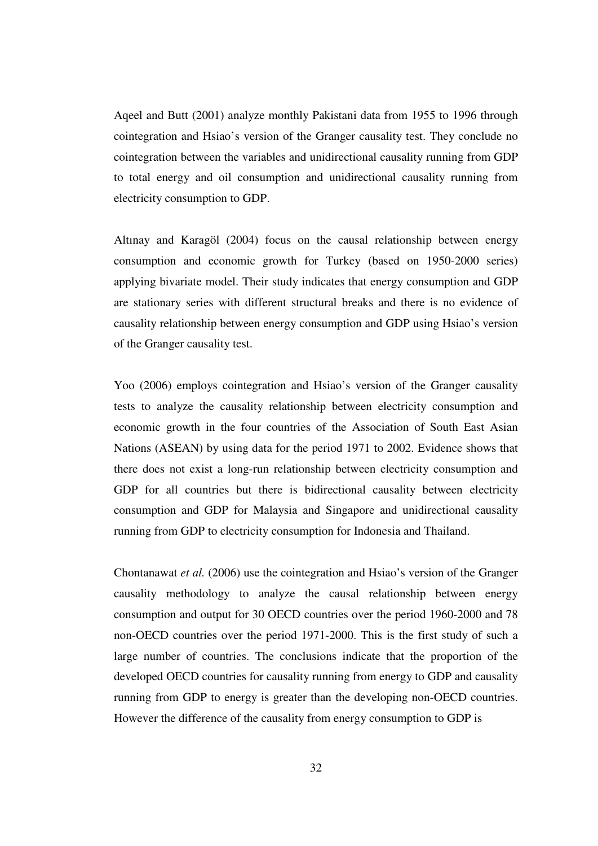Aqeel and Butt (2001) analyze monthly Pakistani data from 1955 to 1996 through cointegration and Hsiao's version of the Granger causality test. They conclude no cointegration between the variables and unidirectional causality running from GDP to total energy and oil consumption and unidirectional causality running from electricity consumption to GDP.

Altınay and Karagöl (2004) focus on the causal relationship between energy consumption and economic growth for Turkey (based on 1950-2000 series) applying bivariate model. Their study indicates that energy consumption and GDP are stationary series with different structural breaks and there is no evidence of causality relationship between energy consumption and GDP using Hsiao's version of the Granger causality test.

Yoo (2006) employs cointegration and Hsiao's version of the Granger causality tests to analyze the causality relationship between electricity consumption and economic growth in the four countries of the Association of South East Asian Nations (ASEAN) by using data for the period 1971 to 2002. Evidence shows that there does not exist a long-run relationship between electricity consumption and GDP for all countries but there is bidirectional causality between electricity consumption and GDP for Malaysia and Singapore and unidirectional causality running from GDP to electricity consumption for Indonesia and Thailand.

Chontanawat *et al.* (2006) use the cointegration and Hsiao's version of the Granger causality methodology to analyze the causal relationship between energy consumption and output for 30 OECD countries over the period 1960-2000 and 78 non-OECD countries over the period 1971-2000. This is the first study of such a large number of countries. The conclusions indicate that the proportion of the developed OECD countries for causality running from energy to GDP and causality running from GDP to energy is greater than the developing non-OECD countries. However the difference of the causality from energy consumption to GDP is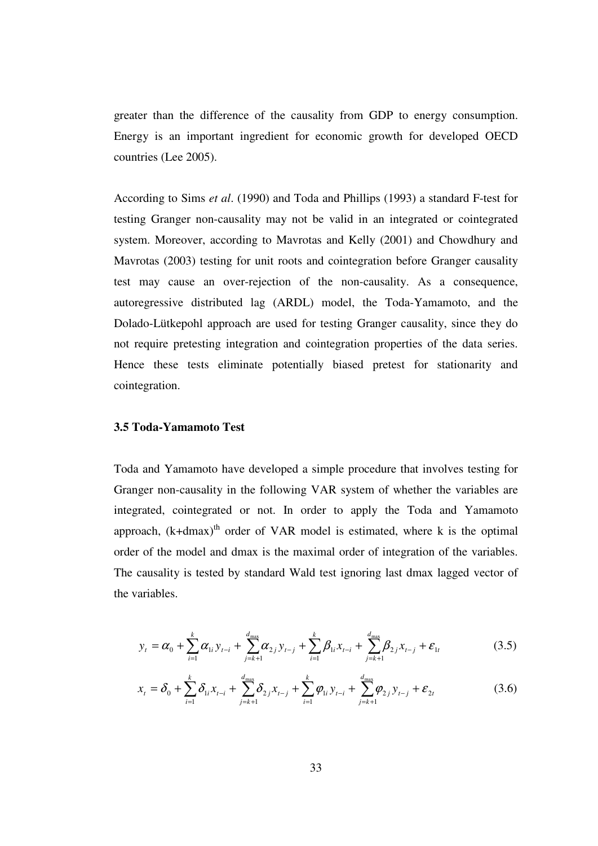greater than the difference of the causality from GDP to energy consumption. Energy is an important ingredient for economic growth for developed OECD countries (Lee 2005).

According to Sims *et al*. (1990) and Toda and Phillips (1993) a standard F-test for testing Granger non-causality may not be valid in an integrated or cointegrated system. Moreover, according to Mavrotas and Kelly (2001) and Chowdhury and Mavrotas (2003) testing for unit roots and cointegration before Granger causality test may cause an over-rejection of the non-causality. As a consequence, autoregressive distributed lag (ARDL) model, the Toda-Yamamoto, and the Dolado-Lütkepohl approach are used for testing Granger causality, since they do not require pretesting integration and cointegration properties of the data series. Hence these tests eliminate potentially biased pretest for stationarity and cointegration.

#### **3.5 Toda-Yamamoto Test**

Toda and Yamamoto have developed a simple procedure that involves testing for Granger non-causality in the following VAR system of whether the variables are integrated, cointegrated or not. In order to apply the Toda and Yamamoto approach,  $(k+dmax)^{th}$  order of VAR model is estimated, where k is the optimal order of the model and dmax is the maximal order of integration of the variables. The causality is tested by standard Wald test ignoring last dmax lagged vector of the variables.

$$
y_{t} = \alpha_{0} + \sum_{i=1}^{k} \alpha_{1i} y_{t-i} + \sum_{j=k+1}^{d_{\text{max}}} \alpha_{2j} y_{t-j} + \sum_{i=1}^{k} \beta_{1i} x_{t-i} + \sum_{j=k+1}^{d_{\text{max}}} \beta_{2j} x_{t-j} + \varepsilon_{1t}
$$
(3.5)

$$
x_{t} = \delta_{0} + \sum_{i=1}^{k} \delta_{1i} x_{t-i} + \sum_{j=k+1}^{d_{\text{max}}} \delta_{2j} x_{t-j} + \sum_{i=1}^{k} \varphi_{1i} y_{t-i} + \sum_{j=k+1}^{d_{\text{max}}} \varphi_{2j} y_{t-j} + \varepsilon_{2t}
$$
(3.6)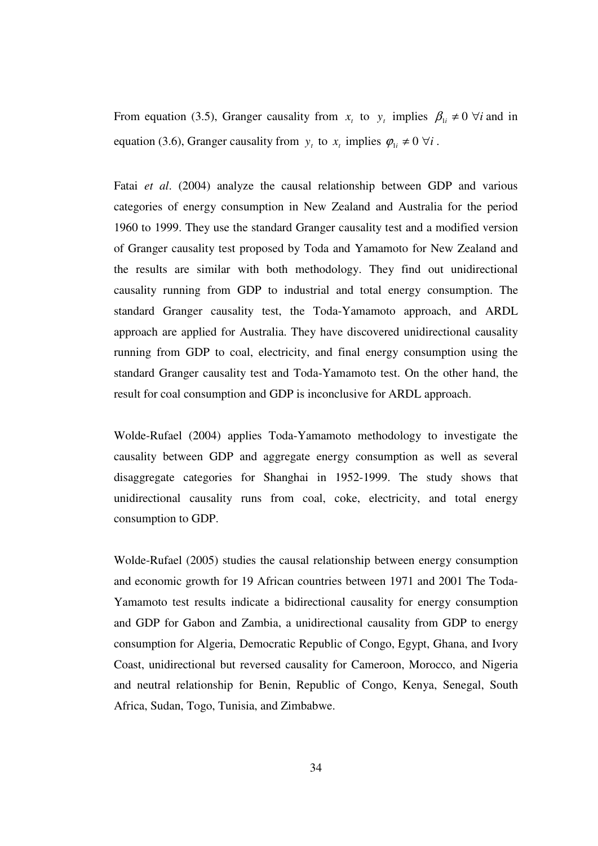From equation (3.5), Granger causality from  $x_t$  to  $y_t$  implies  $\beta_{1i} \neq 0$   $\forall i$  and in equation (3.6), Granger causality from  $y_t$  to  $x_t$  implies  $\varphi_{1i} \neq 0 \ \forall i$ .

Fatai *et al*. (2004) analyze the causal relationship between GDP and various categories of energy consumption in New Zealand and Australia for the period 1960 to 1999. They use the standard Granger causality test and a modified version of Granger causality test proposed by Toda and Yamamoto for New Zealand and the results are similar with both methodology. They find out unidirectional causality running from GDP to industrial and total energy consumption. The standard Granger causality test, the Toda-Yamamoto approach, and ARDL approach are applied for Australia. They have discovered unidirectional causality running from GDP to coal, electricity, and final energy consumption using the standard Granger causality test and Toda-Yamamoto test. On the other hand, the result for coal consumption and GDP is inconclusive for ARDL approach.

Wolde-Rufael (2004) applies Toda-Yamamoto methodology to investigate the causality between GDP and aggregate energy consumption as well as several disaggregate categories for Shanghai in 1952-1999. The study shows that unidirectional causality runs from coal, coke, electricity, and total energy consumption to GDP.

Wolde-Rufael (2005) studies the causal relationship between energy consumption and economic growth for 19 African countries between 1971 and 2001 The Toda-Yamamoto test results indicate a bidirectional causality for energy consumption and GDP for Gabon and Zambia, a unidirectional causality from GDP to energy consumption for Algeria, Democratic Republic of Congo, Egypt, Ghana, and Ivory Coast, unidirectional but reversed causality for Cameroon, Morocco, and Nigeria and neutral relationship for Benin, Republic of Congo, Kenya, Senegal, South Africa, Sudan, Togo, Tunisia, and Zimbabwe.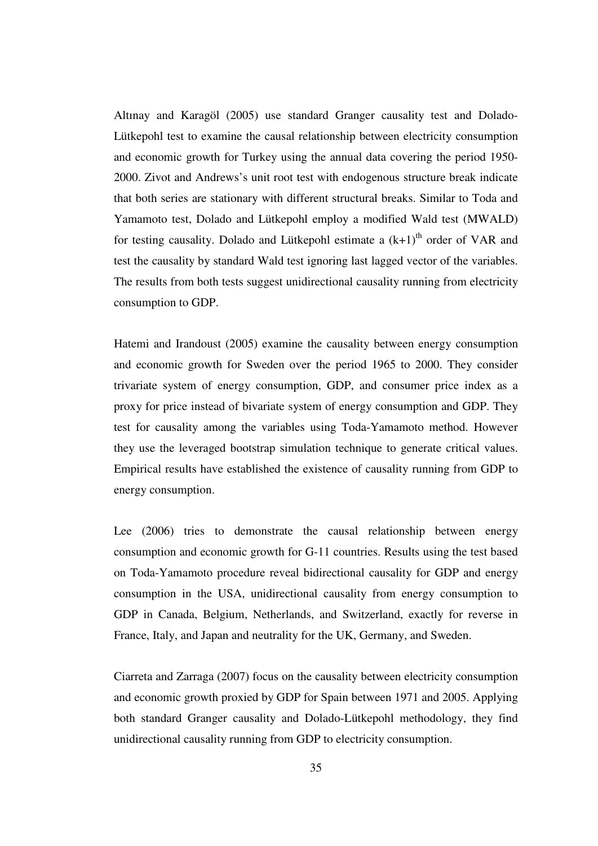Altınay and Karagöl (2005) use standard Granger causality test and Dolado-Lütkepohl test to examine the causal relationship between electricity consumption and economic growth for Turkey using the annual data covering the period 1950- 2000. Zivot and Andrews's unit root test with endogenous structure break indicate that both series are stationary with different structural breaks. Similar to Toda and Yamamoto test, Dolado and Lütkepohl employ a modified Wald test (MWALD) for testing causality. Dolado and Lütkepohl estimate a  $(k+1)$ <sup>th</sup> order of VAR and test the causality by standard Wald test ignoring last lagged vector of the variables. The results from both tests suggest unidirectional causality running from electricity consumption to GDP.

Hatemi and Irandoust (2005) examine the causality between energy consumption and economic growth for Sweden over the period 1965 to 2000. They consider trivariate system of energy consumption, GDP, and consumer price index as a proxy for price instead of bivariate system of energy consumption and GDP. They test for causality among the variables using Toda-Yamamoto method. However they use the leveraged bootstrap simulation technique to generate critical values. Empirical results have established the existence of causality running from GDP to energy consumption.

Lee (2006) tries to demonstrate the causal relationship between energy consumption and economic growth for G-11 countries. Results using the test based on Toda-Yamamoto procedure reveal bidirectional causality for GDP and energy consumption in the USA, unidirectional causality from energy consumption to GDP in Canada, Belgium, Netherlands, and Switzerland, exactly for reverse in France, Italy, and Japan and neutrality for the UK, Germany, and Sweden.

Ciarreta and Zarraga (2007) focus on the causality between electricity consumption and economic growth proxied by GDP for Spain between 1971 and 2005. Applying both standard Granger causality and Dolado-Lütkepohl methodology, they find unidirectional causality running from GDP to electricity consumption.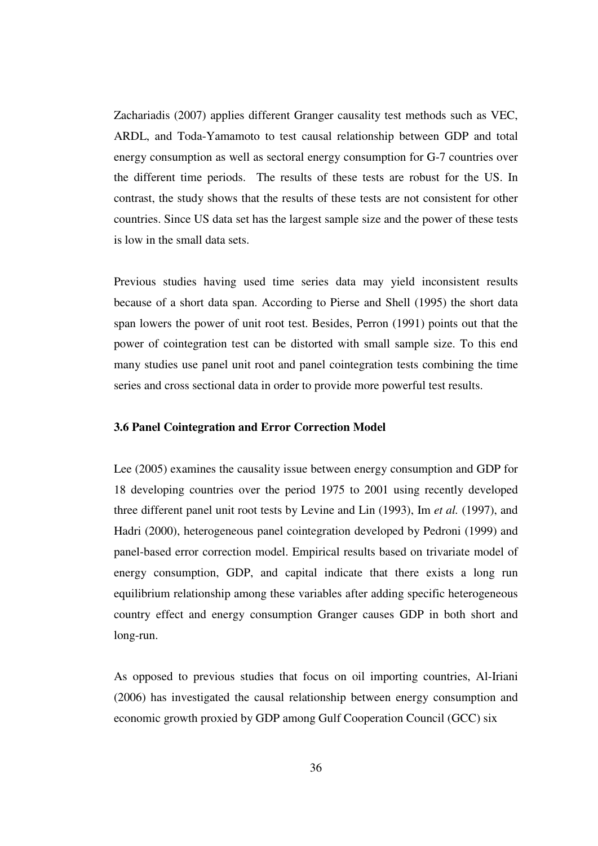Zachariadis (2007) applies different Granger causality test methods such as VEC, ARDL, and Toda-Yamamoto to test causal relationship between GDP and total energy consumption as well as sectoral energy consumption for G-7 countries over the different time periods. The results of these tests are robust for the US. In contrast, the study shows that the results of these tests are not consistent for other countries. Since US data set has the largest sample size and the power of these tests is low in the small data sets.

Previous studies having used time series data may yield inconsistent results because of a short data span. According to Pierse and Shell (1995) the short data span lowers the power of unit root test. Besides, Perron (1991) points out that the power of cointegration test can be distorted with small sample size. To this end many studies use panel unit root and panel cointegration tests combining the time series and cross sectional data in order to provide more powerful test results.

### **3.6 Panel Cointegration and Error Correction Model**

Lee (2005) examines the causality issue between energy consumption and GDP for 18 developing countries over the period 1975 to 2001 using recently developed three different panel unit root tests by Levine and Lin (1993), Im *et al.* (1997), and Hadri (2000), heterogeneous panel cointegration developed by Pedroni (1999) and panel-based error correction model. Empirical results based on trivariate model of energy consumption, GDP, and capital indicate that there exists a long run equilibrium relationship among these variables after adding specific heterogeneous country effect and energy consumption Granger causes GDP in both short and long-run.

As opposed to previous studies that focus on oil importing countries, Al-Iriani (2006) has investigated the causal relationship between energy consumption and economic growth proxied by GDP among Gulf Cooperation Council (GCC) six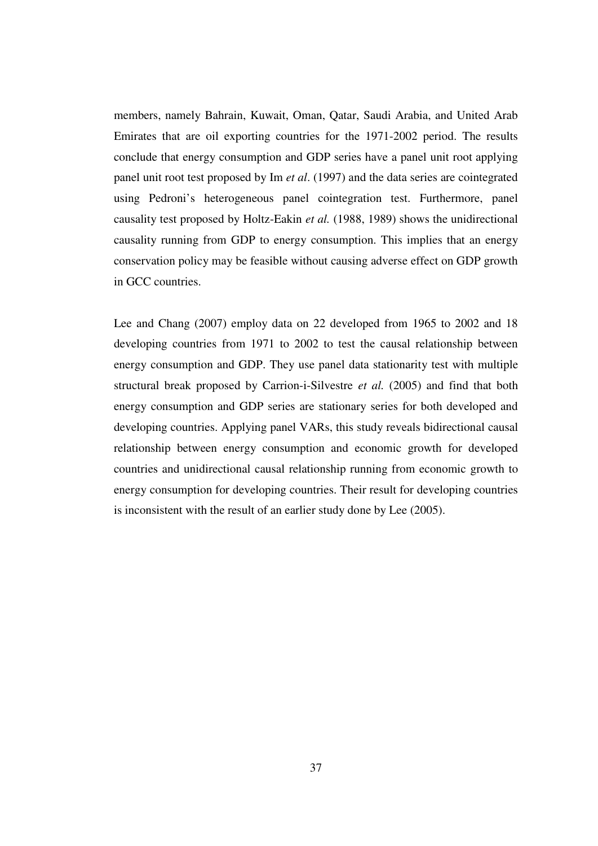members, namely Bahrain, Kuwait, Oman, Qatar, Saudi Arabia, and United Arab Emirates that are oil exporting countries for the 1971-2002 period. The results conclude that energy consumption and GDP series have a panel unit root applying panel unit root test proposed by Im *et al*. (1997) and the data series are cointegrated using Pedroni's heterogeneous panel cointegration test. Furthermore, panel causality test proposed by Holtz-Eakin *et al.* (1988, 1989) shows the unidirectional causality running from GDP to energy consumption. This implies that an energy conservation policy may be feasible without causing adverse effect on GDP growth in GCC countries.

Lee and Chang (2007) employ data on 22 developed from 1965 to 2002 and 18 developing countries from 1971 to 2002 to test the causal relationship between energy consumption and GDP. They use panel data stationarity test with multiple structural break proposed by Carrion-i-Silvestre *et al.* (2005) and find that both energy consumption and GDP series are stationary series for both developed and developing countries. Applying panel VARs, this study reveals bidirectional causal relationship between energy consumption and economic growth for developed countries and unidirectional causal relationship running from economic growth to energy consumption for developing countries. Their result for developing countries is inconsistent with the result of an earlier study done by Lee (2005).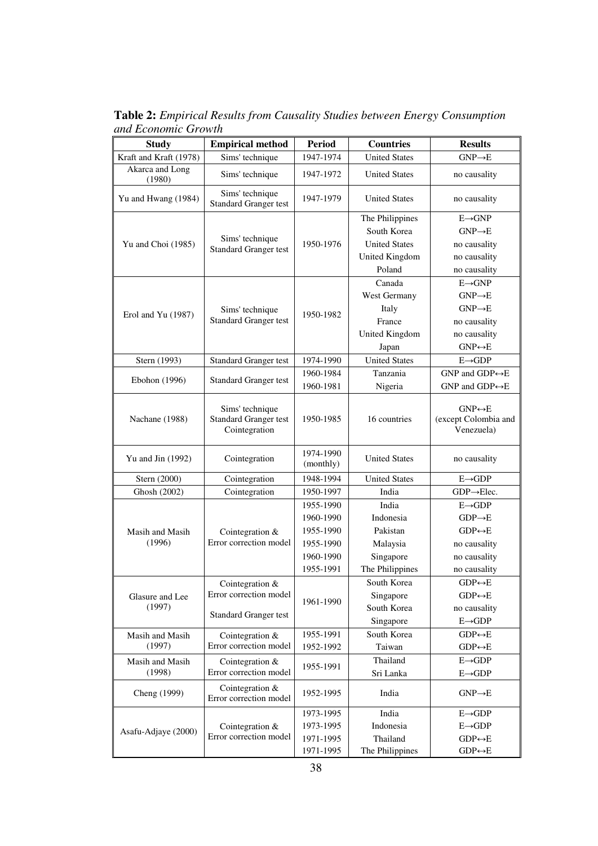Study **Empirical method** Period Countries Results Kraft and Kraft (1978) Sims' technique 1947-1974 United States GNP $\rightarrow$ E Akarca and Long (1980) Sims' technique 1947-1972 United States no causality Yu and Hwang  $(1984)$  Sims' technique Standard Granger test 1947-1979 United States no causality Yu and Choi (1985)  $\int$  Sims' technique Standard Granger test 1950-1976 The Philippines E→GNP South Korea GNP→E United States no causality United Kingdom no causality Poland no causality Erol and Yu (1987) Sims' technique Standard Granger test 1950-1982 Canada E→GNP West Germany  $\vert$  GNP→E Italy GNP→E France no causality United Kingdom no causality Japan GNP↔E Stern (1993) Standard Granger test 1974-1990 United States E→GDP Ebohon (1996) Standard Granger test 1960-1984 Tanzania GNP and GDP↔E 1960-1981 Nigeria GNP and GDP←E Nachane (1988) Sims' technique Standard Granger test Cointegration 1950-1985 16 countries GNP↔E (except Colombia and Venezuela) Yu and Jin (1992) Cointegration  $\begin{array}{|c|c|c|c|c|c|} \hline & 1974-1990 & & & \hline \end{array}$ United States no causality Stern (2000) Cointegration 1948-1994 United States E→GDP Ghosh (2002) Cointegration 1950-1997 India GDP $\rightarrow$ Elec. Masih and Masih (1996) Cointegration & Error correction model 1955-1990 India E→GDP 1960-1990 Indonesia GDP→E 1955-1990 Pakistan GDP↔E 1955-1990 Malaysia no causality 1960-1990 Singapore no causality 1955-1991 The Philippines no causality Glasure and Lee (1997) Cointegration & Error correction model 1961-1990 South Korea  $GDP \leftrightarrow E$ Singapore  $GDP \leftrightarrow E$ Standard Granger test South Korea no causality Singapore  $E \rightarrow GDP$ Masih and Masih (1997) Cointegration & Error correction model 1955-1991 South Korea GDP $\leftrightarrow$ E 1952-1992 Taiwan GDP↔E Masih and Masih (1998) Cointegration & Error correction model 1955-1991 Thailand E→GDP Sri Lanka E→GDP Cheng (1999) Cointegration  $\&$ Error correction model 1952-1995 India GNP $\rightarrow$ E Asafu-Adjaye (2000) Cointegration & Error correction model 1973-1995 India E→GDP 1973-1995 Indonesia E→GDP 1971-1995 Thailand  $GDP \leftrightarrow E$ 1971-1995 The Philippines GDP $\leftrightarrow$ E

**Table 2:** *Empirical Results from Causality Studies between Energy Consumption and Economic Growth*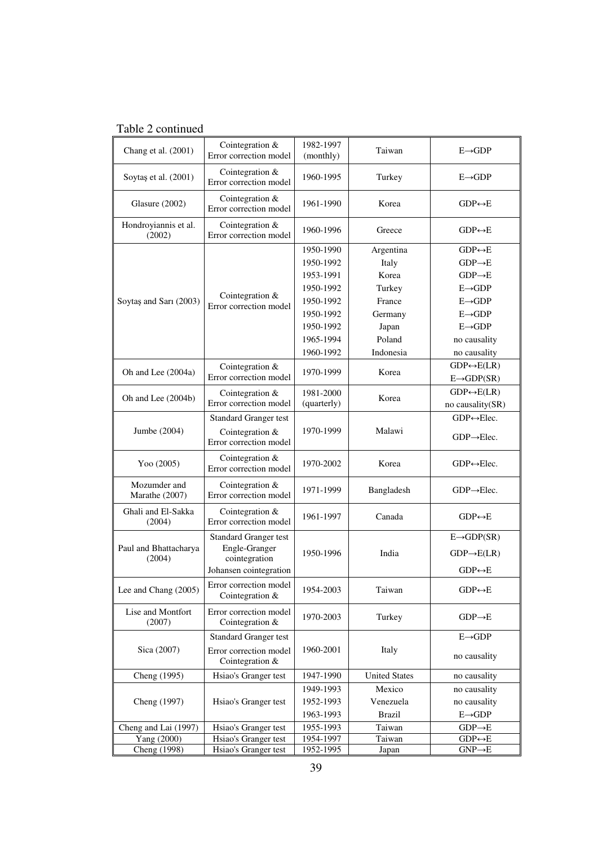# Table 2 continued

| Chang et al. (2001)            | Cointegration &<br>Error correction model              | 1982-1997<br>(monthly) | Taiwan               | $E \rightarrow GDP$          |
|--------------------------------|--------------------------------------------------------|------------------------|----------------------|------------------------------|
| Soytaş et al. (2001)           | Cointegration &<br>Error correction model              | 1960-1995              | Turkey               | $E \rightarrow GDP$          |
| Glasure (2002)                 | Cointegration $&$<br>Error correction model            | 1961-1990              | Korea                | $GDP \leftrightarrow E$      |
| Hondroyiannis et al.<br>(2002) | Cointegration &<br>Error correction model              | 1960-1996              | Greece               | $GDP \leftrightarrow E$      |
|                                |                                                        | 1950-1990              | Argentina            | $GDP \leftrightarrow E$      |
|                                |                                                        | 1950-1992              | Italy                | $GDP \rightarrow E$          |
|                                |                                                        | 1953-1991              | Korea                | $GDP \rightarrow E$          |
|                                |                                                        | 1950-1992              | Turkey               | $E \rightarrow GDP$          |
| Soytas and Sari (2003)         | Cointegration &<br>Error correction model              | 1950-1992              | France               | $E \rightarrow GDP$          |
|                                |                                                        | 1950-1992              | Germany              | $E \rightarrow GDP$          |
|                                |                                                        | 1950-1992              | Japan                | $E \rightarrow GDP$          |
|                                |                                                        | 1965-1994              | Poland               | no causality                 |
|                                |                                                        | 1960-1992              | Indonesia            | no causality                 |
|                                | Cointegration &                                        |                        |                      | $GDP \leftrightarrow E(LR)$  |
| Oh and Lee (2004a)             | Error correction model                                 | 1970-1999              | Korea                | $E \rightarrow GDP(SR)$      |
|                                |                                                        | 1981-2000              |                      | $GDP \leftrightarrow E(LR)$  |
| Oh and Lee (2004b)             | Cointegration $&$<br>Error correction model            | (quarterly)            | Korea                | no causality(SR)             |
|                                | <b>Standard Granger test</b>                           |                        |                      | $GDP \leftrightarrow Elec.$  |
| Jumbe (2004)                   | Cointegration $&$<br>Error correction model            | 1970-1999              | Malawi               | $GDP \rightarrow Elec.$      |
| Yoo (2005)                     | Cointegration &<br>Error correction model              | 1970-2002              | Korea                | $GDP \leftrightarrow Elec$ . |
| Mozumder and<br>Marathe (2007) | Cointegration &<br>Error correction model              | 1971-1999              | Bangladesh           | $GDP \rightarrow Elec.$      |
| Ghali and El-Sakka<br>(2004)   | Cointegration &<br>Error correction model              | 1961-1997              | Canada               | $GDP \leftrightarrow E$      |
|                                | <b>Standard Granger test</b>                           | 1950-1996              |                      | $E \rightarrow GDP(SR)$      |
| Paul and Bhattacharya          | Engle-Granger                                          |                        | India                | $GDP \rightarrow E(LR)$      |
| (2004)                         | cointegration                                          |                        |                      |                              |
|                                | Johansen cointegration                                 |                        |                      | $GDP \leftrightarrow E$      |
| Lee and Chang $(2005)$         | Error correction model<br>1954-2003<br>Cointegration & |                        | Taiwan               | $GDP \leftrightarrow E$      |
| Lise and Montfort<br>(2007)    | Error correction model<br>Cointegration &              |                        | Turkey               | $GDP \rightarrow E$          |
|                                | <b>Standard Granger test</b>                           |                        |                      | $E \rightarrow GDP$          |
| Sica (2007)                    | Error correction model<br>Cointegration &              | 1960-2001              | Italy                | no causality                 |
| Cheng (1995)                   | Hsiao's Granger test                                   |                        | <b>United States</b> | no causality                 |
|                                |                                                        | 1949-1993              | Mexico               | no causality                 |
| Cheng (1997)                   | Hsiao's Granger test                                   | 1952-1993              | Venezuela            | no causality                 |
|                                |                                                        | 1963-1993              | <b>Brazil</b>        | $E \rightarrow GDP$          |
| Cheng and Lai (1997)           | Hsiao's Granger test                                   | 1955-1993              | Taiwan               | $GDP \rightarrow E$          |
| Yang (2000)                    | Hsiao's Granger test                                   | 1954-1997              | Taiwan               | $GDP \leftrightarrow E$      |
| Cheng (1998)                   | Hsiao's Granger test                                   | 1952-1995              | Japan                | $GNP \rightarrow E$          |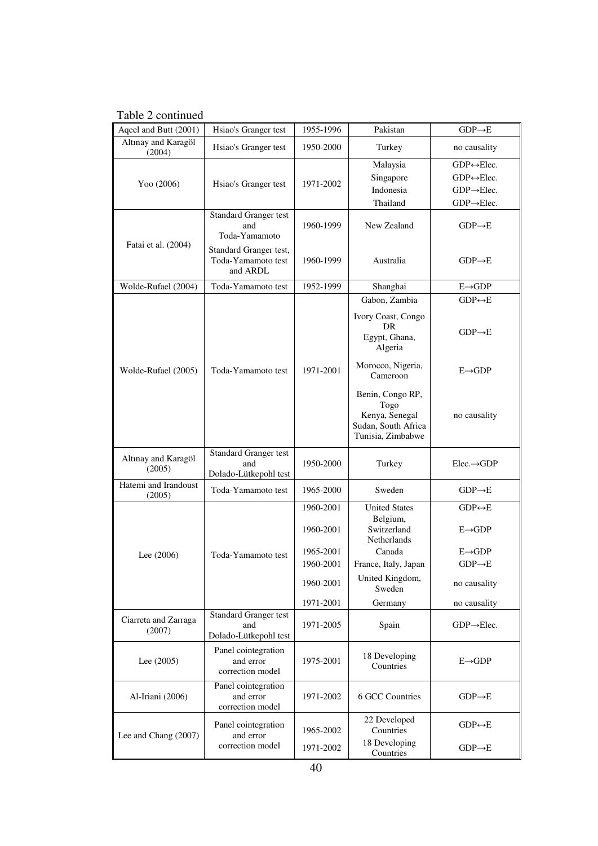Table 2 continued

| Aqeel and Butt (2001)          | Hsiao's Granger test                                         | 1955-1996 | Pakistan                                                                               | $GDP \rightarrow E$                                                                                               |  |
|--------------------------------|--------------------------------------------------------------|-----------|----------------------------------------------------------------------------------------|-------------------------------------------------------------------------------------------------------------------|--|
| Altınay and Karagöl<br>(2004)  | Hsiao's Granger test                                         |           | Turkey                                                                                 | no causality                                                                                                      |  |
| Yoo (2006)                     | Hsiao's Granger test                                         | 1971-2002 | Malaysia<br>Singapore<br>Indonesia<br>Thailand                                         | $GDP \leftrightarrow Elec.$<br>$GDP \leftrightarrow Elec$ .<br>$GDP \rightarrow Elec.$<br>$GDP \rightarrow Elec.$ |  |
|                                | Standard Granger test<br>and<br>Toda-Yamamoto                | 1960-1999 | New Zealand                                                                            | $GDP \rightarrow E$                                                                                               |  |
| Fatai et al. (2004)            | Standard Granger test,<br>Toda-Yamamoto test<br>and ARDL     | 1960-1999 | Australia                                                                              | $GDP \rightarrow E$                                                                                               |  |
| Wolde-Rufael (2004)            | Toda-Yamamoto test                                           | 1952-1999 | Shanghai                                                                               | $E \rightarrow GDP$                                                                                               |  |
|                                |                                                              |           | Gabon, Zambia                                                                          | $GDP \leftrightarrow E$                                                                                           |  |
|                                |                                                              |           | Ivory Coast, Congo<br>DR<br>Egypt, Ghana,<br>Algeria                                   | $GDP \rightarrow E$                                                                                               |  |
| Wolde-Rufael (2005)            | Toda-Yamamoto test                                           | 1971-2001 | Morocco, Nigeria,<br>Cameroon                                                          | $E \rightarrow GDP$                                                                                               |  |
|                                |                                                              |           | Benin, Congo RP,<br>Togo<br>Kenya, Senegal<br>Sudan, South Africa<br>Tunisia, Zimbabwe | no causality                                                                                                      |  |
| Altınay and Karagöl<br>(2005)  | <b>Standard Granger test</b><br>and<br>Dolado-Lütkepohl test | 1950-2000 | Turkey                                                                                 | $Elec. \rightarrow GDP$                                                                                           |  |
| Hatemi and Irandoust<br>(2005) | Toda-Yamamoto test                                           | 1965-2000 | Sweden                                                                                 | $GDP \rightarrow E$                                                                                               |  |
|                                |                                                              | 1960-2001 | <b>United States</b>                                                                   | $GDP \leftrightarrow E$                                                                                           |  |
|                                |                                                              | 1960-2001 | Belgium,<br>Switzerland<br>Netherlands                                                 | $E \rightarrow GDP$                                                                                               |  |
| Lee $(2006)$                   | Toda-Yamamoto test                                           | 1965-2001 | Canada                                                                                 | $E \rightarrow GDP$                                                                                               |  |
|                                |                                                              | 1960-2001 | France, Italy, Japan                                                                   | $GDP \rightarrow E$                                                                                               |  |
|                                |                                                              | 1960-2001 | United Kingdom,<br>Sweden                                                              | no causality                                                                                                      |  |
|                                |                                                              | 1971-2001 | Germany                                                                                | no causality                                                                                                      |  |
| Ciarreta and Zarraga<br>(2007) | <b>Standard Granger test</b><br>and<br>Dolado-Lütkepohl test | 1971-2005 | Spain                                                                                  | $GDP \rightarrow Elec.$                                                                                           |  |
| Lee $(2005)$                   | Panel cointegration<br>and error<br>correction model         | 1975-2001 | 18 Developing<br>Countries                                                             | $E \rightarrow GDP$                                                                                               |  |
| Al-Iriani (2006)               | Panel cointegration<br>and error<br>correction model         | 1971-2002 | 6 GCC Countries                                                                        | $GDP \rightarrow E$                                                                                               |  |
| Lee and Chang (2007)           | Panel cointegration<br>and error                             | 1965-2002 | 22 Developed<br>Countries                                                              | $GDP \leftrightarrow E$                                                                                           |  |
|                                | correction model                                             | 1971-2002 | 18 Developing<br>Countries                                                             | $GDP \rightarrow E$                                                                                               |  |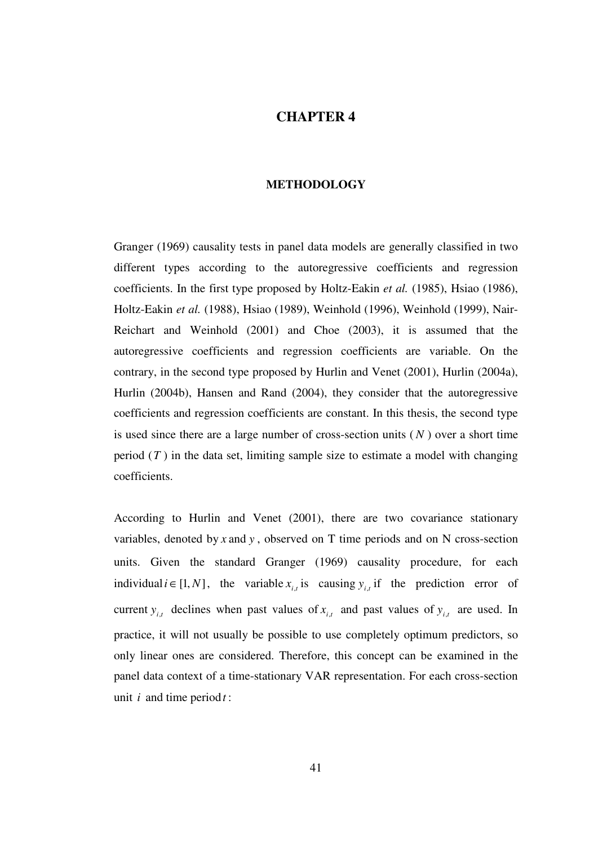# **CHAPTER 4**

## **METHODOLOGY**

Granger (1969) causality tests in panel data models are generally classified in two different types according to the autoregressive coefficients and regression coefficients. In the first type proposed by Holtz-Eakin *et al.* (1985), Hsiao (1986), Holtz-Eakin *et al.* (1988), Hsiao (1989), Weinhold (1996), Weinhold (1999), Nair-Reichart and Weinhold (2001) and Choe (2003), it is assumed that the autoregressive coefficients and regression coefficients are variable. On the contrary, in the second type proposed by Hurlin and Venet (2001), Hurlin (2004a), Hurlin (2004b), Hansen and Rand (2004), they consider that the autoregressive coefficients and regression coefficients are constant. In this thesis, the second type is used since there are a large number of cross-section units  $(N)$  over a short time period  $(T)$  in the data set, limiting sample size to estimate a model with changing coefficients.

According to Hurlin and Venet (2001), there are two covariance stationary variables, denoted by *x* and *y* , observed on T time periods and on N cross-section units. Given the standard Granger (1969) causality procedure, for each individual *i* ∈ [1, *N*], the variable  $x_{i,t}$  is causing  $y_{i,t}$  if the prediction error of current  $y_{i,t}$  declines when past values of  $x_{i,t}$  and past values of  $y_{i,t}$  are used. In practice, it will not usually be possible to use completely optimum predictors, so only linear ones are considered. Therefore, this concept can be examined in the panel data context of a time-stationary VAR representation. For each cross-section unit *i* and time period*t* :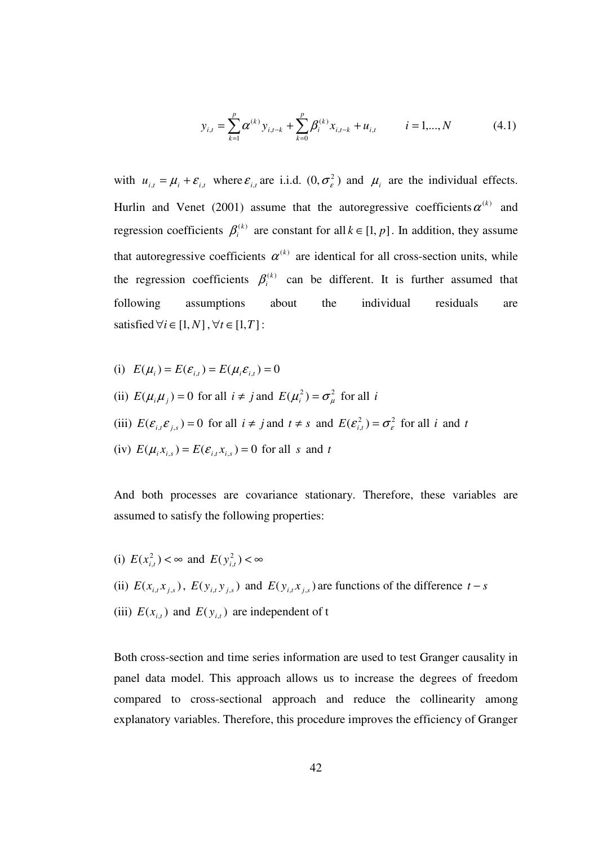$$
y_{i,t} = \sum_{k=1}^{p} \alpha^{(k)} y_{i,t-k} + \sum_{k=0}^{p} \beta^{(k)}_{i} x_{i,t-k} + u_{i,t} \qquad i = 1,...,N
$$
 (4.1)

with  $u_{i,t} = \mu_i + \varepsilon_{i,t}$  where  $\varepsilon_{i,t}$  are i.i.d.  $(0, \sigma_\varepsilon^2)$  and  $\mu_i$  are the individual effects. Hurlin and Venet (2001) assume that the autoregressive coefficients  $\alpha^{(k)}$  and regression coefficients  $\beta_i^{(k)}$  are constant for all  $k \in [1, p]$ . In addition, they assume that autoregressive coefficients  $\alpha^{(k)}$  are identical for all cross-section units, while the regression coefficients  $\beta_i^{(k)}$  can be different. It is further assumed that following assumptions about the individual residuals are satisfied  $\forall i \in [1, N]$ ,  $\forall t \in [1, T]$ :

(i) 
$$
E(\mu_i) = E(\varepsilon_{i,t}) = E(\mu_i \varepsilon_{i,t}) = 0
$$

- (ii)  $E(\mu_i \mu_j) = 0$  for all  $i \neq j$  and  $E(\mu_i^2) = \sigma_{\mu}^2$  for all *i*
- (iii)  $E(\mathcal{E}_{i,t} \mathcal{E}_{j,s}) = 0$  for all  $i \neq j$  and  $t \neq s$  and  $E(\mathcal{E}_{i,t}^2) = \sigma_{\varepsilon}^2$  for all *i* and *t*
- $(E(\mu_i x_{i,s}) = E(\varepsilon_{i,t} x_{i,s}) = 0$  for all *s* and *t*

And both processes are covariance stationary. Therefore, these variables are assumed to satisfy the following properties:

- (i)  $E(x_{i,t}^2) < \infty$  and  $E(y_{i,t}^2) < \infty$
- (ii)  $E(x_{i,t}x_{j,s})$ ,  $E(y_{i,t}y_{j,s})$  and  $E(y_{i,t}x_{j,s})$  are functions of the difference  $t-s$
- (iii)  $E(x_{i,t})$  and  $E(y_{i,t})$  are independent of t

Both cross-section and time series information are used to test Granger causality in panel data model. This approach allows us to increase the degrees of freedom compared to cross-sectional approach and reduce the collinearity among explanatory variables. Therefore, this procedure improves the efficiency of Granger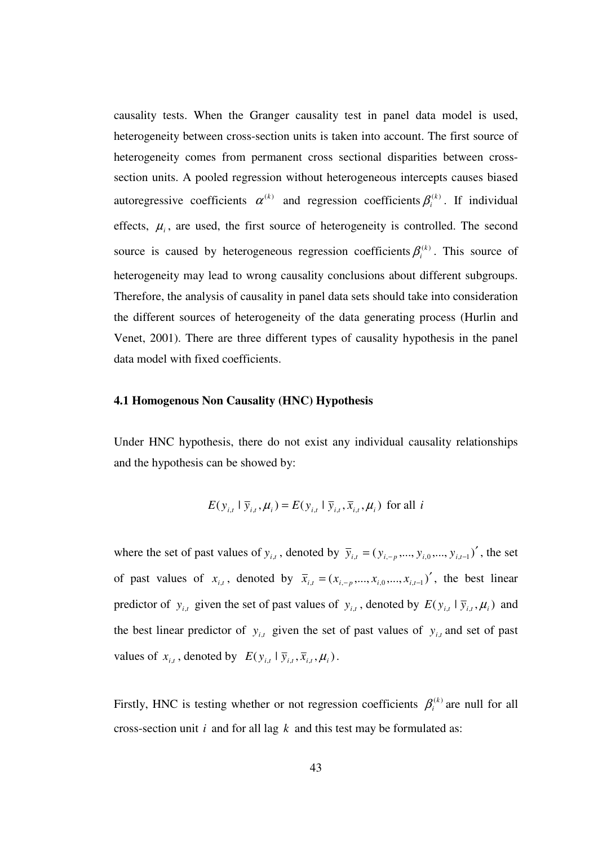causality tests. When the Granger causality test in panel data model is used, heterogeneity between cross-section units is taken into account. The first source of heterogeneity comes from permanent cross sectional disparities between crosssection units. A pooled regression without heterogeneous intercepts causes biased autoregressive coefficients  $\alpha^{(k)}$  and regression coefficients  $\beta_i^{(k)}$ . If individual effects,  $\mu_i$ , are used, the first source of heterogeneity is controlled. The second source is caused by heterogeneous regression coefficients  $\beta_i^{(k)}$ . This source of heterogeneity may lead to wrong causality conclusions about different subgroups. Therefore, the analysis of causality in panel data sets should take into consideration the different sources of heterogeneity of the data generating process (Hurlin and Venet, 2001). There are three different types of causality hypothesis in the panel data model with fixed coefficients.

#### **4.1 Homogenous Non Causality (HNC) Hypothesis**

Under HNC hypothesis, there do not exist any individual causality relationships and the hypothesis can be showed by:

$$
E(y_{i,t} | \overline{y}_{i,t}, \mu_i) = E(y_{i,t} | \overline{y}_{i,t}, \overline{x}_{i,t}, \mu_i)
$$
 for all *i*

where the set of past values of  $y_{i,t}$ , denoted by  $\overline{y}_{i,t} = (y_{i,-p},..., y_{i,0},..., y_{i,t-1})'$ , the set of past values of  $x_{i,t}$ , denoted by  $\overline{x}_{i,t} = (x_{i,-p},...,x_{i,0},...,x_{i,t-1})'$ , the best linear predictor of  $y_{i,t}$  given the set of past values of  $y_{i,t}$ , denoted by  $E(y_{i,t} | \overline{y}_{i,t}, \mu_i)$  and the best linear predictor of  $y_{i,t}$  given the set of past values of  $y_{i,t}$  and set of past values of  $x_{i,t}$ , denoted by  $E(y_{i,t} | \overline{y}_{i,t}, \overline{x}_{i,t}, \mu_i)$ .

Firstly, HNC is testing whether or not regression coefficients  $\beta_i^{(k)}$  are null for all cross-section unit *i* and for all lag *k* and this test may be formulated as: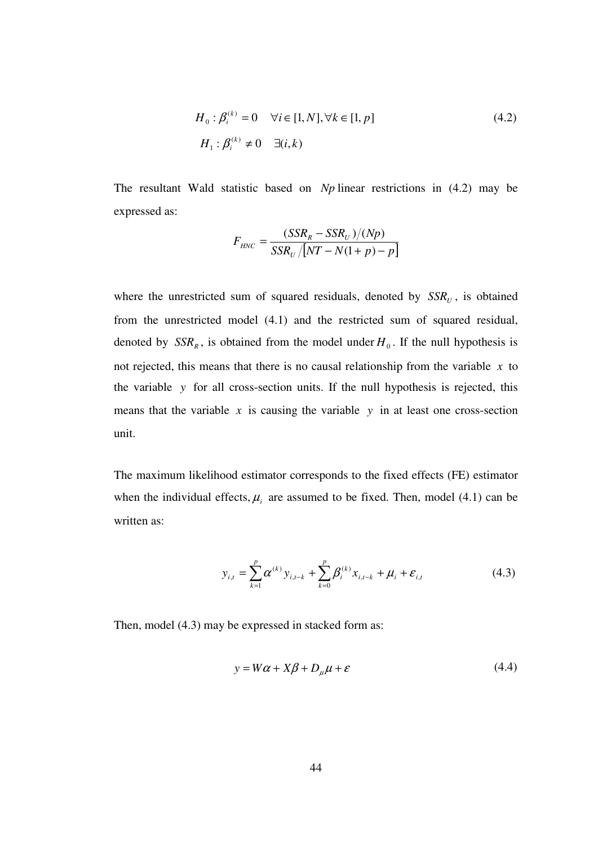$$
H_0: \beta_i^{(k)} = 0 \quad \forall i \in [1, N], \forall k \in [1, p]
$$
\n
$$
H_1: \beta_i^{(k)} \neq 0 \quad \exists (i, k)
$$
\n
$$
(4.2)
$$

The resultant Wald statistic based on *Np* linear restrictions in (4.2) may be expressed as:

$$
F_{HNC} = \frac{(SSR_R - SSR_U)/(Np)}{SSR_U/[NT - N(1 + p) - p]}
$$

where the unrestricted sum of squared residuals, denoted by  $SSR<sub>U</sub>$ , is obtained from the unrestricted model (4.1) and the restricted sum of squared residual, denoted by  $SSR<sub>R</sub>$ , is obtained from the model under  $H<sub>0</sub>$ . If the null hypothesis is not rejected, this means that there is no causal relationship from the variable *x* to the variable *y* for all cross-section units. If the null hypothesis is rejected, this means that the variable  $x$  is causing the variable  $y$  in at least one cross-section unit.

The maximum likelihood estimator corresponds to the fixed effects (FE) estimator when the individual effects,  $\mu_i$  are assumed to be fixed. Then, model (4.1) can be written as:

$$
y_{i,t} = \sum_{k=1}^{p} \alpha^{(k)} y_{i,t-k} + \sum_{k=0}^{p} \beta^{(k)}_{i} x_{i,t-k} + \mu_{i} + \varepsilon_{i,t}
$$
(4.3)

Then, model (4.3) may be expressed in stacked form as:

$$
y = W\alpha + X\beta + D_{\mu}\mu + \varepsilon
$$
\n(4.4)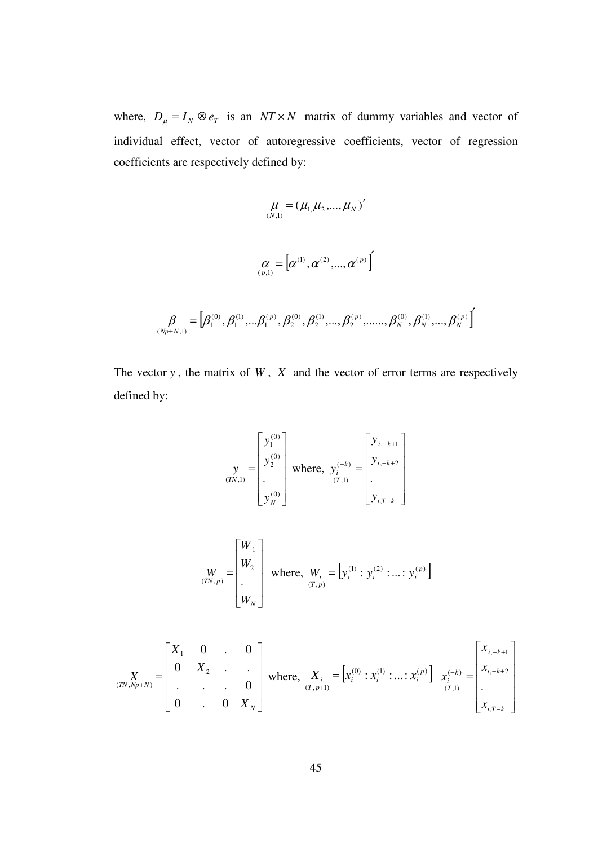where,  $D_{\mu} = I_N \otimes e_T$  is an *NT* × *N* matrix of dummy variables and vector of individual effect, vector of autoregressive coefficients, vector of regression coefficients are respectively defined by:

$$
\mu = (\mu_{1,}\mu_{2},...,\mu_{N})'
$$
\n
$$
\alpha = [\alpha^{(1)},\alpha^{(2)},...,\alpha^{(p)}]
$$
\n
$$
\beta = [\beta_{1}^{(0)},\beta_{1}^{(1)},...\beta_{1}^{(p)},\beta_{2}^{(0)},\beta_{2}^{(1)},...,\beta_{2}^{(p)},...,\beta_{N}^{(0)},\beta_{N}^{(1)},...,\beta_{N}^{(p)}]
$$

The vector  $y$ , the matrix of  $W$ ,  $X$  and the vector of error terms are respectively defined by:

$$
\mathbf{y}_{(TN,1)} = \begin{bmatrix} y_1^{(0)} \\ y_2^{(0)} \\ \vdots \\ y_N^{(0)} \end{bmatrix} \text{ where, } \mathbf{y}_i^{(-k)} = \begin{bmatrix} y_{i,-k+1} \\ y_{i,-k+2} \\ \vdots \\ y_{i,T-k} \end{bmatrix}
$$

$$
\begin{bmatrix} W \\ W_{2} \\ \vdots \\ W_{N} \end{bmatrix} \text{ where, } W_{i} = [y_{i}^{(1)} : y_{i}^{(2)} : ... : y_{i}^{(p)}]
$$

$$
\mathbf{X}_{(TN,Np+N)} = \begin{bmatrix} X_1 & 0 & . & 0 \\ 0 & X_2 & . & . \\ . & . & . & 0 \\ 0 & . & 0 & X_N \end{bmatrix} \text{ where, } \quad\n\begin{aligned}\nX_i &= \left[ x_i^{(0)} : x_i^{(1)} : \dots : x_i^{(p)} \right] \, x_i^{(-k)} = \begin{bmatrix} x_{i, -k+1} \\ x_{i, -k+2} \\ \vdots \\ x_{i, T-k} \end{bmatrix}\n\end{aligned}
$$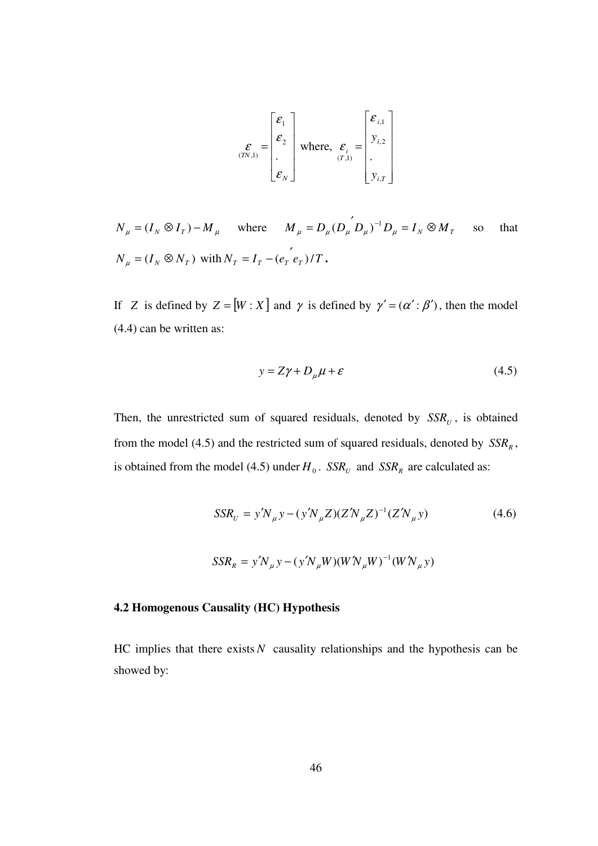$$
\mathcal{E}_{(TN,1)} = \begin{bmatrix} \mathcal{E}_1 \\ \mathcal{E}_2 \\ \vdots \\ \mathcal{E}_N \end{bmatrix} \text{ where, } \mathcal{E}_i = \begin{bmatrix} \mathcal{E}_{i,1} \\ y_{i,2} \\ \vdots \\ y_{i,T} \end{bmatrix}
$$

 $N_{\mu} = (I_N \otimes I_T) - M_{\mu}$  where  $M_{\mu} = D_{\mu} (D_{\mu} D_{\mu})^{-1} D_{\mu} = I_N \otimes M_T$  $\mu$   $\mu$   $\mu$   $\mu$   $\mu$   $\mu$  $(D_{\mu} D_{\mu})^{-1} D_{\mu} = I_{N} \otimes M_{T}$  so that  $N_{\mu} = (I_N \otimes N_T)$  with  $N_T = I_T - (e_T e_T/T$ .

If *Z* is defined by  $Z = [W : X]$  and  $\gamma$  is defined by  $\gamma' = (\alpha' : \beta')$ , then the model (4.4) can be written as:

$$
y = Z\gamma + D_{\mu}\mu + \varepsilon \tag{4.5}
$$

Then, the unrestricted sum of squared residuals, denoted by  $SSR<sub>U</sub>$ , is obtained from the model (4.5) and the restricted sum of squared residuals, denoted by  $SSR<sub>R</sub>$ , is obtained from the model (4.5) under  $H_0$ .  $SSR_U$  and  $SSR_R$  are calculated as:

$$
SSR_{U} = y'N_{\mu}y - (y'N_{\mu}Z)(Z'N_{\mu}Z)^{-1}(Z'N_{\mu}y)
$$
(4.6)  

$$
SSR_{R} = y'N_{\mu}y - (y'N_{\mu}W)(W'N_{\mu}W)^{-1}(W'N_{\mu}y)
$$

#### **4.2 Homogenous Causality (HC) Hypothesis**

HC implies that there exists  $N$  causality relationships and the hypothesis can be showed by: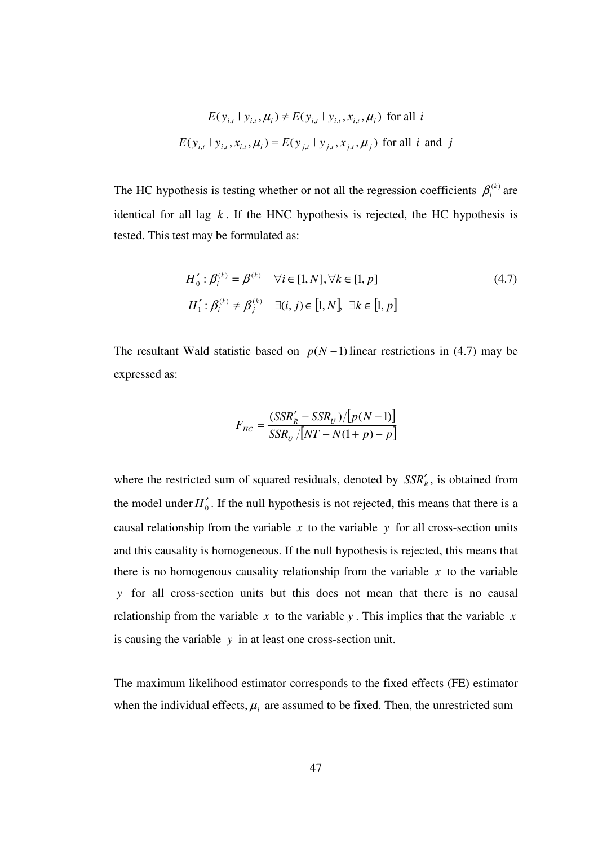$$
E(y_{i,t} | \overline{y}_{i,t}, \mu_i) \neq E(y_{i,t} | \overline{y}_{i,t}, \overline{x}_{i,t}, \mu_i)
$$
 for all  $i$   

$$
E(y_{i,t} | \overline{y}_{i,t}, \overline{x}_{i,t}, \mu_i) = E(y_{j,t} | \overline{y}_{j,t}, \overline{x}_{j,t}, \mu_j)
$$
 for all  $i$  and  $j$ 

The HC hypothesis is testing whether or not all the regression coefficients  $\beta_i^{(k)}$  are identical for all lag  $k$ . If the HNC hypothesis is rejected, the HC hypothesis is tested. This test may be formulated as:

$$
H'_0: \beta_i^{(k)} = \beta^{(k)} \quad \forall i \in [1, N], \forall k \in [1, p]
$$
  
\n
$$
H'_1: \beta_i^{(k)} \neq \beta_j^{(k)} \quad \exists (i, j) \in [1, N], \exists k \in [1, p]
$$
\n
$$
(4.7)
$$

The resultant Wald statistic based on  $p(N-1)$  linear restrictions in (4.7) may be expressed as:

$$
F_{HC} = \frac{(SSR_R' - SSR_U)/[p(N-1)]}{SSR_U/[NT - N(1 + p) - p]}
$$

where the restricted sum of squared residuals, denoted by  $SSR'_R$ , is obtained from the model under  $H_0'$ . If the null hypothesis is not rejected, this means that there is a causal relationship from the variable  $x$  to the variable  $y$  for all cross-section units and this causality is homogeneous. If the null hypothesis is rejected, this means that there is no homogenous causality relationship from the variable  $x$  to the variable *y* for all cross-section units but this does not mean that there is no causal relationship from the variable  $x$  to the variable  $y$ . This implies that the variable  $x$ is causing the variable *y* in at least one cross-section unit.

The maximum likelihood estimator corresponds to the fixed effects (FE) estimator when the individual effects,  $\mu$ <sub>*i*</sub> are assumed to be fixed. Then, the unrestricted sum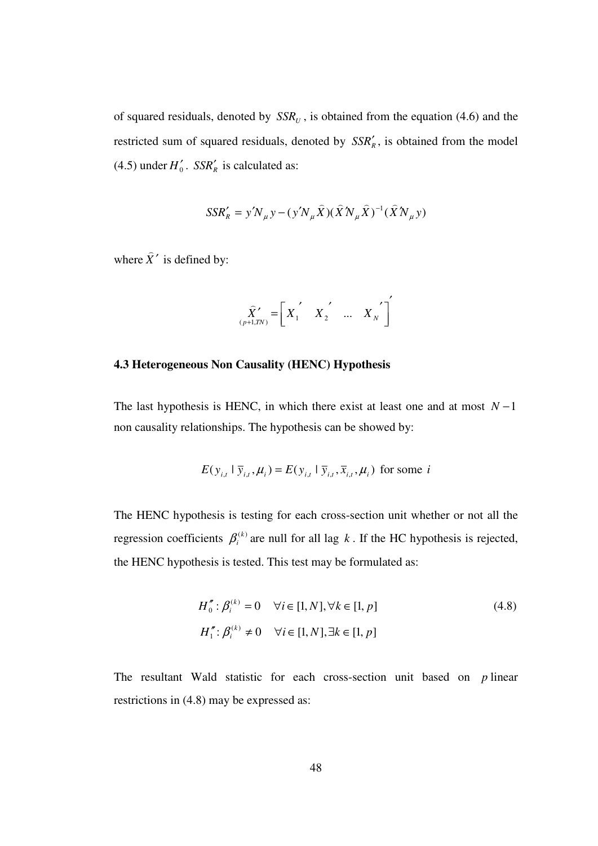of squared residuals, denoted by  $SSR<sub>U</sub>$ , is obtained from the equation (4.6) and the restricted sum of squared residuals, denoted by  $SSR'_{R}$ , is obtained from the model  $(4.5)$  under  $H'_0$ .  $SSR'_R$  is calculated as:

$$
SSR'_{R} = y'N_{\mu}y - (y'N_{\mu}\hat{X})(\hat{X}N_{\mu}\hat{X})^{-1}(\hat{X}N_{\mu}y)
$$

where  $\hat{X}'$  $\overline{a}$ is defined by:

$$
\hat{\vec{X}}'_{(p+1, TN)} = \begin{bmatrix} X_1 & X_2 & \dots & X_N \end{bmatrix}'
$$

#### **4.3 Heterogeneous Non Causality (HENC) Hypothesis**

The last hypothesis is HENC, in which there exist at least one and at most  $N-1$ non causality relationships. The hypothesis can be showed by:

$$
E(y_{i,t} | \overline{y}_{i,t}, \mu_i) = E(y_{i,t} | \overline{y}_{i,t}, \overline{x}_{i,t}, \mu_i)
$$
 for some *i*

The HENC hypothesis is testing for each cross-section unit whether or not all the regression coefficients  $\beta_i^{(k)}$  are null for all lag k. If the HC hypothesis is rejected, the HENC hypothesis is tested. This test may be formulated as:

$$
H_0^{\prime\prime} : \beta_i^{(k)} = 0 \quad \forall i \in [1, N], \forall k \in [1, p]
$$
\n
$$
H_1^{\prime\prime} : \beta_i^{(k)} \neq 0 \quad \forall i \in [1, N], \exists k \in [1, p]
$$
\n
$$
(4.8)
$$

The resultant Wald statistic for each cross-section unit based on *p* linear restrictions in (4.8) may be expressed as: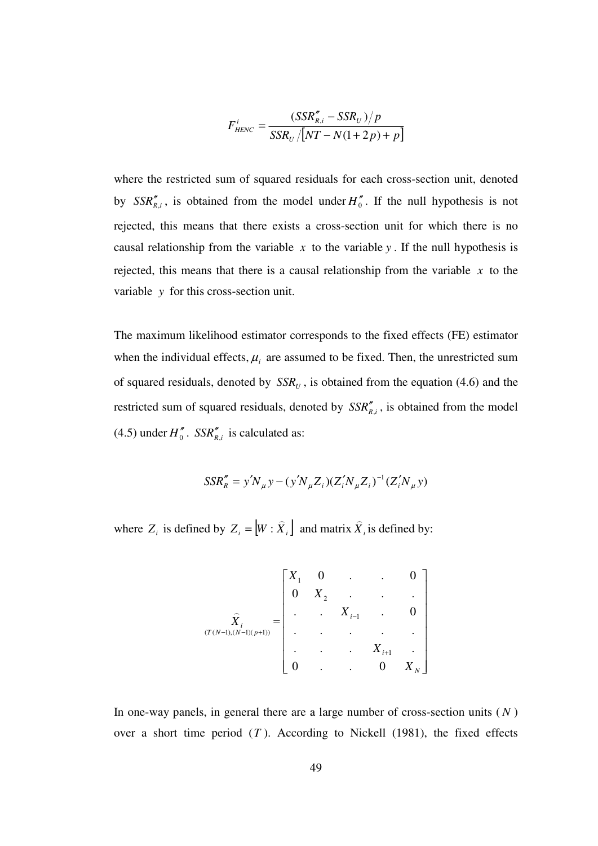$$
F_{HENC}^i = \frac{(SSR_{R,i}'' - SSR_U)/p}{SSR_U/[NT - N(1+2p) + p]}
$$

where the restricted sum of squared residuals for each cross-section unit, denoted by  $SSR_{R,i}^{\prime}$ , is obtained from the model under  $H_0^{\prime\prime}$ . If the null hypothesis is not rejected, this means that there exists a cross-section unit for which there is no causal relationship from the variable  $x$  to the variable  $y$ . If the null hypothesis is rejected, this means that there is a causal relationship from the variable  $x$  to the variable *y* for this cross-section unit.

The maximum likelihood estimator corresponds to the fixed effects (FE) estimator when the individual effects,  $\mu_i$  are assumed to be fixed. Then, the unrestricted sum of squared residuals, denoted by  $SSR<sub>U</sub>$ , is obtained from the equation (4.6) and the restricted sum of squared residuals, denoted by  $SSR_{R,i}^{\prime\prime}$ , is obtained from the model  $(4.5)$  under  $H''_0$ .  $SSR''_{R,i}$  is calculated as:

$$
SSR''_R = y'N_\mu y - (y'N_\mu Z_i)(Z'_i N_\mu Z_i)^{-1} (Z'_i N_\mu y)
$$

where  $Z_i$  is defined by  $Z_i = [W : X_i]$  $\overline{a}$  $=[W : X_i]$  and matrix  $X_i$  $\overline{a}$ is defined by:

$$
\widehat{X}_{i} = \begin{bmatrix} X_{1} & 0 & \cdots & 0 \\ 0 & X_{2} & \cdots & \cdots \\ \vdots & \ddots & X_{i-1} & \cdots & 0 \\ \vdots & \ddots & \ddots & \ddots & \vdots \\ 0 & \cdots & \cdots & X_{i+1} & \cdots \\ 0 & \cdots & \cdots & 0 & X_{N} \end{bmatrix}
$$

In one-way panels, in general there are a large number of cross-section units ( *N* ) over a short time period  $(T)$ . According to Nickell  $(1981)$ , the fixed effects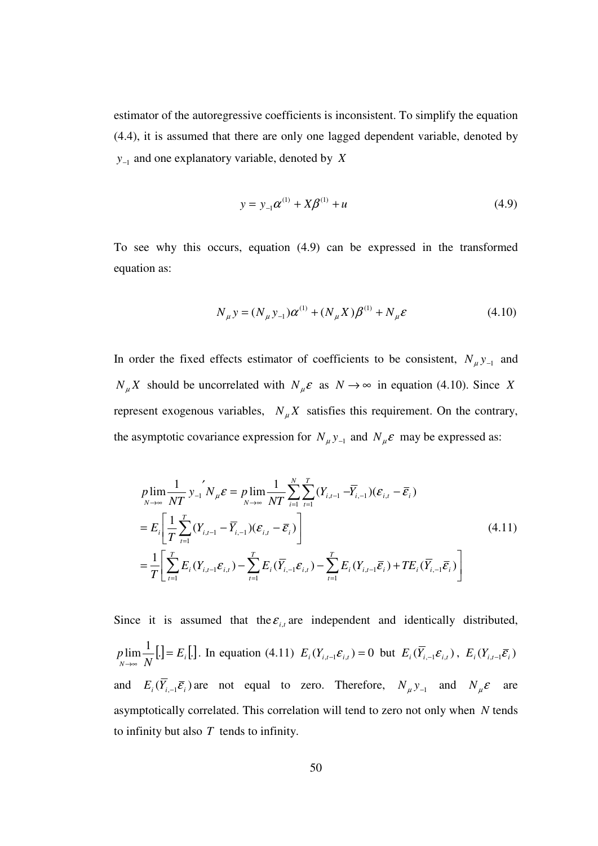estimator of the autoregressive coefficients is inconsistent. To simplify the equation (4.4), it is assumed that there are only one lagged dependent variable, denoted by *y*<sub>−1</sub> and one explanatory variable, denoted by *X* 

$$
y = y_{-1}\alpha^{(1)} + X\beta^{(1)} + u \tag{4.9}
$$

To see why this occurs, equation (4.9) can be expressed in the transformed equation as:

$$
N_{\mu} y = (N_{\mu} y_{-1}) \alpha^{(1)} + (N_{\mu} X) \beta^{(1)} + N_{\mu} \varepsilon
$$
\n(4.10)

In order the fixed effects estimator of coefficients to be consistent,  $N_{\mu}y_{-1}$  and  $N_{\mu}X$  should be uncorrelated with  $N_{\mu}\varepsilon$  as  $N \to \infty$  in equation (4.10). Since *X* represent exogenous variables,  $N_{\mu}X$  satisfies this requirement. On the contrary, the asymptotic covariance expression for  $N_{\mu}y_{-1}$  and  $N_{\mu}\varepsilon$  may be expressed as:

$$
p\lim_{N \to \infty} \frac{1}{NT} y_{-1}^{\prime} N_{\mu} \mathcal{E} = p \lim_{N \to \infty} \frac{1}{NT} \sum_{i=1}^{N} \sum_{t=1}^{T} (Y_{i,t-1} - \overline{Y}_{i,-1}) (\mathcal{E}_{i,t} - \overline{\mathcal{E}}_i)
$$
  
\n
$$
= E_i \left[ \frac{1}{T} \sum_{t=1}^{T} (Y_{i,t-1} - \overline{Y}_{i,-1}) (\mathcal{E}_{i,t} - \overline{\mathcal{E}}_i) \right]
$$
  
\n
$$
= \frac{1}{T} \left[ \sum_{t=1}^{T} E_i (Y_{i,t-1} \mathcal{E}_{i,t}) - \sum_{t=1}^{T} E_i (\overline{Y}_{i,-1} \mathcal{E}_{i,t}) - \sum_{t=1}^{T} E_i (Y_{i,t-1} \overline{\mathcal{E}}_i) + TE_i (\overline{Y}_{i,-1} \overline{\mathcal{E}}_i) \right]
$$
\n(4.11)

Since it is assumed that the  $\varepsilon_{i,t}$  are independent and identically distributed,  $\lim_{N \to \infty} \frac{1}{N}$ [.] =  $E_i$ [.] *E N*  $p \lim_{\rightarrow \infty} \frac{1}{n}$ .  $\lim_{n \to \infty} \frac{1}{N}$ [*.*] = E<sub>*i*</sub></sub>[*.*]. In equation (4.11)  $E_i(Y_{i,t-1} \varepsilon_{i,t}) = 0$  but  $E_i(Y_{i,-1} \varepsilon_{i,t})$ ,  $E_i(Y_{i,t-1} \overline{\varepsilon}_i)$ and  $E_i(\overline{Y}_{i-1}\overline{\mathcal{E}}_i)$  are not equal to zero. Therefore,  $N_\mu y_{-1}$  and  $N_\mu \mathcal{E}$  are asymptotically correlated. This correlation will tend to zero not only when *N* tends to infinity but also *T* tends to infinity.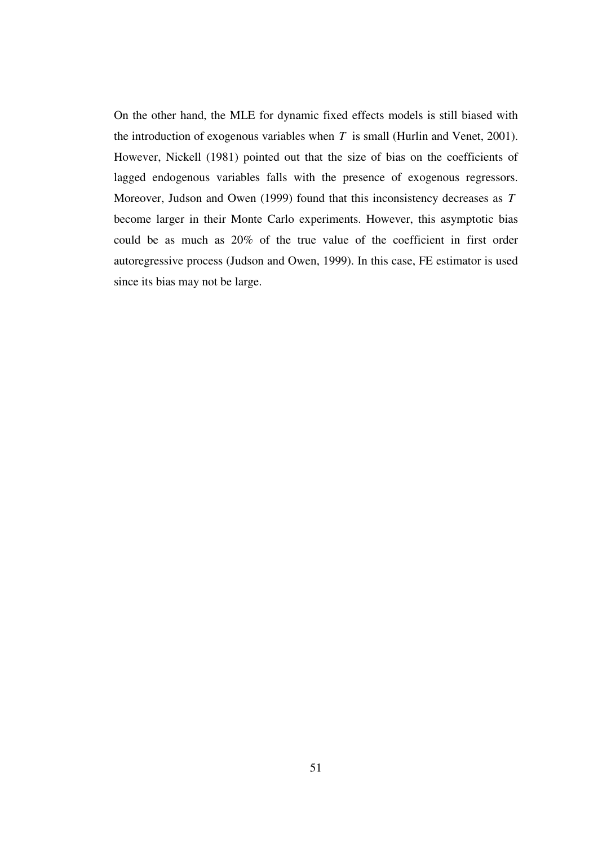On the other hand, the MLE for dynamic fixed effects models is still biased with the introduction of exogenous variables when *T* is small (Hurlin and Venet, 2001). However, Nickell (1981) pointed out that the size of bias on the coefficients of lagged endogenous variables falls with the presence of exogenous regressors. Moreover, Judson and Owen (1999) found that this inconsistency decreases as *T* become larger in their Monte Carlo experiments. However, this asymptotic bias could be as much as 20% of the true value of the coefficient in first order autoregressive process (Judson and Owen, 1999). In this case, FE estimator is used since its bias may not be large.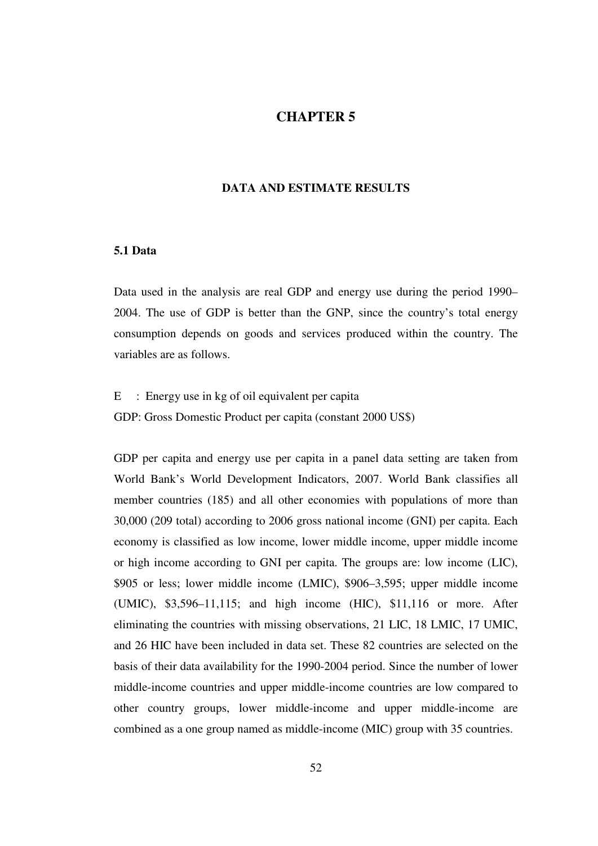# **CHAPTER 5**

#### **DATA AND ESTIMATE RESULTS**

# **5.1 Data**

Data used in the analysis are real GDP and energy use during the period 1990– 2004. The use of GDP is better than the GNP, since the country's total energy consumption depends on goods and services produced within the country. The variables are as follows.

E : Energy use in kg of oil equivalent per capita GDP: Gross Domestic Product per capita (constant 2000 US\$)

GDP per capita and energy use per capita in a panel data setting are taken from World Bank's World Development Indicators, 2007. World Bank classifies all member countries (185) and all other economies with populations of more than 30,000 (209 total) according to 2006 gross national income (GNI) per capita. Each economy is classified as low income, lower middle income, upper middle income or high income according to GNI per capita. The groups are: low income (LIC), \$905 or less; lower middle income (LMIC), \$906–3,595; upper middle income (UMIC), \$3,596–11,115; and high income (HIC), \$11,116 or more. After eliminating the countries with missing observations, 21 LIC, 18 LMIC, 17 UMIC, and 26 HIC have been included in data set. These 82 countries are selected on the basis of their data availability for the 1990-2004 period. Since the number of lower middle-income countries and upper middle-income countries are low compared to other country groups, lower middle-income and upper middle-income are combined as a one group named as middle-income (MIC) group with 35 countries.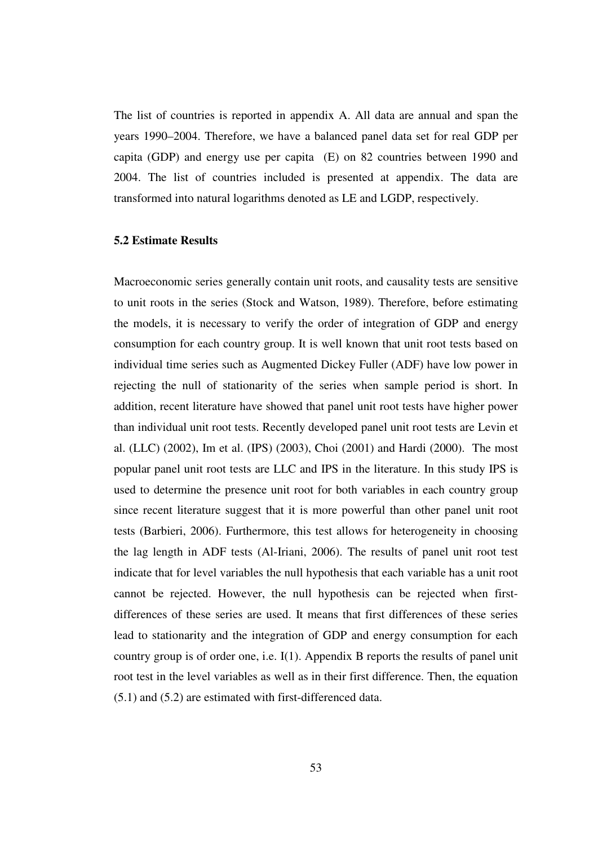The list of countries is reported in appendix A. All data are annual and span the years 1990–2004. Therefore, we have a balanced panel data set for real GDP per capita (GDP) and energy use per capita (E) on 82 countries between 1990 and 2004. The list of countries included is presented at appendix. The data are transformed into natural logarithms denoted as LE and LGDP, respectively.

### **5.2 Estimate Results**

Macroeconomic series generally contain unit roots, and causality tests are sensitive to unit roots in the series (Stock and Watson, 1989). Therefore, before estimating the models, it is necessary to verify the order of integration of GDP and energy consumption for each country group. It is well known that unit root tests based on individual time series such as Augmented Dickey Fuller (ADF) have low power in rejecting the null of stationarity of the series when sample period is short. In addition, recent literature have showed that panel unit root tests have higher power than individual unit root tests. Recently developed panel unit root tests are Levin et al. (LLC) (2002), Im et al. (IPS) (2003), Choi (2001) and Hardi (2000). The most popular panel unit root tests are LLC and IPS in the literature. In this study IPS is used to determine the presence unit root for both variables in each country group since recent literature suggest that it is more powerful than other panel unit root tests (Barbieri, 2006). Furthermore, this test allows for heterogeneity in choosing the lag length in ADF tests (Al-Iriani, 2006). The results of panel unit root test indicate that for level variables the null hypothesis that each variable has a unit root cannot be rejected. However, the null hypothesis can be rejected when firstdifferences of these series are used. It means that first differences of these series lead to stationarity and the integration of GDP and energy consumption for each country group is of order one, i.e. I(1). Appendix B reports the results of panel unit root test in the level variables as well as in their first difference. Then, the equation (5.1) and (5.2) are estimated with first-differenced data.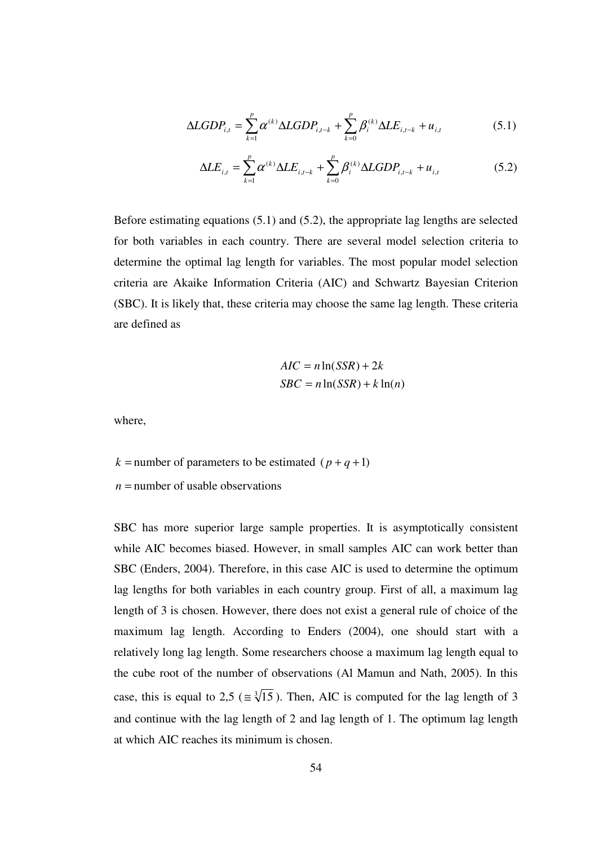$$
\Delta LGDP_{i,t} = \sum_{k=1}^{p} \alpha^{(k)} \Delta LGDP_{i,t-k} + \sum_{k=0}^{p} \beta_i^{(k)} \Delta LE_{i,t-k} + u_{i,t}
$$
(5.1)

$$
\Delta LE_{i,t} = \sum_{k=1}^{p} \alpha^{(k)} \Delta LE_{i,t-k} + \sum_{k=0}^{p} \beta_i^{(k)} \Delta LGDP_{i,t-k} + u_{i,t}
$$
(5.2)

Before estimating equations (5.1) and (5.2), the appropriate lag lengths are selected for both variables in each country. There are several model selection criteria to determine the optimal lag length for variables. The most popular model selection criteria are Akaike Information Criteria (AIC) and Schwartz Bayesian Criterion (SBC). It is likely that, these criteria may choose the same lag length. These criteria are defined as

$$
AIC = n \ln(SSR) + 2k
$$
  
 
$$
SBC = n \ln(SSR) + k \ln(n)
$$

where,

 $k =$  number of parameters to be estimated ( $p + q + 1$ )

 $n =$  number of usable observations

SBC has more superior large sample properties. It is asymptotically consistent while AIC becomes biased. However, in small samples AIC can work better than SBC (Enders, 2004). Therefore, in this case AIC is used to determine the optimum lag lengths for both variables in each country group. First of all, a maximum lag length of 3 is chosen. However, there does not exist a general rule of choice of the maximum lag length. According to Enders (2004), one should start with a relatively long lag length. Some researchers choose a maximum lag length equal to the cube root of the number of observations (Al Mamun and Nath, 2005). In this case, this is equal to 2,5 ( $\approx \sqrt[3]{15}$ ). Then, AIC is computed for the lag length of 3 and continue with the lag length of 2 and lag length of 1. The optimum lag length at which AIC reaches its minimum is chosen.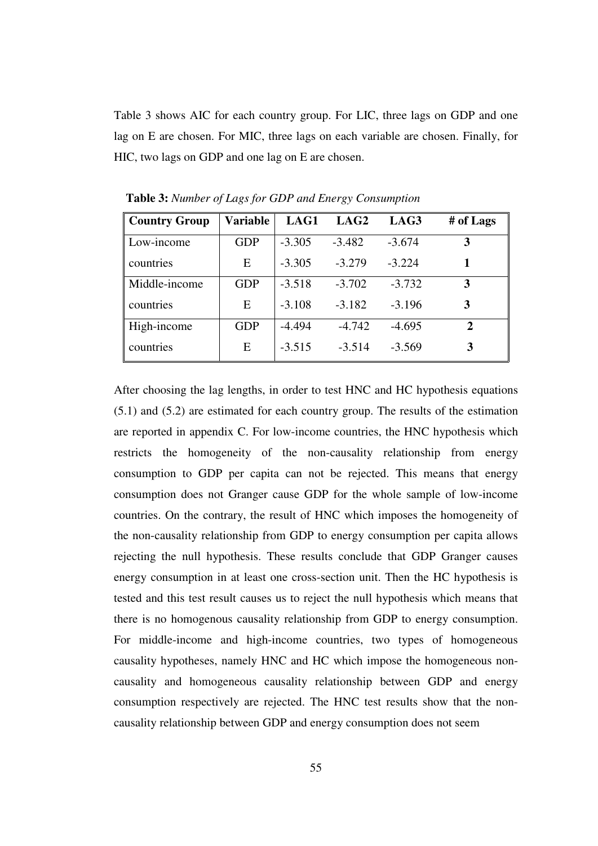Table 3 shows AIC for each country group. For LIC, three lags on GDP and one lag on E are chosen. For MIC, three lags on each variable are chosen. Finally, for HIC, two lags on GDP and one lag on E are chosen.

| <b>Country Group</b> | Variable   | LAG1     | LAG2     | LAG3     | # of Lags |
|----------------------|------------|----------|----------|----------|-----------|
| Low-income           | <b>GDP</b> | $-3.305$ | $-3.482$ | $-3.674$ | 3         |
| countries            | E          | $-3.305$ | $-3.279$ | $-3.224$ |           |
| Middle-income        | <b>GDP</b> | $-3.518$ | $-3.702$ | $-3.732$ | 3         |
| countries            | Ε          | $-3.108$ | $-3.182$ | $-3.196$ | 3         |
| High-income          | <b>GDP</b> | $-4.494$ | $-4.742$ | $-4.695$ | 2         |
| countries            | Ε          | $-3.515$ | $-3.514$ | $-3.569$ | 3         |

**Table 3:** *Number of Lags for GDP and Energy Consumption*

After choosing the lag lengths, in order to test HNC and HC hypothesis equations (5.1) and (5.2) are estimated for each country group. The results of the estimation are reported in appendix C. For low-income countries, the HNC hypothesis which restricts the homogeneity of the non-causality relationship from energy consumption to GDP per capita can not be rejected. This means that energy consumption does not Granger cause GDP for the whole sample of low-income countries. On the contrary, the result of HNC which imposes the homogeneity of the non-causality relationship from GDP to energy consumption per capita allows rejecting the null hypothesis. These results conclude that GDP Granger causes energy consumption in at least one cross-section unit. Then the HC hypothesis is tested and this test result causes us to reject the null hypothesis which means that there is no homogenous causality relationship from GDP to energy consumption. For middle-income and high-income countries, two types of homogeneous causality hypotheses, namely HNC and HC which impose the homogeneous noncausality and homogeneous causality relationship between GDP and energy consumption respectively are rejected. The HNC test results show that the noncausality relationship between GDP and energy consumption does not seem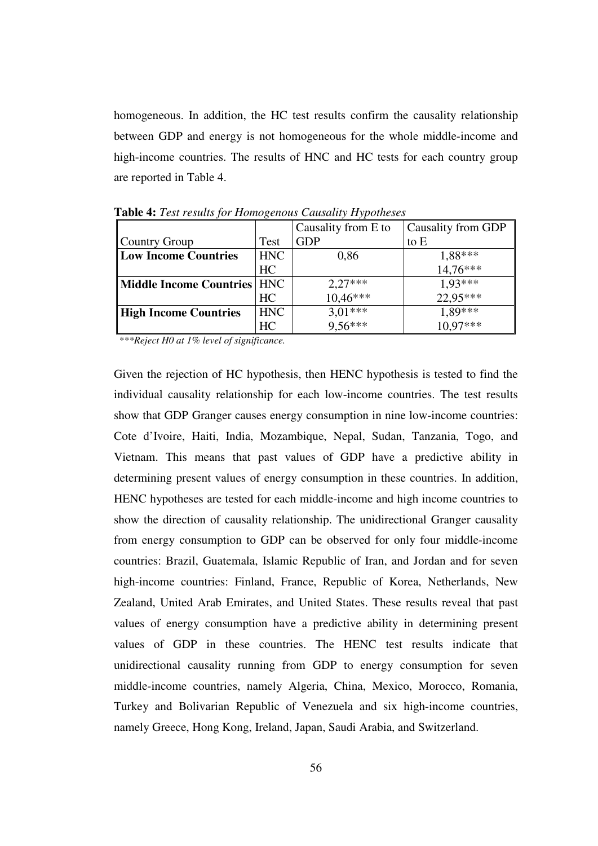homogeneous. In addition, the HC test results confirm the causality relationship between GDP and energy is not homogeneous for the whole middle-income and high-income countries. The results of HNC and HC tests for each country group are reported in Table 4.

|                               |            | Causality from E to  | Causality from GDP    |  |  |
|-------------------------------|------------|----------------------|-----------------------|--|--|
| Country Group                 | Test       | <b>GDP</b>           | to E                  |  |  |
| <b>Low Income Countries</b>   | <b>HNC</b> | 0,86                 | $1,88***$<br>14,76*** |  |  |
|                               | HC         |                      |                       |  |  |
| Middle Income Countries   HNC |            | $2,27***$            | 1,93***               |  |  |
|                               | HC         | 10,46***             | 22,95***              |  |  |
| High Income Countries         | <b>HNC</b> | $3,01***$<br>9,56*** | 1,89***               |  |  |
|                               | HC         |                      | $10,97***$            |  |  |

**Table 4:** *Test results for Homogenous Causality Hypotheses*

 *\*\*\*Reject H0 at 1% level of significance.* 

Given the rejection of HC hypothesis, then HENC hypothesis is tested to find the individual causality relationship for each low-income countries. The test results show that GDP Granger causes energy consumption in nine low-income countries: Cote d'Ivoire, Haiti, India, Mozambique, Nepal, Sudan, Tanzania, Togo, and Vietnam. This means that past values of GDP have a predictive ability in determining present values of energy consumption in these countries. In addition, HENC hypotheses are tested for each middle-income and high income countries to show the direction of causality relationship. The unidirectional Granger causality from energy consumption to GDP can be observed for only four middle-income countries: Brazil, Guatemala, Islamic Republic of Iran, and Jordan and for seven high-income countries: Finland, France, Republic of Korea, Netherlands, New Zealand, United Arab Emirates, and United States. These results reveal that past values of energy consumption have a predictive ability in determining present values of GDP in these countries. The HENC test results indicate that unidirectional causality running from GDP to energy consumption for seven middle-income countries, namely Algeria, China, Mexico, Morocco, Romania, Turkey and Bolivarian Republic of Venezuela and six high-income countries, namely Greece, Hong Kong, Ireland, Japan, Saudi Arabia, and Switzerland.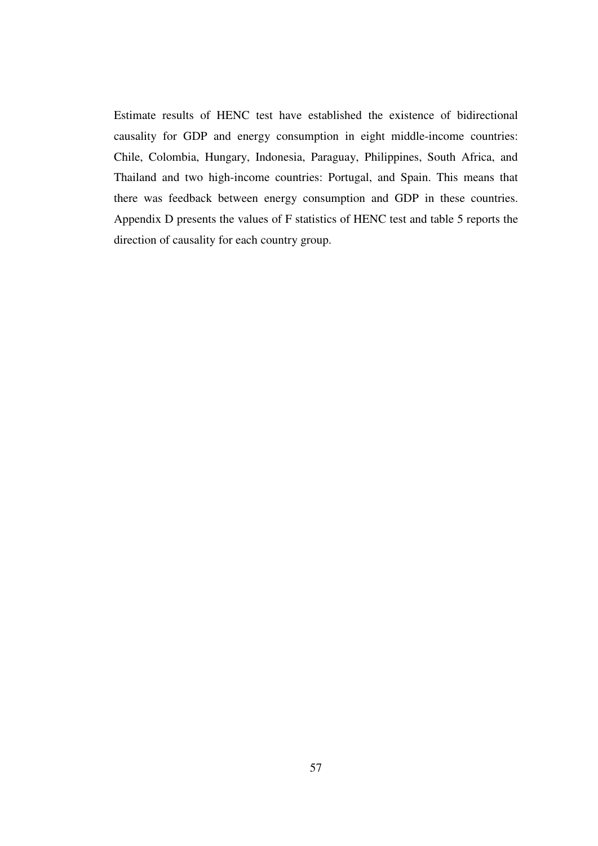Estimate results of HENC test have established the existence of bidirectional causality for GDP and energy consumption in eight middle-income countries: Chile, Colombia, Hungary, Indonesia, Paraguay, Philippines, South Africa, and Thailand and two high-income countries: Portugal, and Spain. This means that there was feedback between energy consumption and GDP in these countries. Appendix D presents the values of F statistics of HENC test and table 5 reports the direction of causality for each country group.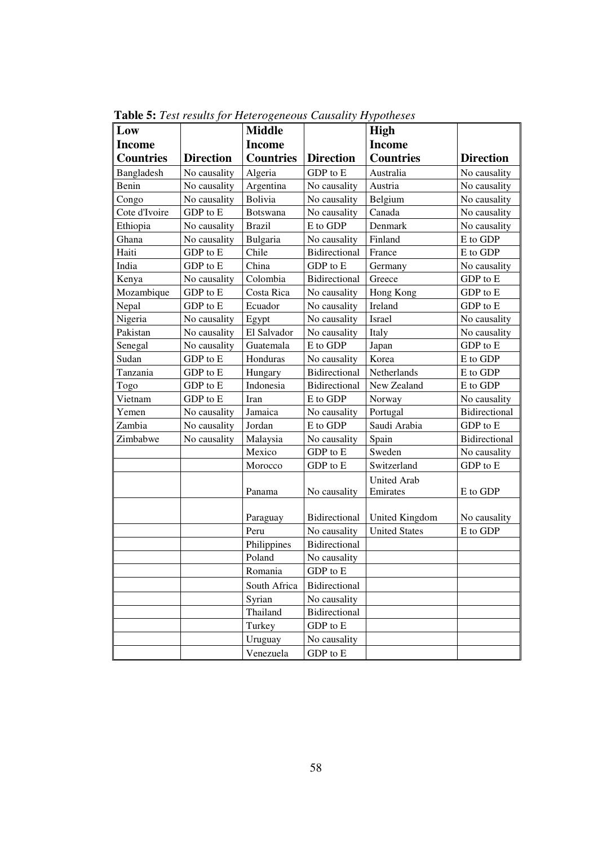| Low              |                  | <b>Middle</b>    |                          | <b>High</b>                    |                  |
|------------------|------------------|------------------|--------------------------|--------------------------------|------------------|
| <b>Income</b>    |                  | <b>Income</b>    |                          | <b>Income</b>                  |                  |
| <b>Countries</b> | <b>Direction</b> | <b>Countries</b> | <b>Direction</b>         | <b>Countries</b>               | <b>Direction</b> |
| Bangladesh       | No causality     | Algeria          | GDP to E                 | Australia                      | No causality     |
| Benin            | No causality     | Argentina        | No causality             | Austria                        | No causality     |
| Congo            | No causality     | Bolivia          | No causality             | Belgium                        | No causality     |
| Cote d'Ivoire    | GDP to E         | Botswana         | No causality             | Canada                         | No causality     |
| Ethiopia         | No causality     | <b>Brazil</b>    | E to GDP                 | Denmark                        | No causality     |
| Ghana            | No causality     | Bulgaria         | No causality             | Finland                        | E to GDP         |
| Haiti            | GDP to E         | Chile            | Bidirectional            | France                         | E to GDP         |
| India            | GDP to E         | China            | GDP to E                 | Germany                        | No causality     |
| Kenya            | No causality     | Colombia         | Bidirectional            | Greece                         | GDP to E         |
| Mozambique       | GDP to E         | Costa Rica       | No causality             | Hong Kong                      | GDP to E         |
| Nepal            | GDP to E         | Ecuador          | No causality             | Ireland                        | GDP to E         |
| Nigeria          | No causality     | Egypt            | No causality             | Israel                         | No causality     |
| Pakistan         | No causality     | El Salvador      | No causality             | Italy                          | No causality     |
| Senegal          | No causality     | Guatemala        | E to GDP                 | Japan                          | GDP to E         |
| Sudan            | GDP to E         | Honduras         | No causality             | Korea                          | E to GDP         |
| Tanzania         | GDP to E         | Hungary          | Bidirectional            | Netherlands                    | E to GDP         |
| Togo             | GDP to E         | Indonesia        | Bidirectional            | New Zealand                    | E to GDP         |
| Vietnam          | GDP to E         | Iran             | E to GDP                 | Norway                         | No causality     |
| Yemen            | No causality     | Jamaica          | No causality             | Portugal                       | Bidirectional    |
| Zambia           | No causality     | Jordan           | E to GDP                 | Saudi Arabia                   | GDP to E         |
| Zimbabwe         | No causality     | Malaysia         | No causality             | Spain                          | Bidirectional    |
|                  |                  | Mexico           | GDP to E                 | Sweden                         | No causality     |
|                  |                  | Morocco          | GDP to E                 | Switzerland                    | GDP to E         |
|                  |                  | Panama           | No causality             | <b>United Arab</b><br>Emirates | E to GDP         |
|                  |                  | Paraguay         | Bidirectional            | United Kingdom                 | No causality     |
|                  |                  | Peru             | No causality             | <b>United States</b>           | E to GDP         |
|                  |                  | Philippines      | Bidirectional            |                                |                  |
|                  |                  | Poland           | No causality             |                                |                  |
|                  |                  | Romania          | GDP to E                 |                                |                  |
|                  |                  | South Africa     | Bidirectional            |                                |                  |
|                  |                  | Syrian           | No causality             |                                |                  |
|                  |                  | Thailand         | Bidirectional            |                                |                  |
|                  |                  | Turkey           | GDP to E                 |                                |                  |
|                  |                  | Uruguay          | No causality             |                                |                  |
|                  |                  | Venezuela        | ${\rm GDP}$ to ${\rm E}$ |                                |                  |

 **Table 5:** *Test results for Heterogeneous Causality Hypotheses*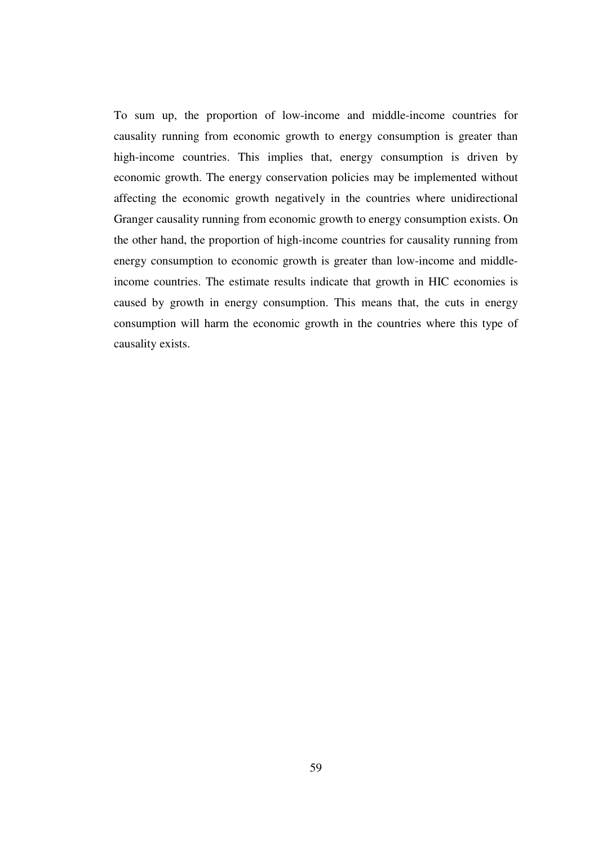To sum up, the proportion of low-income and middle-income countries for causality running from economic growth to energy consumption is greater than high-income countries. This implies that, energy consumption is driven by economic growth. The energy conservation policies may be implemented without affecting the economic growth negatively in the countries where unidirectional Granger causality running from economic growth to energy consumption exists. On the other hand, the proportion of high-income countries for causality running from energy consumption to economic growth is greater than low-income and middleincome countries. The estimate results indicate that growth in HIC economies is caused by growth in energy consumption. This means that, the cuts in energy consumption will harm the economic growth in the countries where this type of causality exists.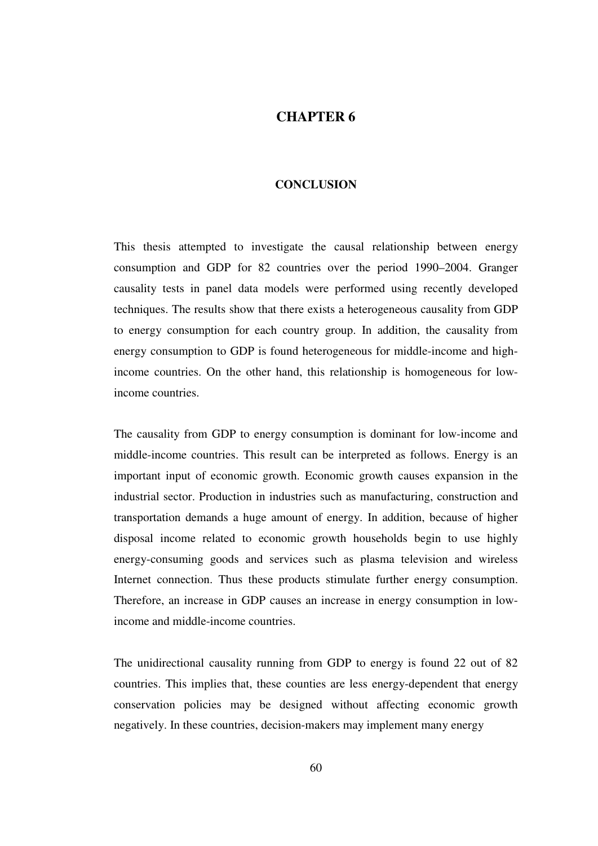# **CHAPTER 6**

## **CONCLUSION**

This thesis attempted to investigate the causal relationship between energy consumption and GDP for 82 countries over the period 1990–2004. Granger causality tests in panel data models were performed using recently developed techniques. The results show that there exists a heterogeneous causality from GDP to energy consumption for each country group. In addition, the causality from energy consumption to GDP is found heterogeneous for middle-income and highincome countries. On the other hand, this relationship is homogeneous for lowincome countries.

The causality from GDP to energy consumption is dominant for low-income and middle-income countries. This result can be interpreted as follows. Energy is an important input of economic growth. Economic growth causes expansion in the industrial sector. Production in industries such as manufacturing, construction and transportation demands a huge amount of energy. In addition, because of higher disposal income related to economic growth households begin to use highly energy-consuming goods and services such as plasma television and wireless Internet connection. Thus these products stimulate further energy consumption. Therefore, an increase in GDP causes an increase in energy consumption in lowincome and middle-income countries.

The unidirectional causality running from GDP to energy is found 22 out of 82 countries. This implies that, these counties are less energy-dependent that energy conservation policies may be designed without affecting economic growth negatively. In these countries, decision-makers may implement many energy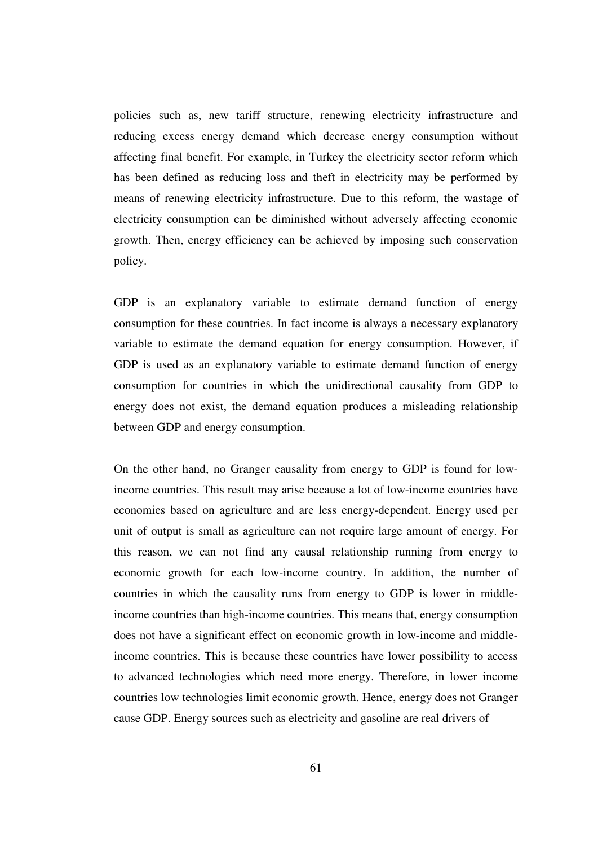policies such as, new tariff structure, renewing electricity infrastructure and reducing excess energy demand which decrease energy consumption without affecting final benefit. For example, in Turkey the electricity sector reform which has been defined as reducing loss and theft in electricity may be performed by means of renewing electricity infrastructure. Due to this reform, the wastage of electricity consumption can be diminished without adversely affecting economic growth. Then, energy efficiency can be achieved by imposing such conservation policy.

GDP is an explanatory variable to estimate demand function of energy consumption for these countries. In fact income is always a necessary explanatory variable to estimate the demand equation for energy consumption. However, if GDP is used as an explanatory variable to estimate demand function of energy consumption for countries in which the unidirectional causality from GDP to energy does not exist, the demand equation produces a misleading relationship between GDP and energy consumption.

On the other hand, no Granger causality from energy to GDP is found for lowincome countries. This result may arise because a lot of low-income countries have economies based on agriculture and are less energy-dependent. Energy used per unit of output is small as agriculture can not require large amount of energy. For this reason, we can not find any causal relationship running from energy to economic growth for each low-income country. In addition, the number of countries in which the causality runs from energy to GDP is lower in middleincome countries than high-income countries. This means that, energy consumption does not have a significant effect on economic growth in low-income and middleincome countries. This is because these countries have lower possibility to access to advanced technologies which need more energy. Therefore, in lower income countries low technologies limit economic growth. Hence, energy does not Granger cause GDP. Energy sources such as electricity and gasoline are real drivers of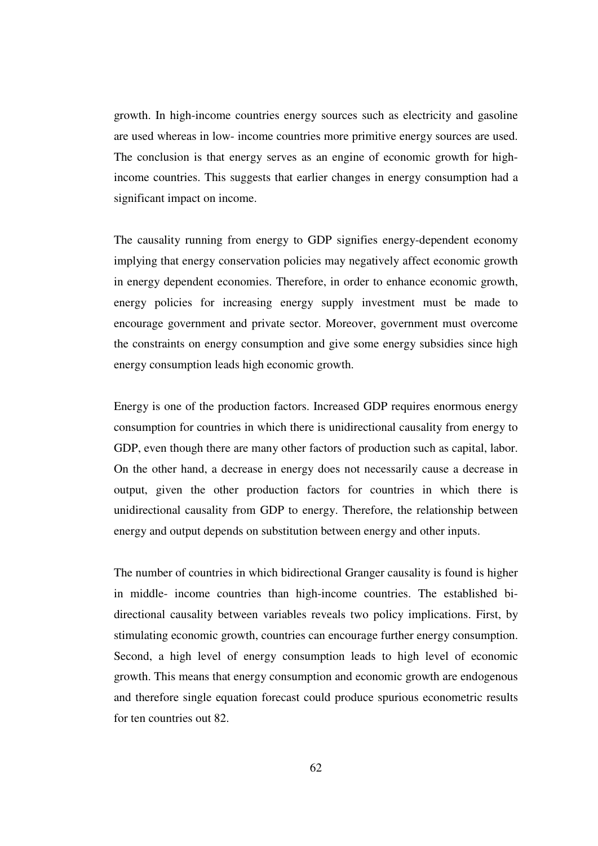growth. In high-income countries energy sources such as electricity and gasoline are used whereas in low- income countries more primitive energy sources are used. The conclusion is that energy serves as an engine of economic growth for highincome countries. This suggests that earlier changes in energy consumption had a significant impact on income.

The causality running from energy to GDP signifies energy-dependent economy implying that energy conservation policies may negatively affect economic growth in energy dependent economies. Therefore, in order to enhance economic growth, energy policies for increasing energy supply investment must be made to encourage government and private sector. Moreover, government must overcome the constraints on energy consumption and give some energy subsidies since high energy consumption leads high economic growth.

Energy is one of the production factors. Increased GDP requires enormous energy consumption for countries in which there is unidirectional causality from energy to GDP, even though there are many other factors of production such as capital, labor. On the other hand, a decrease in energy does not necessarily cause a decrease in output, given the other production factors for countries in which there is unidirectional causality from GDP to energy. Therefore, the relationship between energy and output depends on substitution between energy and other inputs.

The number of countries in which bidirectional Granger causality is found is higher in middle- income countries than high-income countries. The established bidirectional causality between variables reveals two policy implications. First, by stimulating economic growth, countries can encourage further energy consumption. Second, a high level of energy consumption leads to high level of economic growth. This means that energy consumption and economic growth are endogenous and therefore single equation forecast could produce spurious econometric results for ten countries out 82.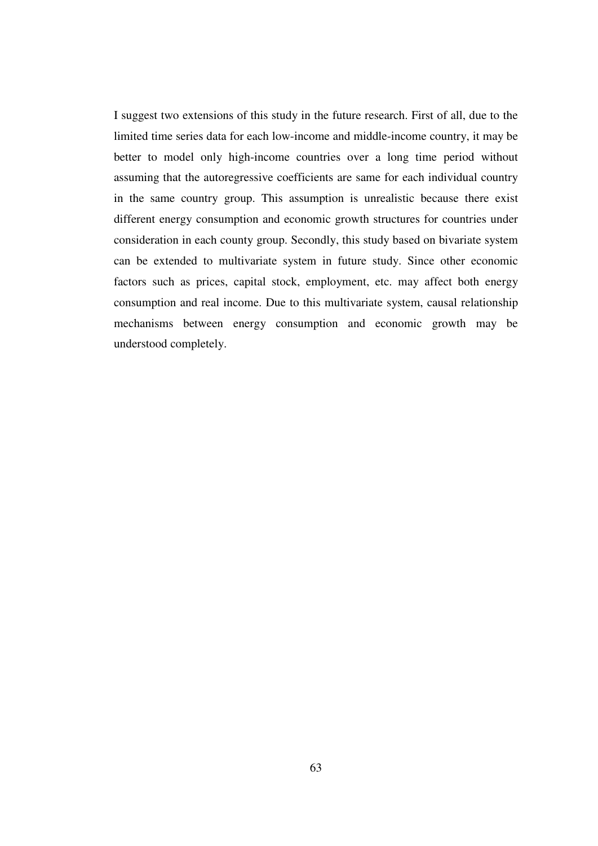I suggest two extensions of this study in the future research. First of all, due to the limited time series data for each low-income and middle-income country, it may be better to model only high-income countries over a long time period without assuming that the autoregressive coefficients are same for each individual country in the same country group. This assumption is unrealistic because there exist different energy consumption and economic growth structures for countries under consideration in each county group. Secondly, this study based on bivariate system can be extended to multivariate system in future study. Since other economic factors such as prices, capital stock, employment, etc. may affect both energy consumption and real income. Due to this multivariate system, causal relationship mechanisms between energy consumption and economic growth may be understood completely.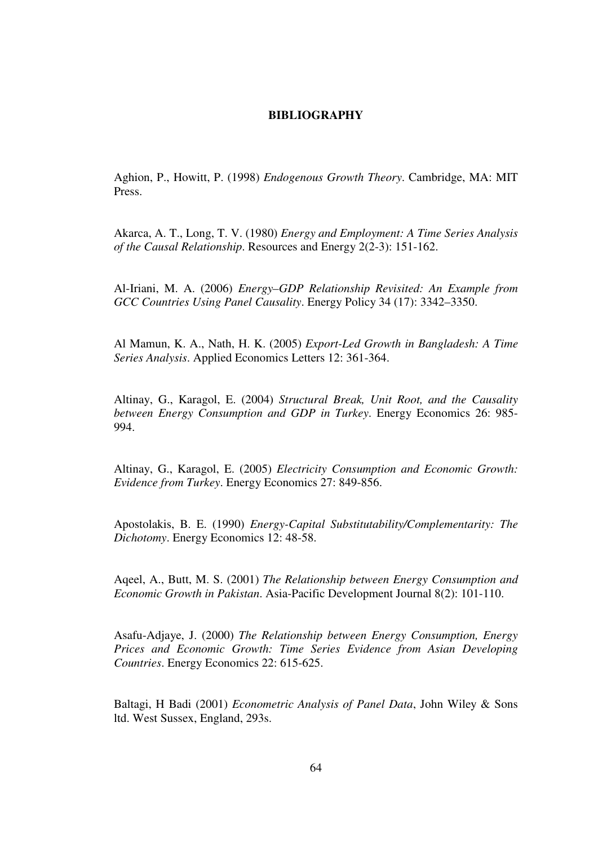## **BIBLIOGRAPHY**

Aghion, P., Howitt, P. (1998) *Endogenous Growth Theory*. Cambridge, MA: MIT Press.

Akarca, A. T., Long, T. V. (1980) *Energy and Employment: A Time Series Analysis of the Causal Relationship*. Resources and Energy 2(2-3): 151-162.

Al-Iriani, M. A. (2006) *Energy–GDP Relationship Revisited: An Example from GCC Countries Using Panel Causality*. Energy Policy 34 (17): 3342–3350.

Al Mamun, K. A., Nath, H. K. (2005) *Export-Led Growth in Bangladesh: A Time Series Analysis*. Applied Economics Letters 12: 361-364.

Altinay, G., Karagol, E. (2004) *Structural Break, Unit Root, and the Causality between Energy Consumption and GDP in Turkey*. Energy Economics 26: 985- 994.

Altinay, G., Karagol, E. (2005) *Electricity Consumption and Economic Growth: Evidence from Turkey*. Energy Economics 27: 849-856.

Apostolakis, B. E. (1990) *Energy-Capital Substitutability/Complementarity: The Dichotomy*. Energy Economics 12: 48-58.

Aqeel, A., Butt, M. S. (2001) *The Relationship between Energy Consumption and Economic Growth in Pakistan*. Asia-Pacific Development Journal 8(2): 101-110.

Asafu-Adjaye, J. (2000) *The Relationship between Energy Consumption, Energy Prices and Economic Growth: Time Series Evidence from Asian Developing Countries*. Energy Economics 22: 615-625.

Baltagi, H Badi (2001) *Econometric Analysis of Panel Data*, John Wiley & Sons ltd. West Sussex, England, 293s.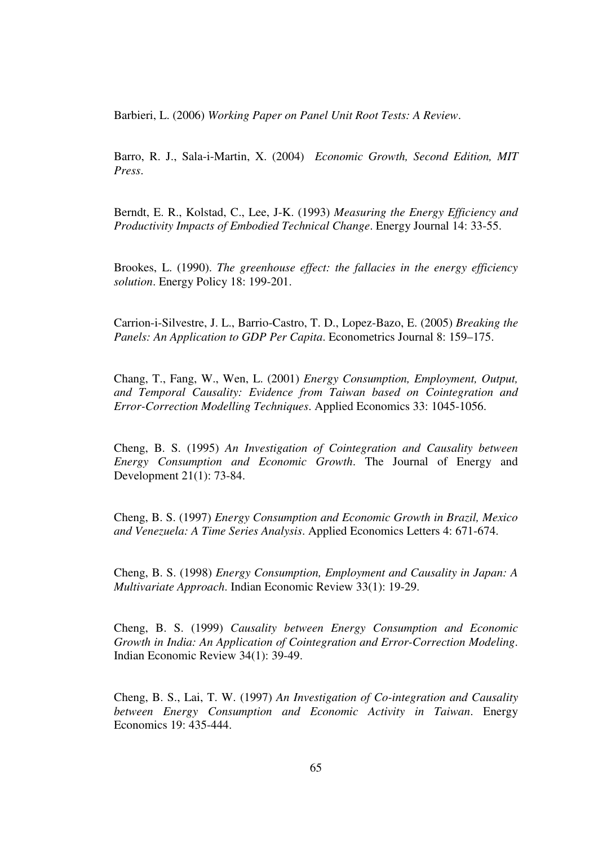Barbieri, L. (2006) *Working Paper on Panel Unit Root Tests: A Review*.

Barro, R. J., Sala-i-Martin, X. (2004) *Economic Growth, Second Edition, MIT Press*.

Berndt, E. R., Kolstad, C., Lee, J-K. (1993) *Measuring the Energy Efficiency and Productivity Impacts of Embodied Technical Change*. Energy Journal 14: 33-55.

Brookes, L. (1990). *The greenhouse effect: the fallacies in the energy efficiency solution*. Energy Policy 18: 199-201.

Carrion-i-Silvestre, J. L., Barrio-Castro, T. D., Lopez-Bazo, E. (2005) *Breaking the Panels: An Application to GDP Per Capita*. Econometrics Journal 8: 159–175.

Chang, T., Fang, W., Wen, L. (2001) *Energy Consumption, Employment, Output, and Temporal Causality: Evidence from Taiwan based on Cointegration and Error-Correction Modelling Techniques*. Applied Economics 33: 1045-1056.

Cheng, B. S. (1995) *An Investigation of Cointegration and Causality between Energy Consumption and Economic Growth*. The Journal of Energy and Development 21(1): 73-84.

Cheng, B. S. (1997) *Energy Consumption and Economic Growth in Brazil, Mexico and Venezuela: A Time Series Analysis*. Applied Economics Letters 4: 671-674.

Cheng, B. S. (1998) *Energy Consumption, Employment and Causality in Japan: A Multivariate Approach*. Indian Economic Review 33(1): 19-29.

Cheng, B. S. (1999) *Causality between Energy Consumption and Economic Growth in India: An Application of Cointegration and Error-Correction Modeling*. Indian Economic Review 34(1): 39-49.

Cheng, B. S., Lai, T. W. (1997) *An Investigation of Co-integration and Causality between Energy Consumption and Economic Activity in Taiwan*. Energy Economics 19: 435-444.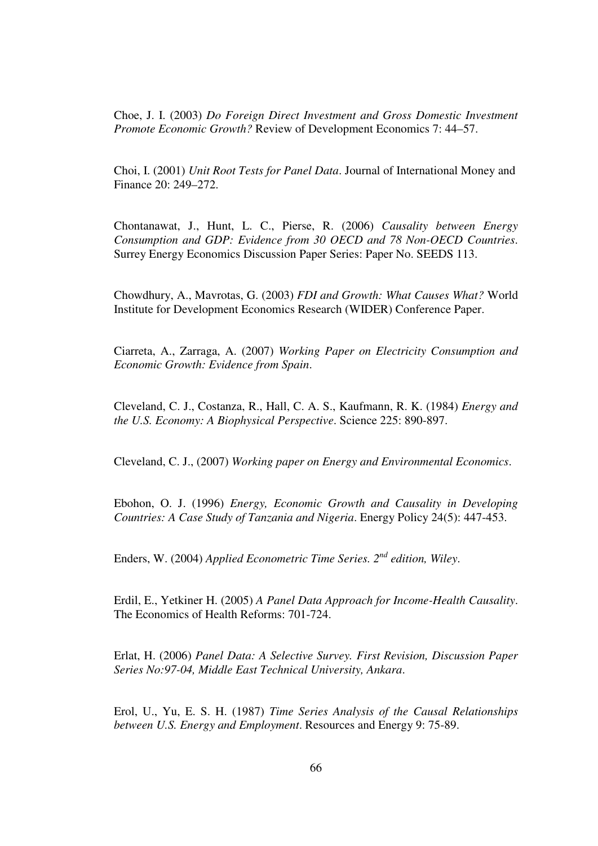Choe, J. I. (2003) *Do Foreign Direct Investment and Gross Domestic Investment Promote Economic Growth?* Review of Development Economics 7: 44–57.

Choi, I. (2001) *Unit Root Tests for Panel Data*. Journal of International Money and Finance 20: 249–272.

Chontanawat, J., Hunt, L. C., Pierse, R. (2006) *Causality between Energy Consumption and GDP: Evidence from 30 OECD and 78 Non-OECD Countries*. Surrey Energy Economics Discussion Paper Series: Paper No. SEEDS 113.

Chowdhury, A., Mavrotas, G. (2003) *FDI and Growth: What Causes What?* World Institute for Development Economics Research (WIDER) Conference Paper.

Ciarreta, A., Zarraga, A. (2007) *Working Paper on Electricity Consumption and Economic Growth: Evidence from Spain*.

Cleveland, C. J., Costanza, R., Hall, C. A. S., Kaufmann, R. K. (1984) *Energy and the U.S. Economy: A Biophysical Perspective*. Science 225: 890-897.

Cleveland, C. J., (2007) *Working paper on Energy and Environmental Economics*.

Ebohon, O. J. (1996) *Energy, Economic Growth and Causality in Developing Countries: A Case Study of Tanzania and Nigeria*. Energy Policy 24(5): 447-453.

Enders, W. (2004) *Applied Econometric Time Series. 2nd edition, Wiley*.

Erdil, E., Yetkiner H. (2005) *A Panel Data Approach for Income-Health Causality*. The Economics of Health Reforms: 701-724.

Erlat, H. (2006) *Panel Data: A Selective Survey. First Revision, Discussion Paper Series No:97-04, Middle East Technical University, Ankara*.

Erol, U., Yu, E. S. H. (1987) *Time Series Analysis of the Causal Relationships between U.S. Energy and Employment*. Resources and Energy 9: 75-89.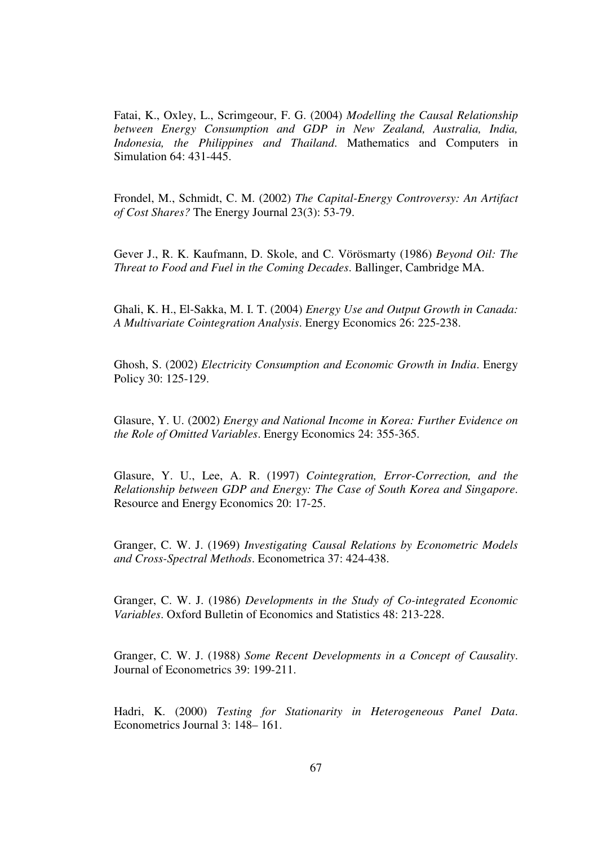Fatai, K., Oxley, L., Scrimgeour, F. G. (2004) *Modelling the Causal Relationship between Energy Consumption and GDP in New Zealand, Australia, India, Indonesia, the Philippines and Thailand*. Mathematics and Computers in Simulation 64: 431-445.

Frondel, M., Schmidt, C. M. (2002) *The Capital-Energy Controversy: An Artifact of Cost Shares?* The Energy Journal 23(3): 53-79.

Gever J., R. K. Kaufmann, D. Skole, and C. Vörösmarty (1986) *Beyond Oil: The Threat to Food and Fuel in the Coming Decades*. Ballinger, Cambridge MA.

Ghali, K. H., El-Sakka, M. I. T. (2004) *Energy Use and Output Growth in Canada: A Multivariate Cointegration Analysis*. Energy Economics 26: 225-238.

Ghosh, S. (2002) *Electricity Consumption and Economic Growth in India*. Energy Policy 30: 125-129.

Glasure, Y. U. (2002) *Energy and National Income in Korea: Further Evidence on the Role of Omitted Variables*. Energy Economics 24: 355-365.

Glasure, Y. U., Lee, A. R. (1997) *Cointegration, Error-Correction, and the Relationship between GDP and Energy: The Case of South Korea and Singapore*. Resource and Energy Economics 20: 17-25.

Granger, C. W. J. (1969) *Investigating Causal Relations by Econometric Models and Cross-Spectral Methods*. Econometrica 37: 424-438.

Granger, C. W. J. (1986) *Developments in the Study of Co-integrated Economic Variables*. Oxford Bulletin of Economics and Statistics 48: 213-228.

Granger, C. W. J. (1988) *Some Recent Developments in a Concept of Causality*. Journal of Econometrics 39: 199-211.

Hadri, K. (2000) *Testing for Stationarity in Heterogeneous Panel Data*. Econometrics Journal 3: 148– 161.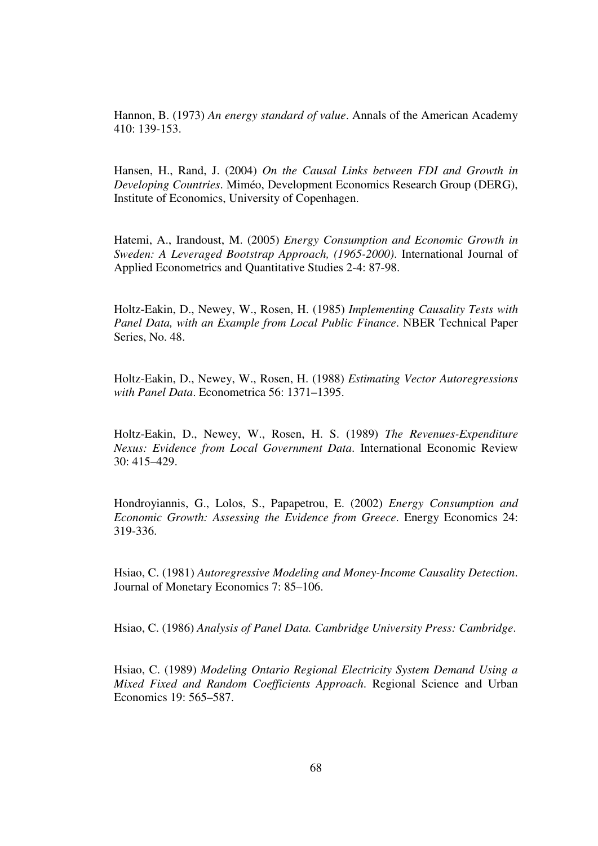Hannon, B. (1973) *An energy standard of value*. Annals of the American Academy 410: 139-153.

Hansen, H., Rand, J. (2004) *On the Causal Links between FDI and Growth in Developing Countries*. Miméo, Development Economics Research Group (DERG), Institute of Economics, University of Copenhagen.

Hatemi, A., Irandoust, M. (2005) *Energy Consumption and Economic Growth in Sweden: A Leveraged Bootstrap Approach, (1965-2000)*. International Journal of Applied Econometrics and Quantitative Studies 2-4: 87-98.

Holtz-Eakin, D., Newey, W., Rosen, H. (1985) *Implementing Causality Tests with Panel Data, with an Example from Local Public Finance*. NBER Technical Paper Series, No. 48.

Holtz-Eakin, D., Newey, W., Rosen, H. (1988) *Estimating Vector Autoregressions with Panel Data*. Econometrica 56: 1371–1395.

Holtz-Eakin, D., Newey, W., Rosen, H. S. (1989) *The Revenues-Expenditure Nexus: Evidence from Local Government Data*. International Economic Review 30: 415–429.

Hondroyiannis, G., Lolos, S., Papapetrou, E. (2002) *Energy Consumption and Economic Growth: Assessing the Evidence from Greece*. Energy Economics 24: 319-336.

Hsiao, C. (1981) *Autoregressive Modeling and Money-Income Causality Detection*. Journal of Monetary Economics 7: 85–106.

Hsiao, C. (1986) *Analysis of Panel Data. Cambridge University Press: Cambridge*.

Hsiao, C. (1989) *Modeling Ontario Regional Electricity System Demand Using a Mixed Fixed and Random Coefficients Approach*. Regional Science and Urban Economics 19: 565–587.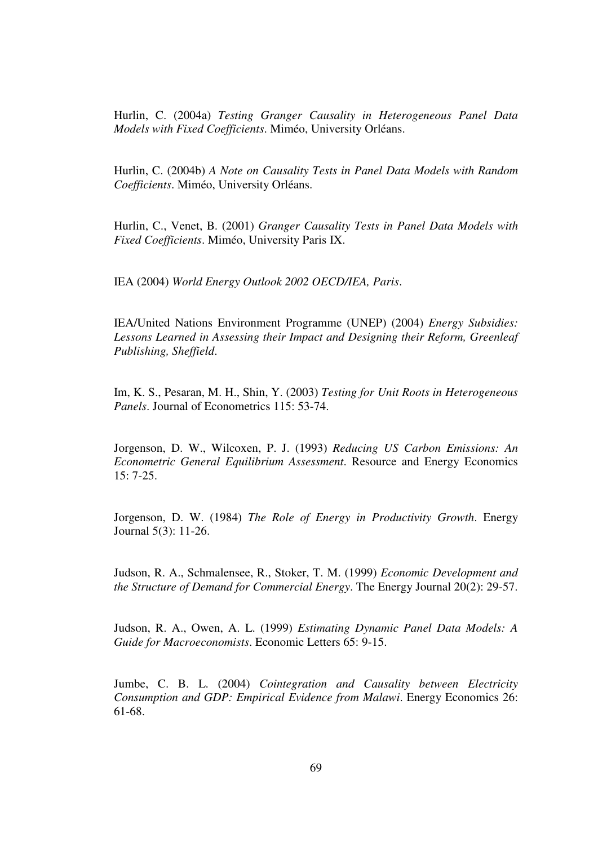Hurlin, C. (2004a) *Testing Granger Causality in Heterogeneous Panel Data Models with Fixed Coefficients*. Miméo, University Orléans.

Hurlin, C. (2004b) *A Note on Causality Tests in Panel Data Models with Random Coefficients*. Miméo, University Orléans.

Hurlin, C., Venet, B. (2001) *Granger Causality Tests in Panel Data Models with Fixed Coefficients*. Miméo, University Paris IX.

IEA (2004) *World Energy Outlook 2002 OECD/IEA, Paris*.

IEA/United Nations Environment Programme (UNEP) (2004) *Energy Subsidies: Lessons Learned in Assessing their Impact and Designing their Reform, Greenleaf Publishing, Sheffield*.

Im, K. S., Pesaran, M. H., Shin, Y. (2003) *Testing for Unit Roots in Heterogeneous Panels*. Journal of Econometrics 115: 53-74.

Jorgenson, D. W., Wilcoxen, P. J. (1993) *Reducing US Carbon Emissions: An Econometric General Equilibrium Assessment*. Resource and Energy Economics 15: 7-25.

Jorgenson, D. W. (1984) *The Role of Energy in Productivity Growth*. Energy Journal 5(3): 11-26.

Judson, R. A., Schmalensee, R., Stoker, T. M. (1999) *Economic Development and the Structure of Demand for Commercial Energy*. The Energy Journal 20(2): 29-57.

Judson, R. A., Owen, A. L. (1999) *Estimating Dynamic Panel Data Models: A Guide for Macroeconomists*. Economic Letters 65: 9-15.

Jumbe, C. B. L. (2004) *Cointegration and Causality between Electricity Consumption and GDP: Empirical Evidence from Malawi*. Energy Economics 26: 61-68.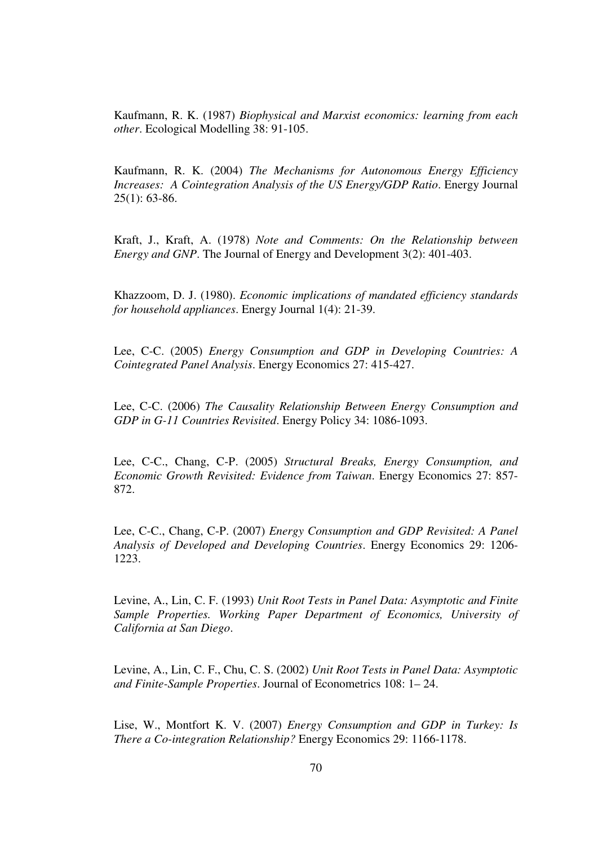Kaufmann, R. K. (1987) *Biophysical and Marxist economics: learning from each other*. Ecological Modelling 38: 91-105.

Kaufmann, R. K. (2004) *The Mechanisms for Autonomous Energy Efficiency Increases: A Cointegration Analysis of the US Energy/GDP Ratio*. Energy Journal 25(1): 63-86.

Kraft, J., Kraft, A. (1978) *Note and Comments: On the Relationship between Energy and GNP*. The Journal of Energy and Development 3(2): 401-403.

Khazzoom, D. J. (1980). *Economic implications of mandated efficiency standards for household appliances*. Energy Journal 1(4): 21-39.

Lee, C-C. (2005) *Energy Consumption and GDP in Developing Countries: A Cointegrated Panel Analysis*. Energy Economics 27: 415-427.

Lee, C-C. (2006) *The Causality Relationship Between Energy Consumption and GDP in G-11 Countries Revisited*. Energy Policy 34: 1086-1093.

Lee, C-C., Chang, C-P. (2005) *Structural Breaks, Energy Consumption, and Economic Growth Revisited: Evidence from Taiwan*. Energy Economics 27: 857- 872.

Lee, C-C., Chang, C-P. (2007) *Energy Consumption and GDP Revisited: A Panel Analysis of Developed and Developing Countries*. Energy Economics 29: 1206- 1223.

Levine, A., Lin, C. F. (1993) *Unit Root Tests in Panel Data: Asymptotic and Finite Sample Properties. Working Paper Department of Economics, University of California at San Diego*.

Levine, A., Lin, C. F., Chu, C. S. (2002) *Unit Root Tests in Panel Data: Asymptotic and Finite-Sample Properties*. Journal of Econometrics 108: 1– 24.

Lise, W., Montfort K. V. (2007) *Energy Consumption and GDP in Turkey: Is There a Co-integration Relationship?* Energy Economics 29: 1166-1178.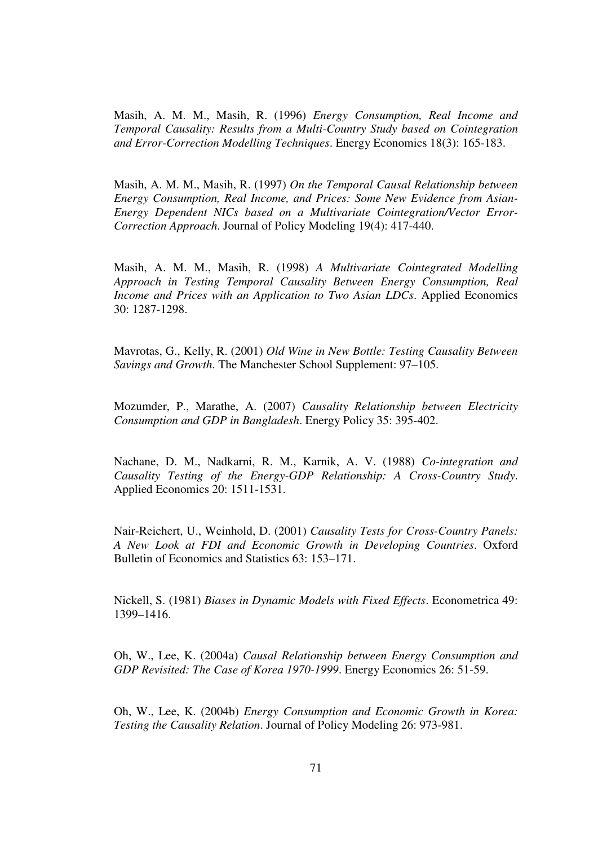Masih, A. M. M., Masih, R. (1996) *Energy Consumption, Real Income and Temporal Causality: Results from a Multi-Country Study based on Cointegration and Error-Correction Modelling Techniques*. Energy Economics 18(3): 165-183.

Masih, A. M. M., Masih, R. (1997) *On the Temporal Causal Relationship between Energy Consumption, Real Income, and Prices: Some New Evidence from Asian-Energy Dependent NICs based on a Multivariate Cointegration/Vector Error-Correction Approach*. Journal of Policy Modeling 19(4): 417-440.

Masih, A. M. M., Masih, R. (1998) *A Multivariate Cointegrated Modelling Approach in Testing Temporal Causality Between Energy Consumption, Real Income and Prices with an Application to Two Asian LDCs*. Applied Economics 30: 1287-1298.

Mavrotas, G., Kelly, R. (2001) *Old Wine in New Bottle: Testing Causality Between Savings and Growth*. The Manchester School Supplement: 97–105.

Mozumder, P., Marathe, A. (2007) *Causality Relationship between Electricity Consumption and GDP in Bangladesh*. Energy Policy 35: 395-402.

Nachane, D. M., Nadkarni, R. M., Karnik, A. V. (1988) *Co-integration and Causality Testing of the Energy-GDP Relationship: A Cross-Country Study*. Applied Economics 20: 1511-1531.

Nair-Reichert, U., Weinhold, D. (2001) *Causality Tests for Cross-Country Panels: A New Look at FDI and Economic Growth in Developing Countries*. Oxford Bulletin of Economics and Statistics 63: 153–171.

Nickell, S. (1981) *Biases in Dynamic Models with Fixed Effects*. Econometrica 49: 1399–1416.

Oh, W., Lee, K. (2004a) *Causal Relationship between Energy Consumption and GDP Revisited: The Case of Korea 1970-1999*. Energy Economics 26: 51-59.

Oh, W., Lee, K. (2004b) *Energy Consumption and Economic Growth in Korea: Testing the Causality Relation*. Journal of Policy Modeling 26: 973-981.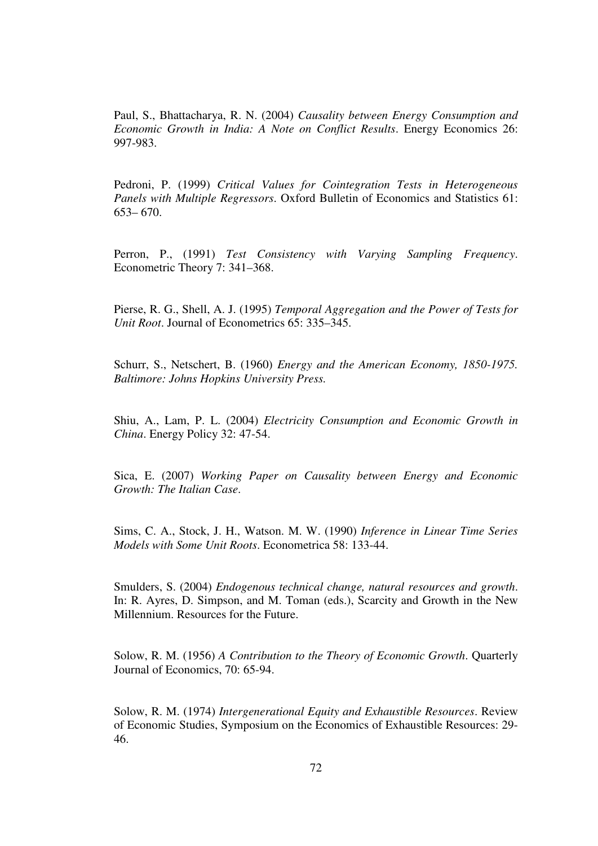Paul, S., Bhattacharya, R. N. (2004) *Causality between Energy Consumption and Economic Growth in India: A Note on Conflict Results*. Energy Economics 26: 997-983.

Pedroni, P. (1999) *Critical Values for Cointegration Tests in Heterogeneous Panels with Multiple Regressors*. Oxford Bulletin of Economics and Statistics 61: 653– 670.

Perron, P., (1991) *Test Consistency with Varying Sampling Frequency*. Econometric Theory 7: 341–368.

Pierse, R. G., Shell, A. J. (1995) *Temporal Aggregation and the Power of Tests for Unit Root*. Journal of Econometrics 65: 335–345.

Schurr, S., Netschert, B. (1960) *Energy and the American Economy, 1850-1975. Baltimore: Johns Hopkins University Press.*

Shiu, A., Lam, P. L. (2004) *Electricity Consumption and Economic Growth in China*. Energy Policy 32: 47-54.

Sica, E. (2007) *Working Paper on Causality between Energy and Economic Growth: The Italian Case*.

Sims, C. A., Stock, J. H., Watson. M. W. (1990) *Inference in Linear Time Series Models with Some Unit Roots*. Econometrica 58: 133-44.

Smulders, S. (2004) *Endogenous technical change, natural resources and growth*. In: R. Ayres, D. Simpson, and M. Toman (eds.), Scarcity and Growth in the New Millennium. Resources for the Future.

Solow, R. M. (1956) *A Contribution to the Theory of Economic Growth*. Quarterly Journal of Economics, 70: 65-94.

Solow, R. M. (1974) *Intergenerational Equity and Exhaustible Resources*. Review of Economic Studies, Symposium on the Economics of Exhaustible Resources: 29- 46.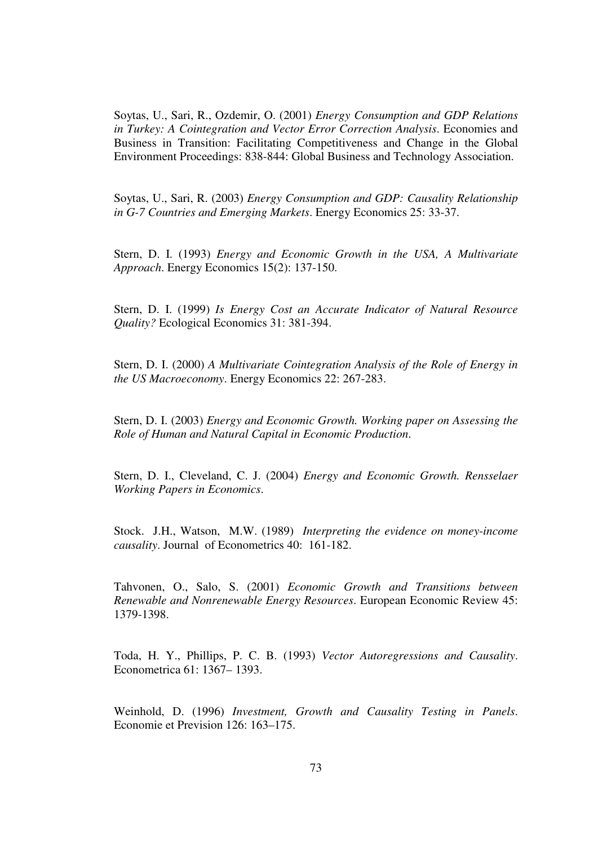Soytas, U., Sari, R., Ozdemir, O. (2001) *Energy Consumption and GDP Relations in Turkey: A Cointegration and Vector Error Correction Analysis*. Economies and Business in Transition: Facilitating Competitiveness and Change in the Global Environment Proceedings: 838-844: Global Business and Technology Association.

Soytas, U., Sari, R. (2003) *Energy Consumption and GDP: Causality Relationship in G-7 Countries and Emerging Markets*. Energy Economics 25: 33-37.

Stern, D. I. (1993) *Energy and Economic Growth in the USA, A Multivariate Approach*. Energy Economics 15(2): 137-150.

Stern, D. I. (1999) *Is Energy Cost an Accurate Indicator of Natural Resource Quality?* Ecological Economics 31: 381-394.

Stern, D. I. (2000) *A Multivariate Cointegration Analysis of the Role of Energy in the US Macroeconomy*. Energy Economics 22: 267-283.

Stern, D. I. (2003) *Energy and Economic Growth. Working paper on Assessing the Role of Human and Natural Capital in Economic Production*.

Stern, D. I., Cleveland, C. J. (2004) *Energy and Economic Growth. Rensselaer Working Papers in Economics*.

Stock. J.H., Watson, M.W. (1989) *Interpreting the evidence on money-income causality*. Journal of Econometrics 40: 161-182.

Tahvonen, O., Salo, S. (2001) *Economic Growth and Transitions between Renewable and Nonrenewable Energy Resources*. European Economic Review 45: 1379-1398.

Toda, H. Y., Phillips, P. C. B. (1993) *Vector Autoregressions and Causality*. Econometrica 61: 1367– 1393.

Weinhold, D. (1996) *Investment, Growth and Causality Testing in Panels*. Economie et Prevision 126: 163–175.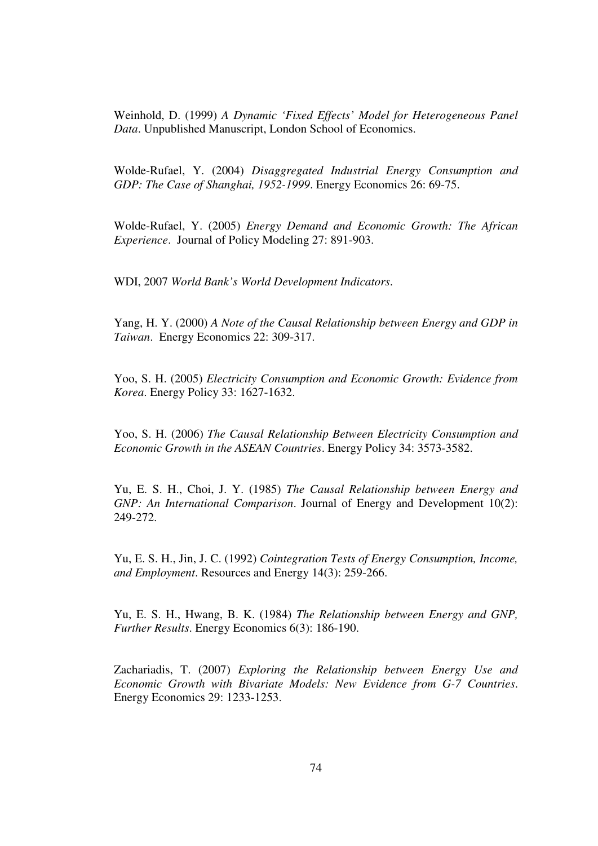Weinhold, D. (1999) *A Dynamic 'Fixed Effects' Model for Heterogeneous Panel Data*. Unpublished Manuscript, London School of Economics.

Wolde-Rufael, Y. (2004) *Disaggregated Industrial Energy Consumption and GDP: The Case of Shanghai, 1952-1999*. Energy Economics 26: 69-75.

Wolde-Rufael, Y. (2005) *Energy Demand and Economic Growth: The African Experience*. Journal of Policy Modeling 27: 891-903.

WDI, 2007 *World Bank's World Development Indicators*.

Yang, H. Y. (2000) *A Note of the Causal Relationship between Energy and GDP in Taiwan*. Energy Economics 22: 309-317.

Yoo, S. H. (2005) *Electricity Consumption and Economic Growth: Evidence from Korea*. Energy Policy 33: 1627-1632.

Yoo, S. H. (2006) *The Causal Relationship Between Electricity Consumption and Economic Growth in the ASEAN Countries*. Energy Policy 34: 3573-3582.

Yu, E. S. H., Choi, J. Y. (1985) *The Causal Relationship between Energy and GNP: An International Comparison*. Journal of Energy and Development 10(2): 249-272.

Yu, E. S. H., Jin, J. C. (1992) *Cointegration Tests of Energy Consumption, Income, and Employment*. Resources and Energy 14(3): 259-266.

Yu, E. S. H., Hwang, B. K. (1984) *The Relationship between Energy and GNP, Further Results*. Energy Economics 6(3): 186-190.

Zachariadis, T. (2007) *Exploring the Relationship between Energy Use and Economic Growth with Bivariate Models: New Evidence from G-7 Countries*. Energy Economics 29: 1233-1253.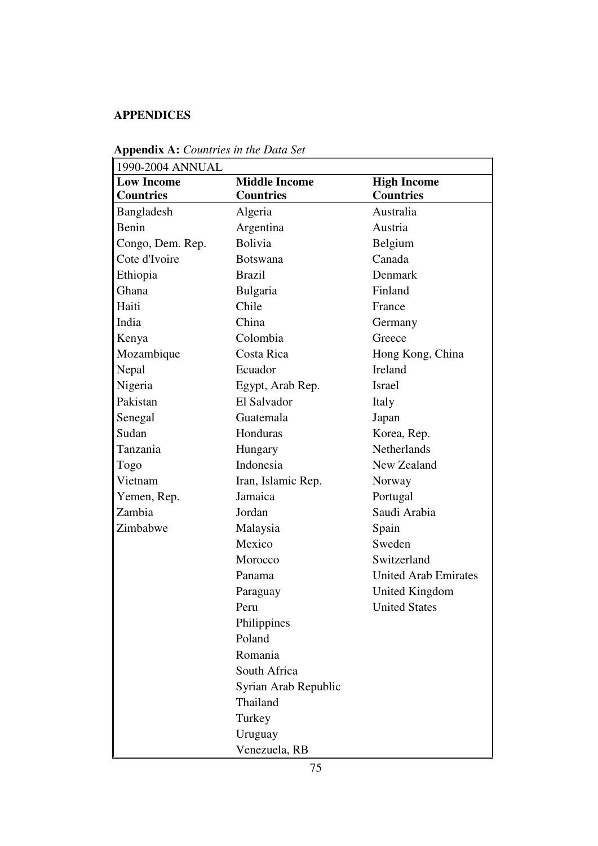## **APPENDICES**

| 1990-2004 ANNUAL  |                      |                             |
|-------------------|----------------------|-----------------------------|
| <b>Low Income</b> | <b>Middle Income</b> | <b>High Income</b>          |
| <b>Countries</b>  | <b>Countries</b>     | <b>Countries</b>            |
| <b>Bangladesh</b> | Algeria              | Australia                   |
| Benin             | Argentina            | Austria                     |
| Congo, Dem. Rep.  | <b>Bolivia</b>       | Belgium                     |
| Cote d'Ivoire     | <b>Botswana</b>      | Canada                      |
| Ethiopia          | <b>Brazil</b>        | Denmark                     |
| Ghana             | Bulgaria             | Finland                     |
| Haiti             | Chile                | France                      |
| India             | China                | Germany                     |
| Kenya             | Colombia             | Greece                      |
| Mozambique        | Costa Rica           | Hong Kong, China            |
| Nepal             | Ecuador              | Ireland                     |
| Nigeria           | Egypt, Arab Rep.     | <b>Israel</b>               |
| Pakistan          | El Salvador          | Italy                       |
| Senegal           | Guatemala            | Japan                       |
| Sudan             | Honduras             | Korea, Rep.                 |
| Tanzania          | Hungary              | <b>Netherlands</b>          |
| Togo              | Indonesia            | New Zealand                 |
| Vietnam           | Iran, Islamic Rep.   | Norway                      |
| Yemen, Rep.       | Jamaica              | Portugal                    |
| Zambia            | Jordan               | Saudi Arabia                |
| Zimbabwe          | Malaysia             | Spain                       |
|                   | Mexico               | Sweden                      |
|                   | Morocco              | Switzerland                 |
|                   | Panama               | <b>United Arab Emirates</b> |
|                   | Paraguay             | <b>United Kingdom</b>       |
|                   | Peru                 | <b>United States</b>        |
|                   | Philippines          |                             |
|                   | Poland               |                             |
|                   | Romania              |                             |
|                   | South Africa         |                             |
|                   | Syrian Arab Republic |                             |
|                   | Thailand             |                             |
|                   | Turkey               |                             |
|                   | Uruguay              |                             |
|                   | Venezuela, RB        |                             |

**Appendix A:** *Countries in the Data Set*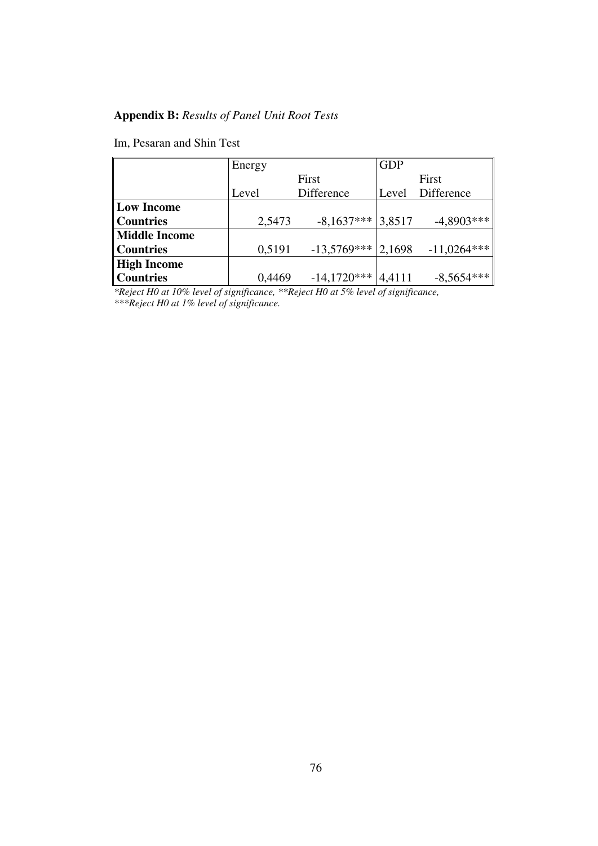## **Appendix B:** *Results of Panel Unit Root Tests*

Im, Pesaran and Shin Test

|                  | Energy |               | <b>GDP</b> |               |
|------------------|--------|---------------|------------|---------------|
|                  | First  |               | First      |               |
|                  | Level  | Difference    | Level      | Difference    |
| Low Income       |        |               |            |               |
| <b>Countries</b> | 2,5473 | $-8,1637***$  | 3,8517     | $-4,8903***$  |
| Middle Income    |        |               |            |               |
| Countries        | 0,5191 | $-13,5769***$ | 2,1698     | $-11,0264***$ |
| High Income      |        |               |            |               |
| <b>Countries</b> | 0,4469 | $-14,1720***$ | 4,4111     | $-8,5654***$  |

*\*Reject H0 at 10% level of significance, \*\*Reject H0 at 5% level of significance, \*\*\*Reject H0 at 1% level of significance.*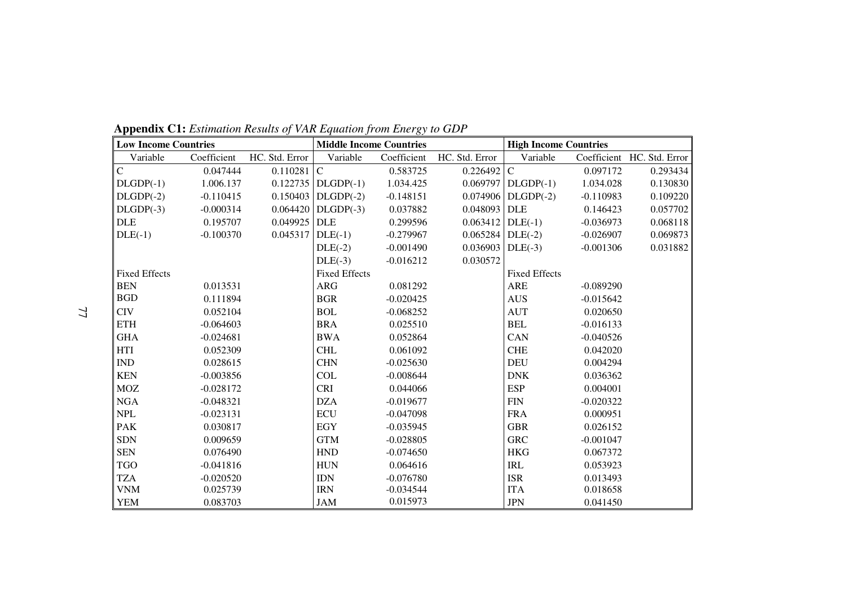| <b>Low Income Countries</b> |             |                    | <b>Middle Income Countries</b> |             |                       | <b>High Income Countries</b> |             |                            |
|-----------------------------|-------------|--------------------|--------------------------------|-------------|-----------------------|------------------------------|-------------|----------------------------|
| Variable                    | Coefficient | HC. Std. Error     | Variable                       | Coefficient | HC. Std. Error        | Variable                     |             | Coefficient HC. Std. Error |
| $\overline{C}$              | 0.047444    | $0.110281$ C       |                                | 0.583725    | $0.226492$ C          |                              | 0.097172    | 0.293434                   |
| $DLGDP(-1)$                 | 1.006.137   |                    | $0.122735$ DLGDP(-1)           | 1.034.425   |                       | $0.069797$ DLGDP(-1)         | 1.034.028   | 0.130830                   |
| $DLGDP(-2)$                 | $-0.110415$ | 0.150403           | $DLGDP(-2)$                    | $-0.148151$ | 0.074906              | $DLGDP(-2)$                  | $-0.110983$ | 0.109220                   |
| $DLGDP(-3)$                 | $-0.000314$ |                    | $0.064420$ DLGDP(-3)           | 0.037882    | 0.048093              | <b>DLE</b>                   | 0.146423    | 0.057702                   |
| <b>DLE</b>                  | 0.195707    | 0.049925 DLE       |                                | 0.299596    | $0.063412$ DLE(-1)    |                              | $-0.036973$ | 0.068118                   |
| $DLE(-1)$                   | $-0.100370$ | $0.045317$ DLE(-1) |                                | $-0.279967$ | $0.065284$ DLE(-2)    |                              | $-0.026907$ | 0.069873                   |
|                             |             |                    | $DLE(-2)$                      | $-0.001490$ | $0.036903$ DLE $(-3)$ |                              | $-0.001306$ | 0.031882                   |
|                             |             |                    | $DLE(-3)$                      | $-0.016212$ | 0.030572              |                              |             |                            |
| <b>Fixed Effects</b>        |             |                    | <b>Fixed Effects</b>           |             |                       | <b>Fixed Effects</b>         |             |                            |
| <b>BEN</b>                  | 0.013531    |                    | <b>ARG</b>                     | 0.081292    |                       | <b>ARE</b>                   | $-0.089290$ |                            |
| <b>BGD</b>                  | 0.111894    |                    | <b>BGR</b>                     | $-0.020425$ |                       | <b>AUS</b>                   | $-0.015642$ |                            |
| <b>CIV</b>                  | 0.052104    |                    | <b>BOL</b>                     | $-0.068252$ |                       | <b>AUT</b>                   | 0.020650    |                            |
| <b>ETH</b>                  | $-0.064603$ |                    | <b>BRA</b>                     | 0.025510    |                       | <b>BEL</b>                   | $-0.016133$ |                            |
| <b>GHA</b>                  | $-0.024681$ |                    | <b>BWA</b>                     | 0.052864    |                       | CAN                          | $-0.040526$ |                            |
| <b>HTI</b>                  | 0.052309    |                    | <b>CHL</b>                     | 0.061092    |                       | <b>CHE</b>                   | 0.042020    |                            |
| $\mathop{\rm IND}\nolimits$ | 0.028615    |                    | <b>CHN</b>                     | $-0.025630$ |                       | <b>DEU</b>                   | 0.004294    |                            |
| <b>KEN</b>                  | $-0.003856$ |                    | <b>COL</b>                     | $-0.008644$ |                       | <b>DNK</b>                   | 0.036362    |                            |
| <b>MOZ</b>                  | $-0.028172$ |                    | <b>CRI</b>                     | 0.044066    |                       | <b>ESP</b>                   | 0.004001    |                            |
| NGA                         | $-0.048321$ |                    | <b>DZA</b>                     | $-0.019677$ |                       | <b>FIN</b>                   | $-0.020322$ |                            |
| <b>NPL</b>                  | $-0.023131$ |                    | <b>ECU</b>                     | $-0.047098$ |                       | <b>FRA</b>                   | 0.000951    |                            |
| <b>PAK</b>                  | 0.030817    |                    | <b>EGY</b>                     | $-0.035945$ |                       | <b>GBR</b>                   | 0.026152    |                            |
| <b>SDN</b>                  | 0.009659    |                    | <b>GTM</b>                     | $-0.028805$ |                       | <b>GRC</b>                   | $-0.001047$ |                            |
| <b>SEN</b>                  | 0.076490    |                    | <b>HND</b>                     | $-0.074650$ |                       | <b>HKG</b>                   | 0.067372    |                            |
| <b>TGO</b>                  | $-0.041816$ |                    | <b>HUN</b>                     | 0.064616    |                       | <b>IRL</b>                   | 0.053923    |                            |
| <b>TZA</b>                  | $-0.020520$ |                    | <b>IDN</b>                     | $-0.076780$ |                       | <b>ISR</b>                   | 0.013493    |                            |
| <b>VNM</b>                  | 0.025739    |                    | <b>IRN</b>                     | $-0.034544$ |                       | <b>ITA</b>                   | 0.018658    |                            |
| <b>YEM</b>                  | 0.083703    |                    | <b>JAM</b>                     | 0.015973    |                       | <b>JPN</b>                   | 0.041450    |                            |

**Appendix C1:** *Estimation Results of VAR Equation from Energy to GDP*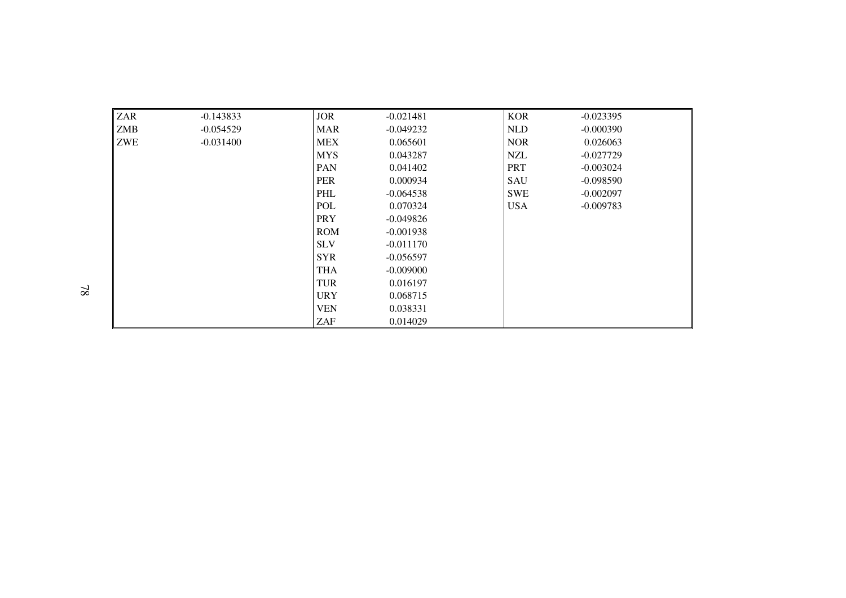| <b>ZAR</b> | $-0.143833$ | <b>JOR</b> | $-0.021481$ | <b>KOR</b> | $-0.023395$ |
|------------|-------------|------------|-------------|------------|-------------|
| <b>ZMB</b> | $-0.054529$ | <b>MAR</b> | $-0.049232$ | <b>NLD</b> | $-0.000390$ |
| <b>ZWE</b> | $-0.031400$ | <b>MEX</b> | 0.065601    | <b>NOR</b> | 0.026063    |
|            |             | <b>MYS</b> | 0.043287    | <b>NZL</b> | $-0.027729$ |
|            |             | PAN        | 0.041402    | <b>PRT</b> | $-0.003024$ |
|            |             | <b>PER</b> | 0.000934    | SAU        | $-0.098590$ |
|            |             | <b>PHL</b> | $-0.064538$ | <b>SWE</b> | $-0.002097$ |
|            |             | <b>POL</b> | 0.070324    | <b>USA</b> | $-0.009783$ |
|            |             | <b>PRY</b> | $-0.049826$ |            |             |
|            |             | <b>ROM</b> | $-0.001938$ |            |             |
|            |             | <b>SLV</b> | $-0.011170$ |            |             |
|            |             | <b>SYR</b> | $-0.056597$ |            |             |
|            |             | <b>THA</b> | $-0.009000$ |            |             |
|            |             | <b>TUR</b> | 0.016197    |            |             |
|            |             | <b>URY</b> | 0.068715    |            |             |
|            |             | <b>VEN</b> | 0.038331    |            |             |
|            |             | ZAF        | 0.014029    |            |             |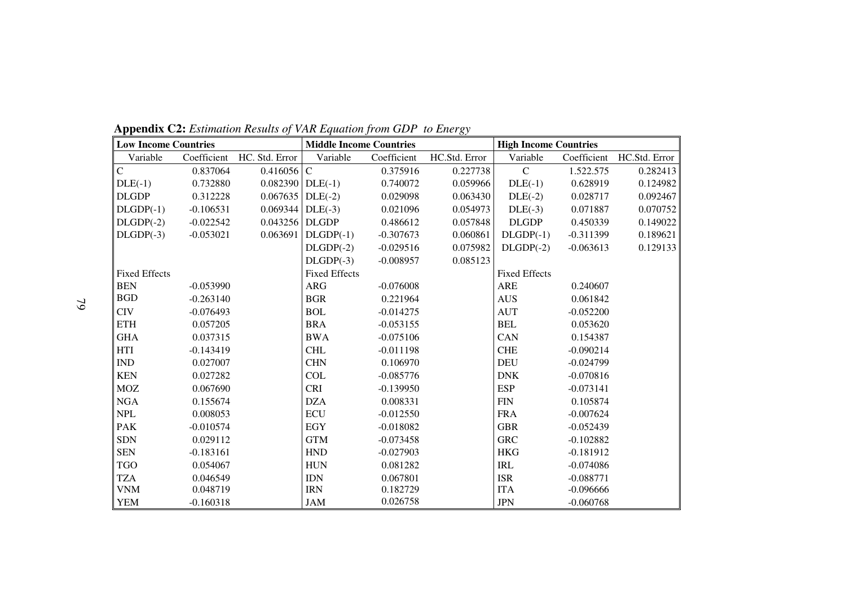| <b>Low Income Countries</b> |             |                    | <b>Middle Income Countries</b> |             |               | <b>High Income Countries</b> |             |               |
|-----------------------------|-------------|--------------------|--------------------------------|-------------|---------------|------------------------------|-------------|---------------|
| Variable                    | Coefficient | HC. Std. Error     | Variable                       | Coefficient | HC.Std. Error | Variable                     | Coefficient | HC.Std. Error |
| $\overline{C}$              | 0.837064    | 0.416056           | $\mathbf C$                    | 0.375916    | 0.227738      | $\mathsf{C}$                 | 1.522.575   | 0.282413      |
| $DLE(-1)$                   | 0.732880    | $0.082390$ DLE(-1) |                                | 0.740072    | 0.059966      | $DLE(-1)$                    | 0.628919    | 0.124982      |
| <b>DLGDP</b>                | 0.312228    | 0.067635           | $DLE(-2)$                      | 0.029098    | 0.063430      | $DLE(-2)$                    | 0.028717    | 0.092467      |
| $DLGDP(-1)$                 | $-0.106531$ | 0.069344           | $DLE(-3)$                      | 0.021096    | 0.054973      | $DLE(-3)$                    | 0.071887    | 0.070752      |
| $DLGDP(-2)$                 | $-0.022542$ | 0.043256           | <b>DLGDP</b>                   | 0.486612    | 0.057848      | <b>DLGDP</b>                 | 0.450339    | 0.149022      |
| $DLGDP(-3)$                 | $-0.053021$ | 0.063691           | $DLGDP(-1)$                    | $-0.307673$ | 0.060861      | $DLGDP(-1)$                  | $-0.311399$ | 0.189621      |
|                             |             |                    | $DLGDP(-2)$                    | $-0.029516$ | 0.075982      | $DLGDP(-2)$                  | $-0.063613$ | 0.129133      |
|                             |             |                    | $DLGDP(-3)$                    | $-0.008957$ | 0.085123      |                              |             |               |
| <b>Fixed Effects</b>        |             |                    | <b>Fixed Effects</b>           |             |               | <b>Fixed Effects</b>         |             |               |
| <b>BEN</b>                  | $-0.053990$ |                    | ARG                            | $-0.076008$ |               | <b>ARE</b>                   | 0.240607    |               |
| <b>BGD</b>                  | $-0.263140$ |                    | <b>BGR</b>                     | 0.221964    |               | <b>AUS</b>                   | 0.061842    |               |
| <b>CIV</b>                  | $-0.076493$ |                    | <b>BOL</b>                     | $-0.014275$ |               | <b>AUT</b>                   | $-0.052200$ |               |
| <b>ETH</b>                  | 0.057205    |                    | <b>BRA</b>                     | $-0.053155$ |               | <b>BEL</b>                   | 0.053620    |               |
| <b>GHA</b>                  | 0.037315    |                    | <b>BWA</b>                     | $-0.075106$ |               | CAN                          | 0.154387    |               |
| <b>HTI</b>                  | $-0.143419$ |                    | <b>CHL</b>                     | $-0.011198$ |               | <b>CHE</b>                   | $-0.090214$ |               |
| <b>IND</b>                  | 0.027007    |                    | <b>CHN</b>                     | 0.106970    |               | <b>DEU</b>                   | $-0.024799$ |               |
| <b>KEN</b>                  | 0.027282    |                    | <b>COL</b>                     | $-0.085776$ |               | <b>DNK</b>                   | $-0.070816$ |               |
| <b>MOZ</b>                  | 0.067690    |                    | <b>CRI</b>                     | $-0.139950$ |               | <b>ESP</b>                   | $-0.073141$ |               |
| ${\rm NGA}$                 | 0.155674    |                    | <b>DZA</b>                     | 0.008331    |               | <b>FIN</b>                   | 0.105874    |               |
| <b>NPL</b>                  | 0.008053    |                    | <b>ECU</b>                     | $-0.012550$ |               | <b>FRA</b>                   | $-0.007624$ |               |
| <b>PAK</b>                  | $-0.010574$ |                    | <b>EGY</b>                     | $-0.018082$ |               | <b>GBR</b>                   | $-0.052439$ |               |
| <b>SDN</b>                  | 0.029112    |                    | <b>GTM</b>                     | $-0.073458$ |               | <b>GRC</b>                   | $-0.102882$ |               |
| <b>SEN</b>                  | $-0.183161$ |                    | <b>HND</b>                     | $-0.027903$ |               | <b>HKG</b>                   | $-0.181912$ |               |
| <b>TGO</b>                  | 0.054067    |                    | <b>HUN</b>                     | 0.081282    |               | <b>IRL</b>                   | $-0.074086$ |               |
| <b>TZA</b>                  | 0.046549    |                    | <b>IDN</b>                     | 0.067801    |               | <b>ISR</b>                   | $-0.088771$ |               |
| <b>VNM</b>                  | 0.048719    |                    | <b>IRN</b>                     | 0.182729    |               | <b>ITA</b>                   | $-0.096666$ |               |
| <b>YEM</b>                  | $-0.160318$ |                    | <b>JAM</b>                     | 0.026758    |               | <b>JPN</b>                   | $-0.060768$ |               |

**Appendix C2:** *Estimation Results of VAR Equation from GDP to Energy*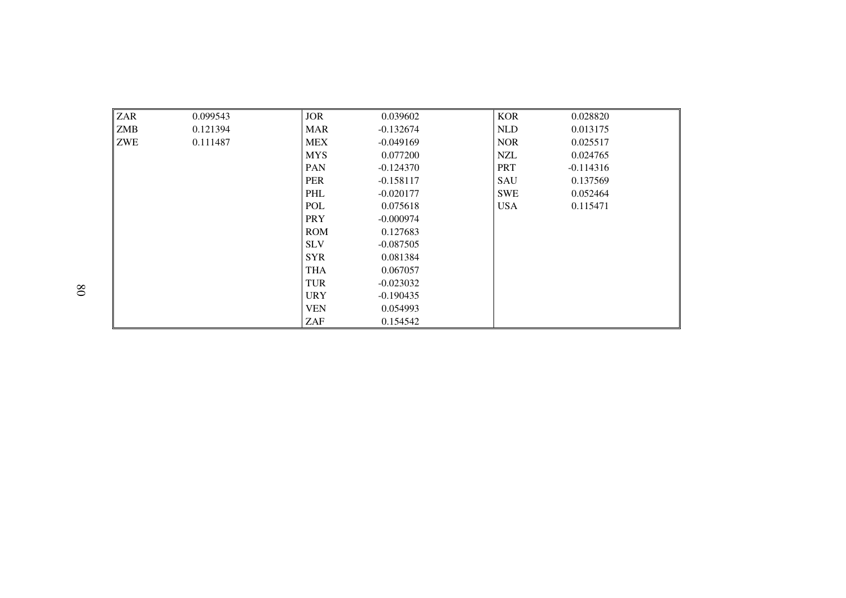| <b>ZAR</b> | 0.099543 | <b>JOR</b> | 0.039602    | <b>KOR</b> | 0.028820    |
|------------|----------|------------|-------------|------------|-------------|
| <b>ZMB</b> | 0.121394 | <b>MAR</b> | $-0.132674$ | NLD        | 0.013175    |
| <b>ZWE</b> | 0.111487 | <b>MEX</b> | $-0.049169$ | <b>NOR</b> | 0.025517    |
|            |          | <b>MYS</b> | 0.077200    | <b>NZL</b> | 0.024765    |
|            |          | <b>PAN</b> | $-0.124370$ | <b>PRT</b> | $-0.114316$ |
|            |          | PER        | $-0.158117$ | SAU        | 0.137569    |
|            |          | <b>PHL</b> | $-0.020177$ | <b>SWE</b> | 0.052464    |
|            |          | <b>POL</b> | 0.075618    | <b>USA</b> | 0.115471    |
|            |          | <b>PRY</b> | $-0.000974$ |            |             |
|            |          | <b>ROM</b> | 0.127683    |            |             |
|            |          | <b>SLV</b> | $-0.087505$ |            |             |
|            |          | <b>SYR</b> | 0.081384    |            |             |
|            |          | <b>THA</b> | 0.067057    |            |             |
|            |          | <b>TUR</b> | $-0.023032$ |            |             |
|            |          | <b>URY</b> | $-0.190435$ |            |             |
|            |          | <b>VEN</b> | 0.054993    |            |             |
|            |          | ZAF        | 0.154542    |            |             |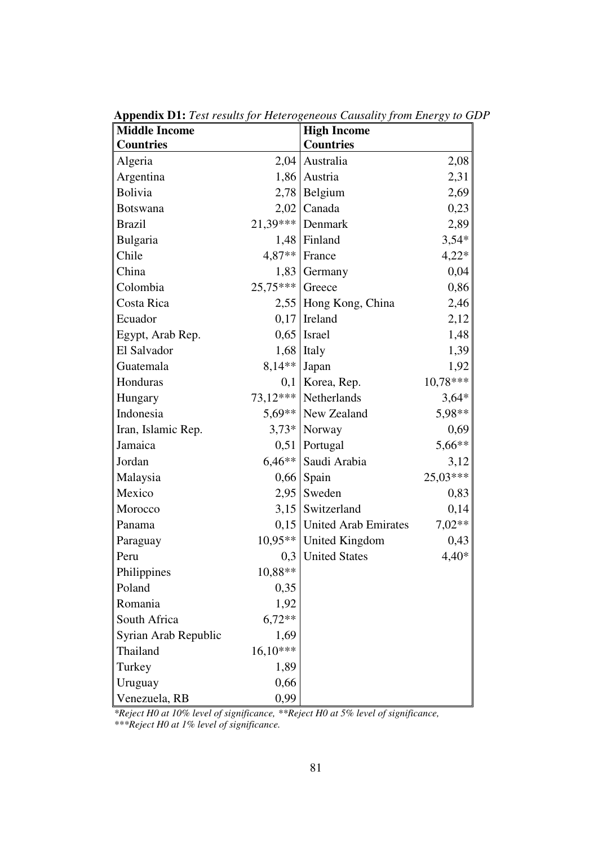| <b>Middle Income</b> |            | <b>High Income</b>          |            |
|----------------------|------------|-----------------------------|------------|
| <b>Countries</b>     |            | <b>Countries</b>            |            |
| Algeria              | 2,04       | Australia                   | 2,08       |
| Argentina            | 1,86       | Austria                     | 2,31       |
| Bolivia              |            | $2,78$ Belgium              | 2,69       |
| <b>Botswana</b>      | 2,02       | Canada                      | 0,23       |
| <b>Brazil</b>        | 21,39***   | Denmark                     | 2,89       |
| Bulgaria             | 1,48       | Finland                     | $3,54*$    |
| Chile                | 4,87**     | France                      | $4,22*$    |
| China                | 1,83       | Germany                     | 0,04       |
| Colombia             | $25.75***$ | Greece                      | 0,86       |
| Costa Rica           | 2,55       | Hong Kong, China            | 2,46       |
| Ecuador              | 0,17       | Ireland                     | 2,12       |
| Egypt, Arab Rep.     | 0,65       | Israel                      | 1,48       |
| El Salvador          |            | $1,68$ Italy                | 1,39       |
| Guatemala            | $8,14**$   | Japan                       | 1,92       |
| Honduras             | 0,1        | Korea, Rep.                 | $10,78***$ |
| Hungary              | $73,12***$ | Netherlands                 | $3,64*$    |
| Indonesia            | $5,69**$   | New Zealand                 | 5,98**     |
| Iran, Islamic Rep.   | $3,73*$    | Norway                      | 0,69       |
| Jamaica              | 0,51       | Portugal                    | 5,66**     |
| Jordan               | $6.46**$   | Saudi Arabia                | 3,12       |
| Malaysia             | 0,66       | Spain                       | 25,03***   |
| Mexico               | 2,95       | Sweden                      | 0,83       |
| Morocco              | 3,15       | Switzerland                 | 0,14       |
| Panama               |            | 0,15   United Arab Emirates | $7,02**$   |
| Paraguay             | $10,95**$  | <b>United Kingdom</b>       | 0,43       |
| Peru                 | 0,3        | <b>United States</b>        | $4,40*$    |
| Philippines          | 10,88**    |                             |            |
| Poland               | 0,35       |                             |            |
| Romania              | 1,92       |                             |            |
| South Africa         | $6,72**$   |                             |            |
| Syrian Arab Republic | 1,69       |                             |            |
| Thailand             | $16,10***$ |                             |            |
| Turkey               | 1,89       |                             |            |
| Uruguay              | 0,66       |                             |            |
| Venezuela, RB        | 0,99       |                             |            |

**Appendix D1:** *Test results for Heterogeneous Causality from Energy to GDP*

*\*Reject H0 at 10% level of significance, \*\*Reject H0 at 5% level of significance, \*\*\*Reject H0 at 1% level of significance.*